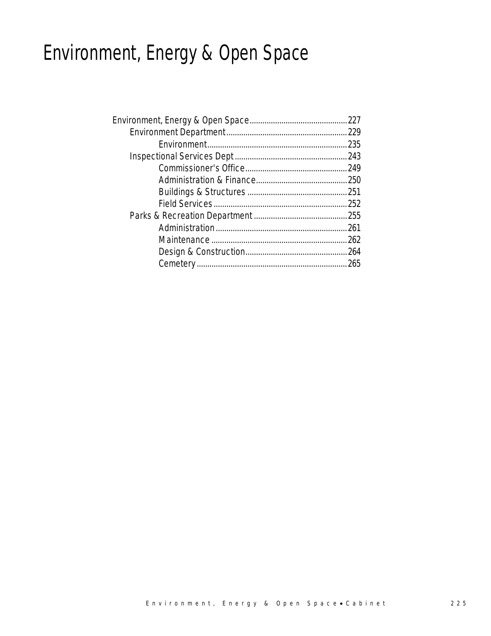# Environment, Energy & Open Space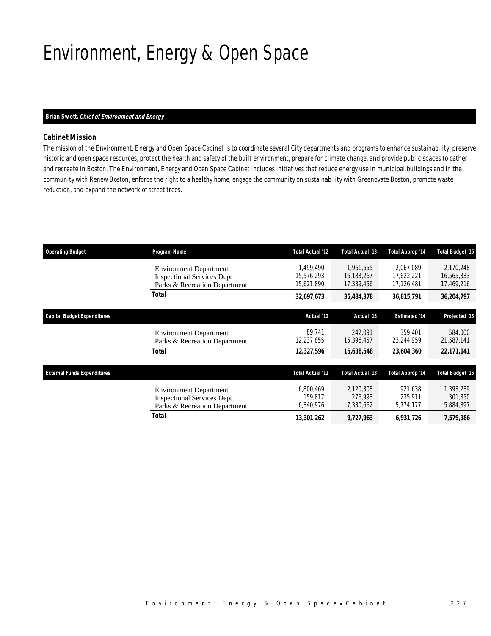# Environment, Energy & Open Space

### *Brian Swett, Chief of Environment and Energy*

### *Cabinet Mission*

The mission of the Environment, Energy and Open Space Cabinet is to coordinate several City departments and programs to enhance sustainability, preserve historic and open space resources, protect the health and safety of the built environment, prepare for climate change, and provide public spaces to gather and recreate in Boston. The Environment, Energy and Open Space Cabinet includes initiatives that reduce energy use in municipal buildings and in the community with Renew Boston, enforce the right to a healthy home, engage the community on sustainability with Greenovate Boston, promote waste reduction, and expand the network of street trees.

| <b>Operating Budget</b>            | Program Name                                                                                        | Total Actual '12                      | Total Actual '13                      | Total Approp '14                      | Total Budget '15                      |
|------------------------------------|-----------------------------------------------------------------------------------------------------|---------------------------------------|---------------------------------------|---------------------------------------|---------------------------------------|
|                                    | <b>Environment Department</b><br><b>Inspectional Services Dept</b><br>Parks & Recreation Department | 1.499.490<br>15,576,293<br>15,621,890 | 1,961,655<br>16,183,267<br>17,339,456 | 2.067.089<br>17,622,221<br>17,126,481 | 2,170,248<br>16,565,333<br>17,469,216 |
|                                    | Total                                                                                               | 32,697,673                            | 35,484,378                            | 36,815,791                            | 36,204,797                            |
| <b>Capital Budget Expenditures</b> |                                                                                                     | Actual '12                            | Actual '13                            | <b>Estimated '14</b>                  | Projected '15                         |
|                                    | <b>Environment Department</b><br>Parks & Recreation Department                                      | 89.741<br>12,237,855                  | 242.091<br>15,396,457                 | 359,401<br>23,244,959                 | 584,000<br>21,587,141                 |
|                                    | Total                                                                                               | 12,327,596                            | 15,638,548                            | 23,604,360                            | 22,171,141                            |
| <b>External Funds Expenditures</b> |                                                                                                     | Total Actual '12                      | Total Actual '13                      | Total Approp '14                      | <b>Total Budget '15</b>               |
|                                    | <b>Environment Department</b><br><b>Inspectional Services Dept</b><br>Parks & Recreation Department | 6.800.469<br>159,817<br>6,340,976     | 2,120,308<br>276,993<br>7,330,662     | 921.638<br>235,911<br>5,774,177       | 1,393,239<br>301,850<br>5,884,897     |
|                                    | Total                                                                                               | 13,301,262                            | 9,727,963                             | 6,931,726                             | 7,579,986                             |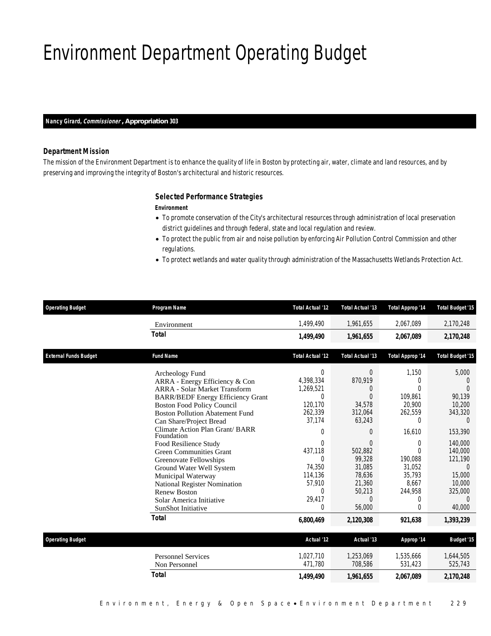# Environment Department Operating Budget

### *Nancy Girard, Commissioner , Appropriation 303*

### *Department Mission*

The mission of the Environment Department is to enhance the quality of life in Boston by protecting air, water, climate and land resources, and by preserving and improving the integrity of Boston's architectural and historic resources.

### *Selected Performance Strategies*

*Environment* 

- To promote conservation of the City's architectural resources through administration of local preservation district guidelines and through federal, state and local regulation and review.
- To protect the public from air and noise pollution by enforcing Air Pollution Control Commission and other regulations.
- To protect wetlands and water quality through administration of the Massachusetts Wetlands Protection Act.

| <b>Operating Budget</b>      | Program Name                                  | <b>Total Actual '12</b> | Total Actual '13 | <b>Total Approp '14</b> | <b>Total Budget '15</b> |
|------------------------------|-----------------------------------------------|-------------------------|------------------|-------------------------|-------------------------|
|                              | Environment                                   | 1,499,490               | 1,961,655        | 2,067,089               | 2,170,248               |
|                              | <b>Total</b>                                  | 1,499,490               | 1,961,655        | 2,067,089               | 2,170,248               |
| <b>External Funds Budget</b> | <b>Fund Name</b>                              | Total Actual '12        | Total Actual '13 | <b>Total Approp '14</b> | <b>Total Budget '15</b> |
|                              | Archeology Fund                               | $\overline{0}$          | $\overline{0}$   | 1,150                   | 5,000                   |
|                              | ARRA - Energy Efficiency & Con                | 4,398,334               | 870,919          | 0                       | $\Omega$                |
|                              | <b>ARRA</b> - Solar Market Transform          | 1,269,521               | 0                | $\Omega$                | $\Omega$                |
|                              | <b>BARR/BEDF Energy Efficiency Grant</b>      | 0                       | $\Omega$         | 109,861                 | 90,139                  |
|                              | <b>Boston Food Policy Council</b>             | 120,170                 | 34,578           | 20,900                  | 10,200                  |
|                              | <b>Boston Pollution Abatement Fund</b>        | 262,339                 | 312,064          | 262,559                 | 343,320                 |
|                              | Can Share/Project Bread                       | 37,174                  | 63,243           | 0                       | $\Omega$                |
|                              | Climate Action Plan Grant/ BARR<br>Foundation | 0                       | $\Omega$         | 16,610                  | 153,390                 |
|                              | Food Resilience Study                         | 0                       | 0                | 0                       | 140,000                 |
|                              | <b>Green Communities Grant</b>                | 437,118                 | 502,882          | $\Omega$                | 140,000                 |
|                              | Greenovate Fellowships                        | $\Omega$                | 99,328           | 190.088                 | 121,190                 |
|                              | Ground Water Well System                      | 74,350                  | 31,085           | 31,052                  | $\Omega$                |
|                              | Municipal Waterway                            | 114,136                 | 78,636           | 35,793                  | 15,000                  |
|                              | <b>National Register Nomination</b>           | 57,910                  | 21,360           | 8.667                   | 10,000                  |
|                              | <b>Renew Boston</b>                           | $\Omega$                | 50,213           | 244,958                 | 325,000                 |
|                              | Solar America Initiative                      | 29,417                  | $\Omega$         | 0                       | $\Omega$                |
|                              | SunShot Initiative                            | $\Omega$                | 56,000           | 0                       | 40,000                  |
|                              | <b>Total</b>                                  | 6.800.469               | 2,120,308        | 921,638                 | 1,393,239               |
| <b>Operating Budget</b>      |                                               | Actual '12              | Actual '13       | Approp '14              | <b>Budget '15</b>       |
|                              |                                               | 1,027,710               | 1,253,069        | 1,535,666               | 1,644,505               |
|                              | <b>Personnel Services</b><br>Non Personnel    | 471,780                 | 708,586          | 531,423                 | 525,743                 |
|                              | <b>Total</b>                                  | 1.499.490               | 1,961,655        | 2,067,089               | 2,170,248               |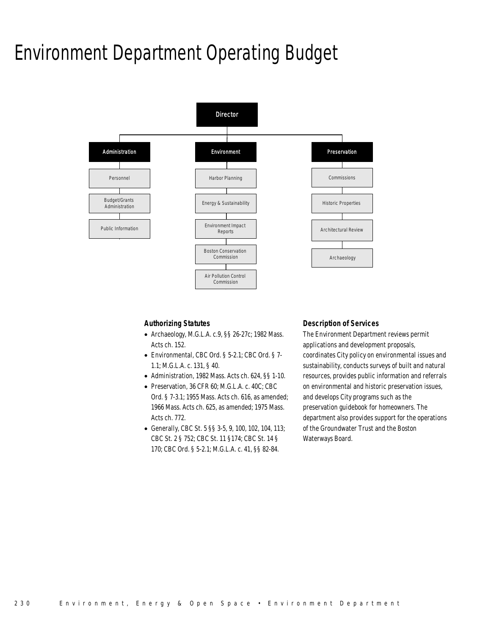# Environment Department Operating Budget



### *Authorizing Statutes*

- Archaeology, M.G.L.A. c.9, §§ 26-27c; 1982 Mass. Acts ch. 152.
- Environmental, CBC Ord. § 5-2.1; CBC Ord. § 7- 1.1; M.G.L.A. c. 131, § 40.
- Administration, 1982 Mass. Acts ch. 624, §§ 1-10.
- Preservation, 36 CFR 60; M.G.L.A. c. 40C; CBC Ord. § 7-3.1; 1955 Mass. Acts ch. 616, as amended; 1966 Mass. Acts ch. 625, as amended; 1975 Mass. Acts ch. 772.
- Generally, CBC St. 5 §§ 3-5, 9, 100, 102, 104, 113; CBC St. 2 § 752; CBC St. 11 §174; CBC St. 14 § 170; CBC Ord. § 5-2.1; M.G.L.A. c. 41, §§ 82-84.

#### *Description of Services*

The Environment Department reviews permit applications and development proposals, coordinates City policy on environmental issues and sustainability, conducts surveys of built and natural resources, provides public information and referrals on environmental and historic preservation issues, and develops City programs such as the preservation guidebook for homeowners. The department also provides support for the operations of the Groundwater Trust and the Boston Waterways Board.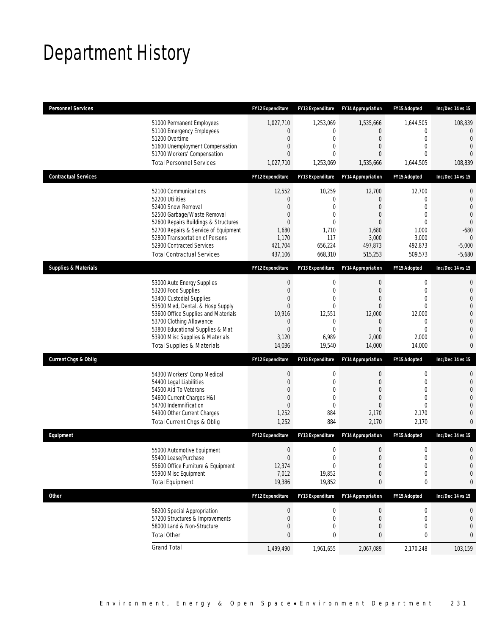# Department History

| <b>Personnel Services</b>       |                                                                                                                                                                                                                                                                                                      | <b>FY12 Expenditure</b>                                                                      | <b>FY13 Expenditure</b>                                                                    | <b>FY14 Appropriation</b>                                                                          | FY15 Adopted                                                                                                   | Inc/Dec 14 vs 15                                                                                                                       |
|---------------------------------|------------------------------------------------------------------------------------------------------------------------------------------------------------------------------------------------------------------------------------------------------------------------------------------------------|----------------------------------------------------------------------------------------------|--------------------------------------------------------------------------------------------|----------------------------------------------------------------------------------------------------|----------------------------------------------------------------------------------------------------------------|----------------------------------------------------------------------------------------------------------------------------------------|
|                                 | 51000 Permanent Employees<br>51100 Emergency Employees<br>51200 Overtime<br>51600 Unemployment Compensation<br>51700 Workers' Compensation                                                                                                                                                           | 1,027,710<br>0<br>0<br>0<br>0                                                                | 1,253,069<br>$\mathbf{0}$<br>0<br>$\overline{0}$<br>0                                      | 1,535,666<br>$\mathbf{0}$<br>0<br>0<br>0                                                           | 1,644,505<br>$\mathbf 0$<br>$\mathbf{0}$<br>$\mathbf{0}$<br>$\Omega$                                           | 108,839<br>$\mathbf{0}$<br>$\overline{0}$<br>$\Omega$<br>$\Omega$                                                                      |
|                                 | <b>Total Personnel Services</b>                                                                                                                                                                                                                                                                      | 1,027,710                                                                                    | 1,253,069                                                                                  | 1,535,666                                                                                          | 1,644,505                                                                                                      | 108,839                                                                                                                                |
| <b>Contractual Services</b>     |                                                                                                                                                                                                                                                                                                      | <b>FY12 Expenditure</b>                                                                      | <b>FY13 Expenditure</b>                                                                    | <b>FY14 Appropriation</b>                                                                          | FY15 Adopted                                                                                                   | Inc/Dec 14 vs 15                                                                                                                       |
|                                 | 52100 Communications<br>52200 Utilities<br>52400 Snow Removal<br>52500 Garbage/Waste Removal<br>52600 Repairs Buildings & Structures<br>52700 Repairs & Service of Equipment<br>52800 Transportation of Persons<br>52900 Contracted Services<br><b>Total Contractual Services</b>                    | 12,552<br>0<br>$\overline{0}$<br>0<br>$\overline{0}$<br>1,680<br>1,170<br>421,704<br>437,106 | 10,259<br>0<br>$\overline{0}$<br>0<br>$\overline{0}$<br>1,710<br>117<br>656,224<br>668,310 | 12,700<br>$\mathbf 0$<br>0<br>0<br>$\overline{0}$<br>1,680<br>3,000<br>497,873<br>515,253          | 12,700<br>$\mathbf{0}$<br>$\mathbf{0}$<br>$\mathbf{0}$<br>$\mathbf{0}$<br>1,000<br>3,000<br>492,873<br>509,573 | 0<br>$\overline{0}$<br>$\mathbf 0$<br>$\overline{0}$<br>$\overline{0}$<br>$-680$<br>$\overline{0}$<br>$-5,000$<br>$-5,680$             |
| <b>Supplies &amp; Materials</b> |                                                                                                                                                                                                                                                                                                      | FY12 Expenditure                                                                             | <b>FY13 Expenditure</b>                                                                    | <b>FY14 Appropriation</b>                                                                          | FY15 Adopted                                                                                                   | Inc/Dec 14 vs 15                                                                                                                       |
|                                 | 53000 Auto Energy Supplies<br>53200 Food Supplies<br>53400 Custodial Supplies<br>53500 Med, Dental, & Hosp Supply<br>53600 Office Supplies and Materials<br>53700 Clothing Allowance<br>53800 Educational Supplies & Mat<br>53900 Misc Supplies & Materials<br><b>Total Supplies &amp; Materials</b> | 0<br>0<br>0<br>0<br>10,916<br>0<br>0<br>3,120<br>14,036                                      | 0<br>0<br>$\overline{0}$<br>0<br>12,551<br>0<br>0<br>6,989<br>19,540                       | $\mathbf 0$<br>$\mathbf{0}$<br>0<br>0<br>12,000<br>$\mathbf{0}$<br>$\mathbf{0}$<br>2,000<br>14,000 | $\mathbf 0$<br>$\mathbf{0}$<br>$\mathbf{0}$<br>$\mathbf{0}$<br>12,000<br>0<br>$\Omega$<br>2,000<br>14,000      | 0<br>$\overline{0}$<br>$\overline{0}$<br>$\overline{0}$<br>$\mathbf{0}$<br>$\overline{0}$<br>$\overline{0}$<br>$\mathbf 0$<br>$\theta$ |
| <b>Current Chgs &amp; Oblig</b> |                                                                                                                                                                                                                                                                                                      | FY12 Expenditure                                                                             | <b>FY13 Expenditure</b>                                                                    | <b>FY14 Appropriation</b>                                                                          | FY15 Adopted                                                                                                   | Inc/Dec 14 vs 15                                                                                                                       |
|                                 | 54300 Workers' Comp Medical<br>54400 Legal Liabilities<br>54500 Aid To Veterans<br>54600 Current Charges H&I<br>54700 Indemnification<br>54900 Other Current Charges<br>Total Current Chgs & Oblig                                                                                                   | 0<br>0<br>0<br>0<br>0<br>1,252<br>1,252                                                      | 0<br>0<br>$\overline{0}$<br>0<br>0<br>884<br>884                                           | $\boldsymbol{0}$<br>0<br>0<br>0<br>$\overline{0}$<br>2,170<br>2,170                                | $\boldsymbol{0}$<br>$\mathbf{0}$<br>$\mathbf{0}$<br>$\mathbf{0}$<br>$\mathbf{0}$<br>2,170<br>2,170             | $\mathbf{0}$<br>$\mathbf{0}$<br>$\overline{0}$<br>$\overline{0}$<br>$\overline{0}$<br>$\mathbf{0}$<br>$\mathbf{0}$                     |
| Equipment                       |                                                                                                                                                                                                                                                                                                      | <b>FY12 Expenditure</b>                                                                      | <b>FY13 Expenditure</b>                                                                    | <b>FY14 Appropriation</b>                                                                          | FY15 Adopted                                                                                                   | Inc/Dec 14 vs 15                                                                                                                       |
|                                 | 55000 Automotive Equipment<br>55400 Lease/Purchase<br>55600 Office Furniture & Equipment<br>55900 Misc Equipment<br><b>Total Equipment</b>                                                                                                                                                           | $\boldsymbol{0}$<br>$\mathbf 0$<br>12,374<br>7,012<br>19,386                                 | $\mathbf 0$<br>$\Omega$<br>$\boldsymbol{0}$<br>19,852<br>19,852                            | 0<br>$\mathbf 0$<br>$\boldsymbol{0}$<br>0<br>$\pmb{0}$                                             | $\boldsymbol{0}$<br>$\boldsymbol{0}$<br>$\boldsymbol{0}$<br>$\mathbf 0$<br>0                                   | $\mathbf 0$<br>$\Omega$<br>$\mathbf 0$<br>$\mathbf 0$<br>0                                                                             |
| Other                           |                                                                                                                                                                                                                                                                                                      | FY12 Expenditure                                                                             | <b>FY13 Expenditure</b>                                                                    | <b>FY14 Appropriation</b>                                                                          | <b>FY15 Adopted</b>                                                                                            | Inc/Dec 14 vs 15                                                                                                                       |
|                                 | 56200 Special Appropriation<br>57200 Structures & Improvements<br>58000 Land & Non-Structure<br><b>Total Other</b>                                                                                                                                                                                   | 0<br>0<br>0<br>0                                                                             | $\boldsymbol{0}$<br>$\mathbf 0$<br>0<br>0                                                  | $\boldsymbol{0}$<br>$\boldsymbol{0}$<br>0<br>0                                                     | 0<br>$\mathbf 0$<br>$\mathbf 0$<br>0                                                                           | 0<br>$\mathbf 0$<br>$\mathbf 0$<br>0                                                                                                   |
|                                 | <b>Grand Total</b>                                                                                                                                                                                                                                                                                   | 1,499,490                                                                                    | 1,961,655                                                                                  | 2,067,089                                                                                          | 2,170,248                                                                                                      | 103,159                                                                                                                                |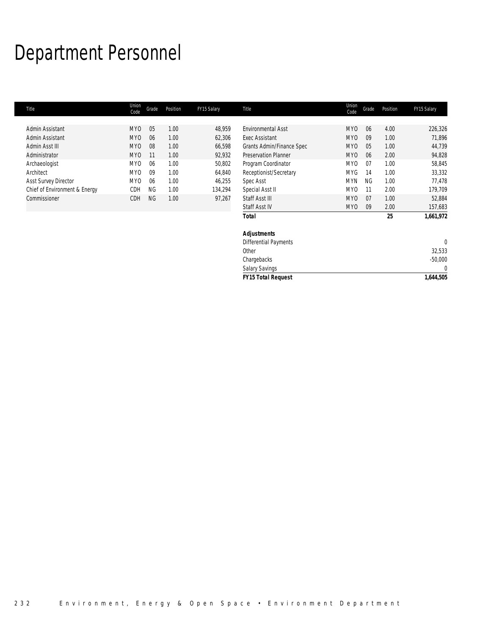# Department Personnel

| Title                         | Union<br>Code   | Grade     | Position | FY15 Salary | Title                       | Union<br>Code   | Grade | Position | FY15 Salary  |
|-------------------------------|-----------------|-----------|----------|-------------|-----------------------------|-----------------|-------|----------|--------------|
|                               |                 |           |          |             |                             |                 |       |          |              |
| Admin Assistant               | MY <sub>0</sub> | 05        | 1.00     | 48,959      | <b>Environmental Asst</b>   | <b>MYO</b>      | 06    | 4.00     | 226,326      |
| Admin Assistant               | <b>MYO</b>      | 06        | 1.00     | 62,306      | <b>Exec Assistant</b>       | <b>MYO</b>      | 09    | 1.00     | 71,896       |
| Admin Asst III                | MY <sub>0</sub> | 08        | 1.00     | 66,598      | Grants Admin/Finance Spec   | <b>MYO</b>      | 05    | 1.00     | 44,739       |
| Administrator                 | MY <sub>0</sub> | 11        | 1.00     | 92,932      | <b>Preservation Planner</b> | MY <sub>0</sub> | 06    | 2.00     | 94,828       |
| Archaeologist                 | MY <sub>0</sub> | 06        | 1.00     | 50,802      | Program Coordinator         | MY0             | 07    | 1.00     | 58,845       |
| Architect                     | MY <sub>0</sub> | 09        | 1.00     | 64,840      | Receptionist/Secretary      | <b>MYG</b>      | 14    | 1.00     | 33,332       |
| Asst Survey Director          | MY <sub>0</sub> | 06        | 1.00     | 46,255      | Spec Asst                   | <b>MYN</b>      | NG    | 1.00     | 77,478       |
| Chief of Environment & Energy | CDH             | <b>NG</b> | 1.00     | 134,294     | Special Asst II             | MY <sub>0</sub> | 11    | 2.00     | 179,709      |
| Commissioner                  | CDH             | <b>NG</b> | 1.00     | 97,267      | Staff Asst III              | MY <sub>0</sub> | 07    | 1.00     | 52,884       |
|                               |                 |           |          |             | Staff Asst IV               | MY0             | 09    | 2.00     | 157,683      |
|                               |                 |           |          |             | <b>Total</b>                |                 |       | 25       | 1,661,972    |
|                               |                 |           |          |             | <b>Adjustments</b>          |                 |       |          |              |
|                               |                 |           |          |             | Differential Payments       |                 |       |          | $\Omega$     |
|                               |                 |           |          |             | Other                       |                 |       |          | 32,533       |
|                               |                 |           |          |             | Chargebacks                 |                 |       |          | $-50,000$    |
|                               |                 |           |          |             | <b>Salary Savings</b>       |                 |       |          | $\mathbf{0}$ |
|                               |                 |           |          |             | <b>FY15 Total Request</b>   |                 |       |          | 1,644,505    |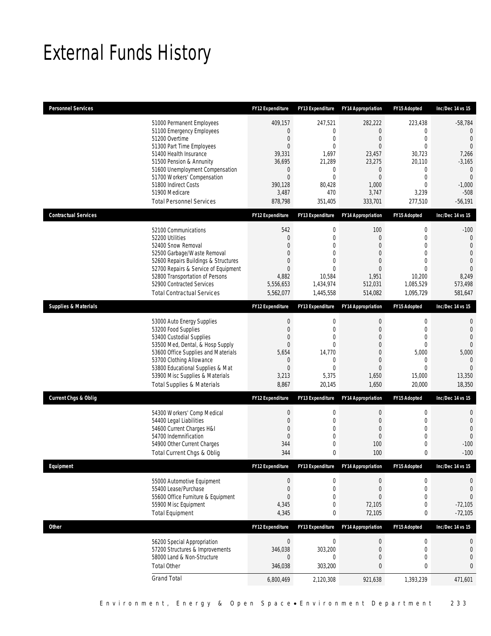# External Funds History

| <b>Personnel Services</b>       |                                                                                                                                                                                                                                                                                                            | <b>FY12 Expenditure</b>                                                                                                                 | <b>FY13 Expenditure</b>                                                                                                       | <b>FY14 Appropriation</b>                                                                                                                   | FY15 Adopted                                                                                                                      | Inc/Dec 14 vs 15                                                                                                                                  |
|---------------------------------|------------------------------------------------------------------------------------------------------------------------------------------------------------------------------------------------------------------------------------------------------------------------------------------------------------|-----------------------------------------------------------------------------------------------------------------------------------------|-------------------------------------------------------------------------------------------------------------------------------|---------------------------------------------------------------------------------------------------------------------------------------------|-----------------------------------------------------------------------------------------------------------------------------------|---------------------------------------------------------------------------------------------------------------------------------------------------|
|                                 | 51000 Permanent Employees<br>51100 Emergency Employees<br>51200 Overtime<br>51300 Part Time Employees<br>51400 Health Insurance<br>51500 Pension & Annunity<br>51600 Unemployment Compensation<br>51700 Workers' Compensation<br>51800 Indirect Costs<br>51900 Medicare<br><b>Total Personnel Services</b> | 409,157<br>0<br>$\boldsymbol{0}$<br>$\mathbf{0}$<br>39,331<br>36,695<br>$\boldsymbol{0}$<br>$\mathbf{0}$<br>390,128<br>3,487<br>878,798 | 247,521<br>0<br>$\mathbf 0$<br>$\overline{0}$<br>1,697<br>21,289<br>$\mathbf 0$<br>$\overline{0}$<br>80,428<br>470<br>351,405 | 282,222<br>$\mathbf{0}$<br>$\boldsymbol{0}$<br>$\mathbf{0}$<br>23,457<br>23,275<br>$\mathbf 0$<br>$\mathbf{0}$<br>1,000<br>3,747<br>333,701 | 223,438<br>$\mathbf 0$<br>$\mathbf 0$<br>$\mathbf{0}$<br>30,723<br>20,110<br>0<br>$\mathbf 0$<br>$\mathbf{0}$<br>3,239<br>277,510 | $-58,784$<br>$\mathbf{0}$<br>$\overline{0}$<br>$\Omega$<br>7,266<br>$-3,165$<br>$\mathbf{0}$<br>$\overline{0}$<br>$-1,000$<br>$-508$<br>$-56,191$ |
| <b>Contractual Services</b>     |                                                                                                                                                                                                                                                                                                            | <b>FY12 Expenditure</b>                                                                                                                 | <b>FY13 Expenditure</b>                                                                                                       | <b>FY14 Appropriation</b>                                                                                                                   | FY15 Adopted                                                                                                                      | Inc/Dec 14 vs 15                                                                                                                                  |
|                                 | 52100 Communications<br>52200 Utilities<br>52400 Snow Removal<br>52500 Garbage/Waste Removal<br>52600 Repairs Buildings & Structures<br>52700 Repairs & Service of Equipment<br>52800 Transportation of Persons<br>52900 Contracted Services<br><b>Total Contractual Services</b>                          | 542<br>0<br>$\overline{0}$<br>0<br>0<br>$\overline{0}$<br>4,882<br>5,556,653<br>5,562,077                                               | $\mathbf 0$<br>0<br>$\overline{0}$<br>0<br>$\theta$<br>$\theta$<br>10,584<br>1,434,974<br>1,445,558                           | 100<br>0<br>$\overline{0}$<br>0<br>$\mathbf{0}$<br>$\mathbf{0}$<br>1,951<br>512,031<br>514,082                                              | $\boldsymbol{0}$<br>$\mathbf{0}$<br>$\mathbf{0}$<br>$\mathbf{0}$<br>$\mathbf{0}$<br>$\theta$<br>10,200<br>1,085,529<br>1,095,729  | $-100$<br>$\mathbf 0$<br>$\overline{0}$<br>$\overline{0}$<br>$\theta$<br>$\overline{0}$<br>8,249<br>573,498<br>581,647                            |
| <b>Supplies &amp; Materials</b> |                                                                                                                                                                                                                                                                                                            | <b>FY12 Expenditure</b>                                                                                                                 | <b>FY13 Expenditure</b>                                                                                                       | <b>FY14 Appropriation</b>                                                                                                                   | FY15 Adopted                                                                                                                      | Inc/Dec 14 vs 15                                                                                                                                  |
|                                 | 53000 Auto Energy Supplies<br>53200 Food Supplies<br>53400 Custodial Supplies<br>53500 Med, Dental, & Hosp Supply<br>53600 Office Supplies and Materials<br>53700 Clothing Allowance<br>53800 Educational Supplies & Mat<br>53900 Misc Supplies & Materials<br><b>Total Supplies &amp; Materials</b>       | $\boldsymbol{0}$<br>$\theta$<br>0<br>$\mathbf{0}$<br>5,654<br>0<br>$\theta$<br>3,213<br>8,867                                           | $\boldsymbol{0}$<br>0<br>$\overline{0}$<br>$\overline{0}$<br>14,770<br>0<br>0<br>5,375<br>20,145                              | $\boldsymbol{0}$<br>0<br>$\overline{0}$<br>0<br>$\Omega$<br>$\mathbf{0}$<br>0<br>1,650<br>1,650                                             | $\boldsymbol{0}$<br>$\mathbf{0}$<br>$\mathbf{0}$<br>$\mathbf 0$<br>5,000<br>$\mathbf{0}$<br>$\mathbf{0}$<br>15,000<br>20,000      | 0<br>$\overline{0}$<br>$\overline{0}$<br>$\overline{0}$<br>5,000<br>$\mathbf{0}$<br>$\Omega$<br>13,350<br>18,350                                  |
| <b>Current Chgs &amp; Oblig</b> |                                                                                                                                                                                                                                                                                                            | <b>FY12 Expenditure</b>                                                                                                                 | <b>FY13 Expenditure</b>                                                                                                       | <b>FY14 Appropriation</b>                                                                                                                   | FY15 Adopted                                                                                                                      | Inc/Dec 14 vs 15                                                                                                                                  |
|                                 | 54300 Workers' Comp Medical<br>54400 Legal Liabilities<br>54600 Current Charges H&I<br>54700 Indemnification<br>54900 Other Current Charges<br>Total Current Chgs & Oblig                                                                                                                                  | $\boldsymbol{0}$<br>$\mathbf 0$<br>$\boldsymbol{0}$<br>$\boldsymbol{0}$<br>344<br>344                                                   | $\boldsymbol{0}$<br>0<br>$\overline{0}$<br>0<br>0<br>$\mathbf 0$                                                              | $\boldsymbol{0}$<br>0<br>$\mathbf{0}$<br>$\mathbf 0$<br>100<br>100                                                                          | $\boldsymbol{0}$<br>$\mathbf 0$<br>$\mathbf{0}$<br>$\mathbf 0$<br>$\mathbf 0$<br>$\mathbf{0}$                                     | $\mathbf{0}$<br>$\mathbf{0}$<br>$\overline{0}$<br>$\overline{0}$<br>$-100$<br>$-100$                                                              |
| Equipment                       |                                                                                                                                                                                                                                                                                                            | FY12 Expenditure                                                                                                                        | FY13 Expenditure                                                                                                              | <b>FY14 Appropriation</b>                                                                                                                   | FY15 Adopted                                                                                                                      | Inc/Dec 14 vs 15                                                                                                                                  |
|                                 | 55000 Automotive Equipment<br>55400 Lease/Purchase<br>55600 Office Furniture & Equipment<br>55900 Misc Equipment<br><b>Total Equipment</b>                                                                                                                                                                 | $\boldsymbol{0}$<br>$\boldsymbol{0}$<br>$\overline{0}$<br>4,345<br>4,345                                                                | $\boldsymbol{0}$<br>$\mathbf 0$<br>0<br>$\mathbf 0$<br>0                                                                      | $\boldsymbol{0}$<br>$\mathbf 0$<br>0<br>72,105<br>72,105                                                                                    | 0<br>$\boldsymbol{0}$<br>$\mathbf 0$<br>$\mathbf 0$<br>$\boldsymbol{0}$                                                           | 0<br>$\mathbf{0}$<br>$\mathbf 0$<br>$-72,105$<br>$-72,105$                                                                                        |
| <b>Other</b>                    |                                                                                                                                                                                                                                                                                                            | FY12 Expenditure                                                                                                                        | FY13 Expenditure                                                                                                              | <b>FY14 Appropriation</b>                                                                                                                   | FY15 Adopted                                                                                                                      | Inc/Dec 14 vs 15                                                                                                                                  |
|                                 | 56200 Special Appropriation<br>57200 Structures & Improvements<br>58000 Land & Non-Structure<br><b>Total Other</b>                                                                                                                                                                                         | $\boldsymbol{0}$<br>346,038<br>$\mathbf 0$<br>346,038                                                                                   | $\boldsymbol{0}$<br>303,200<br>$\boldsymbol{0}$<br>303,200                                                                    | $\boldsymbol{0}$<br>$\mathbf 0$<br>0<br>0                                                                                                   | $\boldsymbol{0}$<br>$\mathbf 0$<br>$\mathbf 0$<br>$\bf{0}$                                                                        | 0<br>0<br>$\overline{0}$<br>$\bf{0}$                                                                                                              |
|                                 | <b>Grand Total</b>                                                                                                                                                                                                                                                                                         | 6,800,469                                                                                                                               | 2,120,308                                                                                                                     | 921,638                                                                                                                                     | 1,393,239                                                                                                                         | 471,601                                                                                                                                           |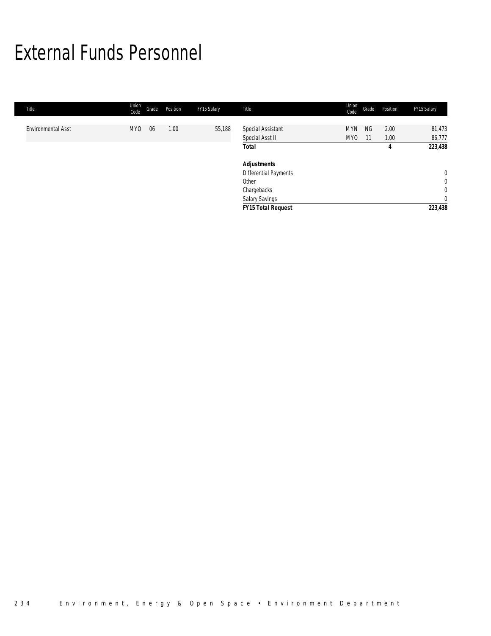# External Funds Personnel

| Title                     | Union<br>Code   | Grade | Position | FY15 Salary | Title                                | Union<br>Code                 | Grade           | Position       | FY15 Salary      |
|---------------------------|-----------------|-------|----------|-------------|--------------------------------------|-------------------------------|-----------------|----------------|------------------|
| <b>Environmental Asst</b> | MY <sub>0</sub> | 06    | 1.00     | 55,188      | Special Assistant<br>Special Asst II | <b>MYN</b><br>MY <sub>0</sub> | <b>NG</b><br>11 | 2.00<br>1.00   | 81,473<br>86,777 |
|                           |                 |       |          |             | Total                                |                               |                 | $\overline{4}$ | 223,438          |
|                           |                 |       |          |             | <b>Adjustments</b>                   |                               |                 |                |                  |
|                           |                 |       |          |             | <b>Differential Payments</b>         |                               |                 |                | $\overline{0}$   |
|                           |                 |       |          |             | Other                                |                               |                 |                | $\mathbf 0$      |
|                           |                 |       |          |             | Chargebacks                          |                               |                 |                | $\mathbf{0}$     |
|                           |                 |       |          |             | <b>Salary Savings</b>                |                               |                 |                | $\overline{0}$   |
|                           |                 |       |          |             | <b>FY15 Total Request</b>            |                               |                 |                | 223,438          |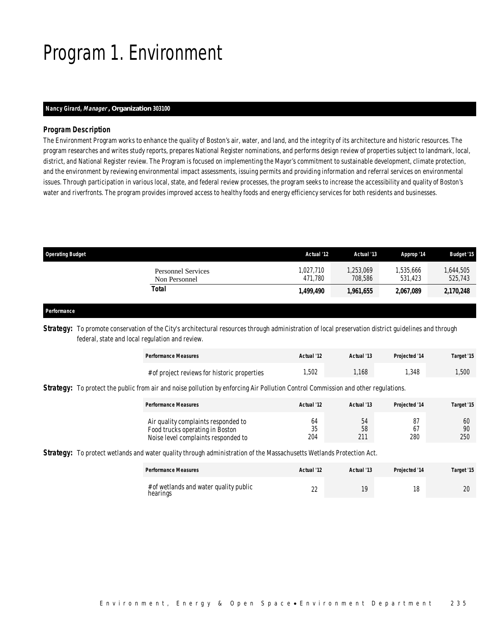# Program 1. Environment

### *Nancy Girard, Manager , Organization 303100*

### *Program Description*

The Environment Program works to enhance the quality of Boston's air, water, and land, and the integrity of its architecture and historic resources. The program researches and writes study reports, prepares National Register nominations, and performs design review of properties subject to landmark, local, district, and National Register review. The Program is focused on implementing the Mayor's commitment to sustainable development, climate protection, and the environment by reviewing environmental impact assessments, issuing permits and providing information and referral services on environmental issues. Through participation in various local, state, and federal review processes, the program seeks to increase the accessibility and quality of Boston's water and riverfronts. The program provides improved access to healthy foods and energy efficiency services for both residents and businesses.

| <b>Operating Budget</b>             | Actual '12          | Actual '13          | Approp '14           | <b>Budget '15</b>   |
|-------------------------------------|---------------------|---------------------|----------------------|---------------------|
| Personnel Services<br>Non Personnel | .027.710<br>471.780 | .253.069<br>708.586 | 1.535.666<br>531.423 | ,644,505<br>525,743 |
| Total                               | 1.499.490           | 1,961,655           | 2,067,089            | 2,170,248           |

### *Performance*

*Strategy:* To promote conservation of the City's architectural resources through administration of local preservation district guidelines and through federal, state and local regulation and review.

| <b>Performance Measures</b>                  | Actual '12 | Actual '13 | <b>Projected '14</b> | Target '15 |
|----------------------------------------------|------------|------------|----------------------|------------|
| # of project reviews for historic properties | ,502       | 168        | .348                 | ,500       |

### Strategy: To protect the public from air and noise pollution by enforcing Air Pollution Control Commission and other regulations.

| <b>Performance Measures</b>                                            | Actual '12      | Actual '13 | <b>Projected '14</b> | Target '15 |
|------------------------------------------------------------------------|-----------------|------------|----------------------|------------|
| Air quality complaints responded to<br>Food trucks operating in Boston | 64<br>2Ľ<br>ັບປ | 54<br>58   | 87<br>6              | 90         |
| Noise level complaints responded to                                    | 204             | 21'        | 280                  | 250        |

*Strategy:* To protect wetlands and water quality through administration of the Massachusetts Wetlands Protection Act.

| <b>Performance Measures</b>                        | Actual '12   | Actual '13 | <b>Projected '14</b> | Target '15 |
|----------------------------------------------------|--------------|------------|----------------------|------------|
| # of wetlands and water quality public<br>hearings | $\sim$<br>ے۔ | 10         |                      | 20         |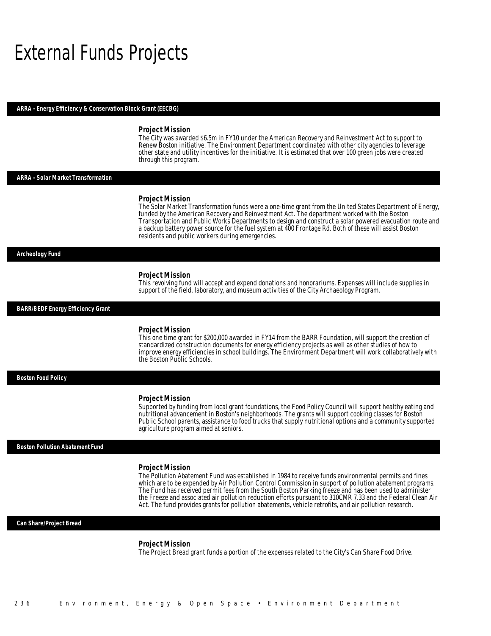# External Funds Projects

#### *ARRA - Energy Efficiency & Conservation Block Grant (EECBG)*

#### *Project Mission*

The City was awarded \$6.5m in FY10 under the American Recovery and Reinvestment Act to support to Renew Boston initiative. The Environment Department coordinated with other city agencies to leverage other state and utility incentives for the initiative. It is estimated that over 100 green jobs were created through this program.

#### *ARRA - Solar Market Transformation*

#### *Project Mission*

The Solar Market Transformation funds were a one-time grant from the United States Department of Energy, funded by the American Recovery and Reinvestment Act. The department worked with the Boston Transportation and Public Works Departments to design and construct a solar powered evacuation route and a backup battery power source for the fuel system at 400 Frontage Rd. Both of these will assist Boston residents and public workers during emergencies.

#### *Archeology Fund*

#### *Project Mission*

This revolving fund will accept and expend donations and honorariums. Expenses will include supplies in support of the field, laboratory, and museum activities of the City Archaeology Program.

*BARR/BEDF Energy Efficiency Grant* 

#### *Project Mission*

This one time grant for \$200,000 awarded in FY14 from the BARR Foundation, will support the creation of standardized construction documents for energy efficiency projects as well as other studies of how to improve energy efficiencies in school buildings. The Environment Department will work collaboratively with the Boston Public Schools.

*Boston Food Policy* 

#### *Project Mission*

Supported by funding from local grant foundations, the Food Policy Council will support healthy eating and nutritional advancement in Boston's neighborhoods. The grants will support cooking classes for Boston Public School parents, assistance to food trucks that supply nutritional options and a community supported agriculture program aimed at seniors.

#### *Boston Pollution Abatement Fund*

#### *Project Mission*

The Pollution Abatement Fund was established in 1984 to receive funds environmental permits and fines which are to be expended by Air Pollution Control Commission in support of pollution abatement programs. The Fund has received permit fees from the South Boston Parking freeze and has been used to administer the Freeze and associated air pollution reduction efforts pursuant to 310CMR 7.33 and the Federal Clean Air Act. The fund provides grants for pollution abatements, vehicle retrofits, and air pollution research.

#### *Can Share/Project Bread*

#### *Project Mission*

The Project Bread grant funds a portion of the expenses related to the City's Can Share Food Drive.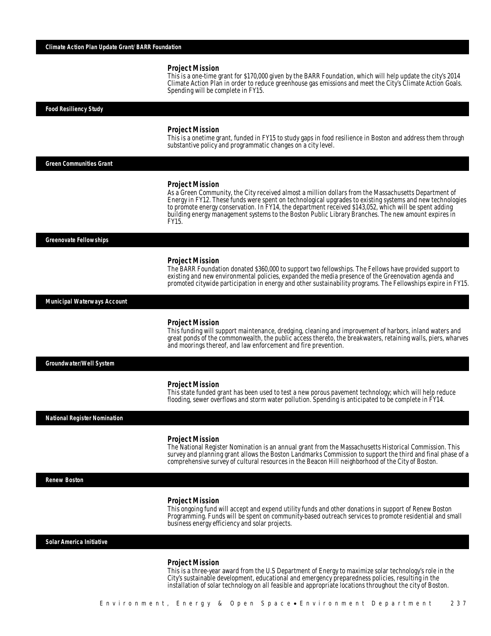#### *Project Mission*

This is a one-time grant for \$170,000 given by the BARR Foundation, which will help update the city's 2014 Climate Action Plan in order to reduce greenhouse gas emissions and meet the City's Climate Action Goals. Spending will be complete in FY15.

*Food Resiliency Study* 

*Project Mission*<br>This is a onetime grant, funded in FY15 to study gaps in food resilience in Boston and address them through substantive policy and programmatic changes on a city level.

*Green Communities Grant* 

#### *Project Mission*

As a Green Community, the City received almost a million dollars from the Massachusetts Department of Energy in FY12. These funds were spent on technological upgrades to existing systems and new technologies to promote energy conservation. In FY14, the department received \$143,052, which will be spent adding building energy management systems to the Boston Public Library Branches. The new amount expires in FY15.

*Greenovate Fellowships* 

#### *Project Mission*

The BARR Foundation donated \$360,000 to support two fellowships. The Fellows have provided support to existing and new environmental policies, expanded the media presence of the Greenovation agenda and promoted citywide participation in energy and other sustainability programs. The Fellowships expire in FY15. Î

*Municipal Waterways Account* 

#### *Project Mission*

This funding will support maintenance, dredging, cleaning and improvement of harbors, inland waters and great ponds of the commonwealth, the public access thereto, the breakwaters, retaining walls, piers, wharves and moorings thereof, and law enforcement and fire prevention.

*Groundwater/Well System* 

#### *Project Mission*

This state funded grant has been used to test a new porous pavement technology; which will help reduce flooding, sewer overflows and storm water pollution. Spending is anticipated to be complete in FY14.

*National Register Nomination* 

#### *Project Mission*

The National Register Nomination is an annual grant from the Massachusetts Historical Commission. This survey and planning grant allows the Boston Landmarks Commission to support the third and final phase of a comprehensive survey of cultural resources in the Beacon Hill neighborhood of the City of Boston.

*Renew Boston* 

#### *Project Mission*

This ongoing fund will accept and expend utility funds and other donations in support of Renew Boston Programming. Funds will be spent on community-based outreach services to promote residential and small business energy efficiency and solar projects.

*Solar America Initiative* 

#### *Project Mission*

This is a three-year award from the U.S Department of Energy to maximize solar technology's role in the City's sustainable development, educational and emergency preparedness policies, resulting in the installation of solar technology on all feasible and appropriate locations throughout the city of Boston.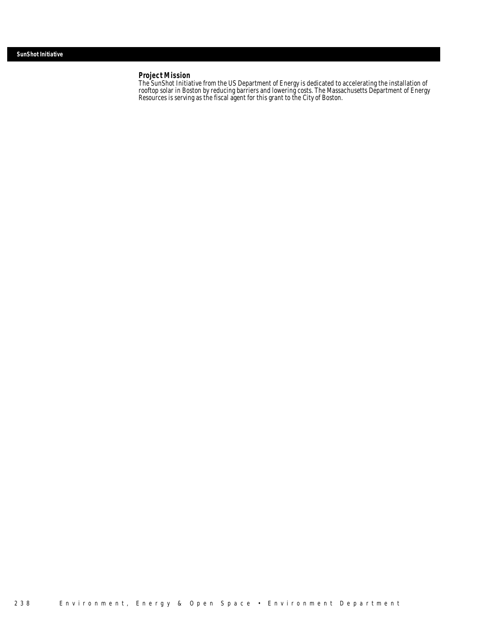#### *Project Mission*

The SunShot Initiative from the US Department of Energy is dedicated to accelerating the installation of rooftop solar in Boston by reducing barriers and lowering costs. The Massachusetts Department of Energy Resources is serving as the fiscal agent for this grant to the City of Boston.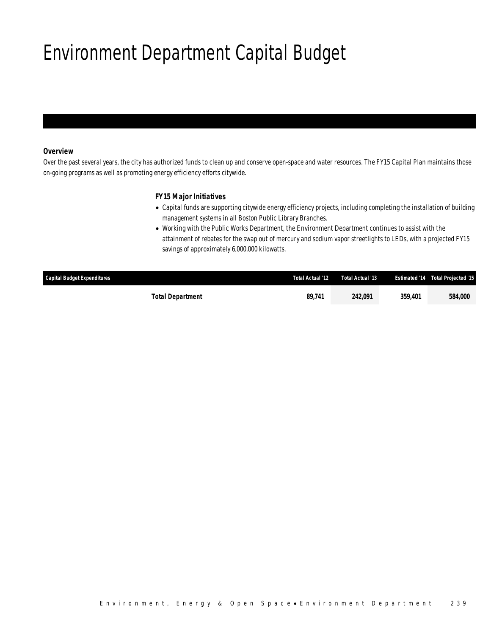# Environment Department Capital Budget

### *Overview*

Over the past several years, the city has authorized funds to clean up and conserve open-space and water resources. The FY15 Capital Plan maintains those on-going programs as well as promoting energy efficiency efforts citywide.

### *FY15 Major Initiatives*

- Capital funds are supporting citywide energy efficiency projects, including completing the installation of building management systems in all Boston Public Library Branches.
- Working with the Public Works Department, the Environment Department continues to assist with the attainment of rebates for the swap out of mercury and sodium vapor streetlights to LEDs, with a projected FY15 savings of approximately 6,000,000 kilowatts.

| <b>Capital Budget Expenditures</b> | Total Actual '12 | Total Actual '13 | <b>Estimated '14</b> | Total Projected '15 |
|------------------------------------|------------------|------------------|----------------------|---------------------|
| Total Department                   | 89,741           | 242,091          | 359,401              | 584,000             |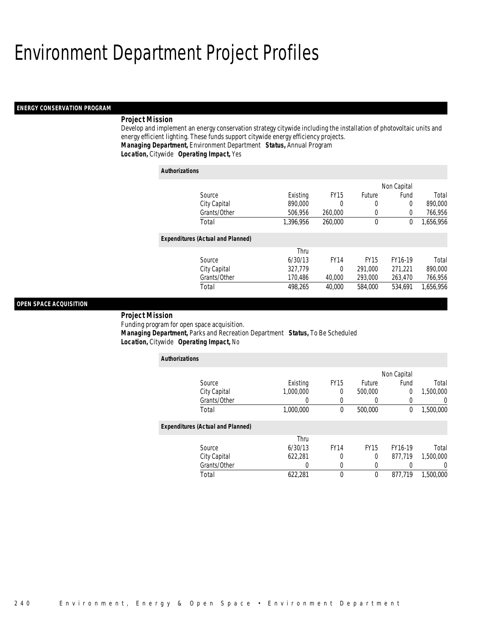# Environment Department Project Profiles

#### *ENERGY CONSERVATION PROGRAM*

### *Project Mission*

Develop and implement an energy conservation strategy citywide including the installation of photovoltaic units and energy efficient lighting. These funds support citywide energy efficiency projects. *Managing Department,* Environment Department *Status,* Annual Program*Location,* Citywide *Operating Impact,* Yes

| <b>Authorizations</b>                    |           |             |             |             |           |
|------------------------------------------|-----------|-------------|-------------|-------------|-----------|
|                                          |           |             |             | Non Capital |           |
| Source                                   | Existing  | <b>FY15</b> | Future      | <b>Fund</b> | Total     |
| City Capital                             | 890,000   | 0           | 0           | 0           | 890,000   |
| Grants/Other                             | 506.956   | 260,000     | 0           | 0           | 766,956   |
| Total                                    | 1.396.956 | 260,000     | 0           | 0           | 1,656,956 |
| <b>Expenditures (Actual and Planned)</b> |           |             |             |             |           |
|                                          | Thru      |             |             |             |           |
| Source                                   | 6/30/13   | <b>FY14</b> | <b>FY15</b> | FY16-19     | Total     |
| City Capital                             | 327.779   | 0           | 291.000     | 271.221     | 890,000   |
| Grants/Other                             | 170,486   | 40,000      | 293,000     | 263.470     | 766,956   |
| Total                                    | 498.265   | 40,000      | 584,000     | 534.691     | 1.656.956 |

### *OPEN SPACE ACQUISITION*

*Project Mission* 

Funding program for open space acquisition.

 *Managing Department,* Parks and Recreation Department *Status,* To Be Scheduled*Location,* Citywide *Operating Impact,* No

| <b>Authorizations</b>                    |           |             |             |             |           |
|------------------------------------------|-----------|-------------|-------------|-------------|-----------|
|                                          |           |             |             | Non Capital |           |
| Source                                   | Existing  | <b>FY15</b> | Future      | Fund        | Total     |
| City Capital                             | 1,000,000 | 0           | 500,000     | 0           | 1,500,000 |
| Grants/Other                             | O         | 0           | 0           | 0           |           |
| Total                                    | 1,000,000 | $\theta$    | 500,000     | 0           | 1,500,000 |
| <b>Expenditures (Actual and Planned)</b> |           |             |             |             |           |
|                                          | Thru      |             |             |             |           |
| Source                                   | 6/30/13   | <b>FY14</b> | <b>FY15</b> | FY16-19     | Total     |
| City Capital                             | 622,281   | $\Omega$    | 0           | 877.719     | 1,500,000 |
| Grants/Other                             | 0         | $\theta$    | 0           | 0           |           |
| Total                                    | 622,281   | $\theta$    | 0           | 877.719     | 1,500,000 |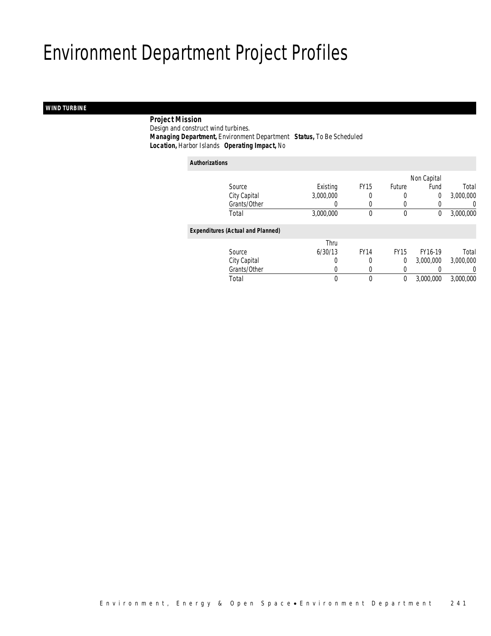# Environment Department Project Profiles

### *WIND TURBINE*

### *Project Mission*

 Design and construct wind turbines. *Managing Department,* Environment Department *Status,* To Be Scheduled*Location,* Harbor Islands *Operating Impact,* No

| <b>Authorizations</b> |                                          |           |             |             |             |           |
|-----------------------|------------------------------------------|-----------|-------------|-------------|-------------|-----------|
|                       |                                          |           |             |             | Non Capital |           |
|                       | Source                                   | Existing  | <b>FY15</b> | Future      | Fund        | Total     |
|                       | City Capital                             | 3,000,000 | 0           | 0           | $\theta$    | 3,000,000 |
|                       | Grants/Other                             | 0         | 0           | 0           | 0           | 0         |
|                       | Total                                    | 3,000,000 | $\theta$    | $\theta$    | $\mathbf 0$ | 3,000,000 |
|                       | <b>Expenditures (Actual and Planned)</b> |           |             |             |             |           |
|                       |                                          | Thru      |             |             |             |           |
|                       | Source                                   | 6/30/13   | <b>FY14</b> | <b>FY15</b> | FY16-19     | Total     |
|                       | City Capital                             | 0         | 0           | 0           | 3,000,000   | 3,000,000 |
|                       | Grants/Other                             | 0         | 0           | 0           |             | 0         |
|                       | Total                                    | 0         | $\theta$    | $\mathbf 0$ | 3,000,000   | 3,000,000 |
|                       |                                          |           |             |             |             |           |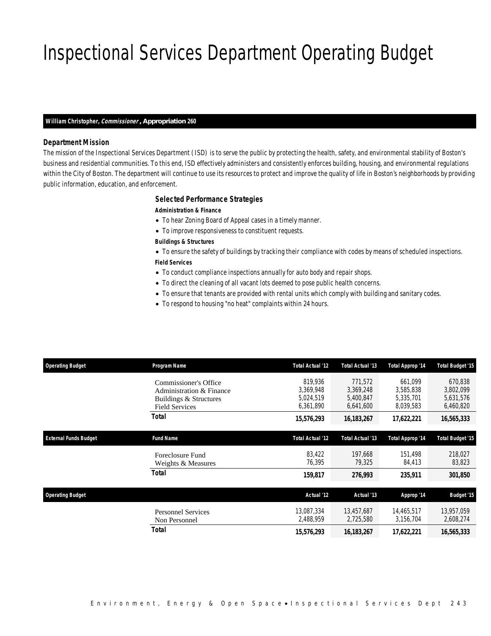# Inspectional Services Department Operating Budget

#### *William Christopher, Commissioner , Appropriation 260*

### *Department Mission*

The mission of the Inspectional Services Department (ISD) is to serve the public by protecting the health, safety, and environmental stability of Boston's business and residential communities. To this end, ISD effectively administers and consistently enforces building, housing, and environmental regulations within the City of Boston. The department will continue to use its resources to protect and improve the quality of life in Boston's neighborhoods by providing public information, education, and enforcement.

#### *Selected Performance Strategies*

### *Administration & Finance*

- To hear Zoning Board of Appeal cases in a timely manner.
- To improve responsiveness to constituent requests.

#### *Buildings & Structures*

• To ensure the safety of buildings by tracking their compliance with codes by means of scheduled inspections. *Field Services* 

- To conduct compliance inspections annually for auto body and repair shops.
- To direct the cleaning of all vacant lots deemed to pose public health concerns.
- To ensure that tenants are provided with rental units which comply with building and sanitary codes.
- To respond to housing "no heat" complaints within 24 hours.

| <b>Operating Budget</b>      | Program Name                               | <b>Total Actual '12</b> | Total Actual '13        | <b>Total Approp '14</b> | <b>Total Budget '15</b> |
|------------------------------|--------------------------------------------|-------------------------|-------------------------|-------------------------|-------------------------|
|                              | Commissioner's Office                      | 819.936                 | 771.572                 | 661.099                 | 670,838                 |
|                              | Administration & Finance                   | 3,369,948               | 3,369,248               | 3,585,838               | 3,802,099               |
|                              | Buildings & Structures                     | 5,024,519               | 5,400,847               | 5,335,701               | 5,631,576               |
|                              | <b>Field Services</b>                      | 6,361,890               | 6,641,600               | 8,039,583               | 6,460,820               |
|                              | Total                                      | 15,576,293              | 16,183,267              | 17,622,221              | 16,565,333              |
| <b>External Funds Budget</b> | <b>Fund Name</b>                           | <b>Total Actual '12</b> | Total Actual '13        | Total Approp '14        | <b>Total Budget '15</b> |
|                              | Foreclosure Fund                           | 83,422                  | 197,668                 | 151.498                 | 218,027                 |
|                              | Weights & Measures                         | 76,395                  | 79.325                  | 84.413                  | 83,823                  |
|                              | Total                                      | 159,817                 | 276,993                 | 235,911                 | 301,850                 |
| <b>Operating Budget</b>      |                                            | Actual '12              | Actual '13              | Approp '14              | Budget '15              |
|                              |                                            |                         |                         |                         |                         |
|                              | <b>Personnel Services</b><br>Non Personnel | 13,087,334<br>2,488,959 | 13,457,687<br>2,725,580 | 14,465,517<br>3,156,704 | 13,957,059<br>2,608,274 |
|                              | <b>Total</b>                               | 15,576,293              | 16,183,267              | 17,622,221              | 16,565,333              |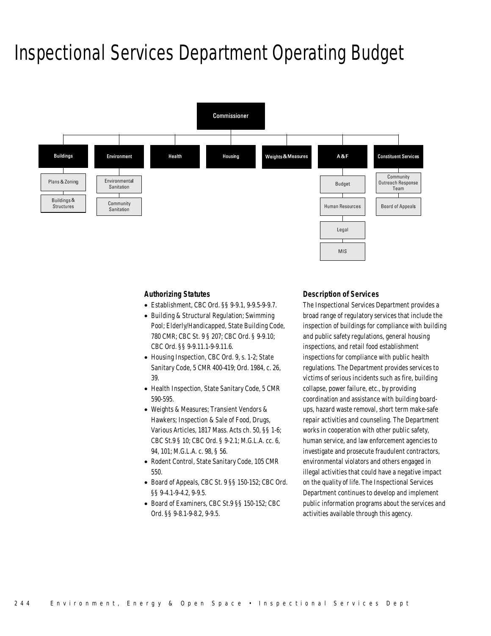# Inspectional Services Department Operating Budget



### *Authorizing Statutes*

- Establishment, CBC Ord. §§ 9-9.1, 9-9.5-9-9.7.
- Building & Structural Regulation; Swimming Pool; Elderly/Handicapped, State Building Code, 780 CMR; CBC St. 9 § 207; CBC Ord. § 9-9.10; CBC Ord. §§ 9-9.11.1-9-9.11.6.
- Housing Inspection, CBC Ord. 9, s. 1-2; State Sanitary Code, 5 CMR 400-419; Ord. 1984, c. 26, 39.
- Health Inspection, State Sanitary Code, 5 CMR 590-595.
- Weights & Measures; Transient Vendors & Hawkers; Inspection & Sale of Food, Drugs, Various Articles, 1817 Mass. Acts ch. 50, §§ 1-6; CBC St.9 § 10; CBC Ord. § 9-2.1; M.G.L.A. cc. 6, 94, 101; M.G.L.A. c. 98, § 56.
- Rodent Control, State Sanitary Code, 105 CMR 550.
- Board of Appeals, CBC St. 9 §§ 150-152; CBC Ord. §§ 9-4.1-9-4.2, 9-9.5.
- Board of Examiners, CBC St.9 §§ 150-152; CBC Ord. §§ 9-8.1-9-8.2, 9-9.5.

#### *Description of Services*

The Inspectional Services Department provides a broad range of regulatory services that include the inspection of buildings for compliance with building and public safety regulations, general housing inspections, and retail food establishment inspections for compliance with public health regulations. The Department provides services to victims of serious incidents such as fire, building collapse, power failure, etc., by providing coordination and assistance with building boardups, hazard waste removal, short term make-safe repair activities and counseling. The Department works in cooperation with other public safety, human service, and law enforcement agencies to investigate and prosecute fraudulent contractors, environmental violators and others engaged in illegal activities that could have a negative impact on the quality of life. The Inspectional Services Department continues to develop and implement public information programs about the services and activities available through this agency.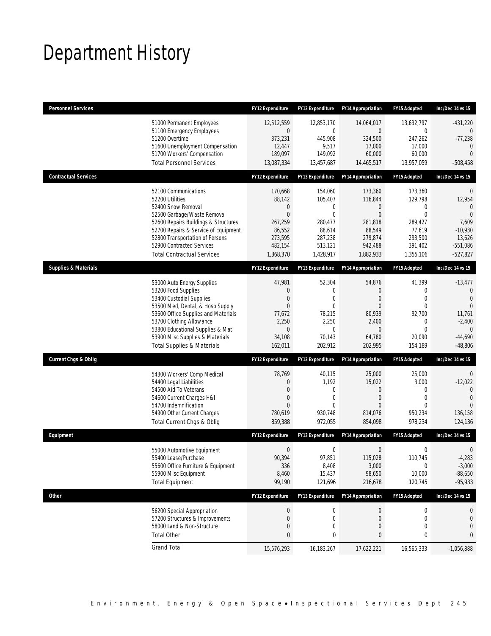# Department History

| <b>Personnel Services</b>       |                                                                                                                                                                                                                                                                                                      | <b>FY12 Expenditure</b>                                                                                       | <b>FY13 Expenditure</b>                                                              | <b>FY14 Appropriation</b>                                                                                   | FY15 Adopted                                                                                              | Inc/Dec 14 vs 15                                                                                                          |
|---------------------------------|------------------------------------------------------------------------------------------------------------------------------------------------------------------------------------------------------------------------------------------------------------------------------------------------------|---------------------------------------------------------------------------------------------------------------|--------------------------------------------------------------------------------------|-------------------------------------------------------------------------------------------------------------|-----------------------------------------------------------------------------------------------------------|---------------------------------------------------------------------------------------------------------------------------|
|                                 | 51000 Permanent Employees<br>51100 Emergency Employees<br>51200 Overtime<br>51600 Unemployment Compensation<br>51700 Workers' Compensation<br><b>Total Personnel Services</b>                                                                                                                        | 12,512,559<br>$\overline{0}$<br>373,231<br>12,447<br>189,097<br>13,087,334                                    | 12,853,170<br>$\mathbf 0$<br>445,908<br>9,517<br>149,092<br>13,457,687               | 14,064,017<br>$\mathbf{0}$<br>324,500<br>17,000<br>60,000<br>14,465,517                                     | 13,632,797<br>$\mathbf{0}$<br>247,262<br>17,000<br>60,000<br>13,957,059                                   | $-431,220$<br>$\theta$<br>$-77,238$<br>$\mathbf{0}$<br>$\Omega$<br>$-508,458$                                             |
| <b>Contractual Services</b>     |                                                                                                                                                                                                                                                                                                      | <b>FY12 Expenditure</b>                                                                                       | <b>FY13 Expenditure</b>                                                              | <b>FY14 Appropriation</b>                                                                                   | FY15 Adopted                                                                                              | Inc/Dec 14 vs 15                                                                                                          |
|                                 | 52100 Communications<br>52200 Utilities<br>52400 Snow Removal<br>52500 Garbage/Waste Removal<br>52600 Repairs Buildings & Structures<br>52700 Repairs & Service of Equipment<br>52800 Transportation of Persons<br>52900 Contracted Services<br><b>Total Contractual Services</b>                    | 170,668<br>88,142<br>$\overline{0}$<br>$\overline{0}$<br>267,259<br>86,552<br>273,595<br>482,154<br>1,368,370 | 154,060<br>105,407<br>0<br>0<br>280,477<br>88,614<br>287,238<br>513,121<br>1,428,917 | 173,360<br>116,844<br>$\mathbf 0$<br>$\overline{0}$<br>281,818<br>88,549<br>279,874<br>942,488<br>1,882,933 | 173,360<br>129,798<br>$\mathbf 0$<br>$\mathbf{0}$<br>289,427<br>77,619<br>293,500<br>391,402<br>1,355,106 | 0<br>12,954<br>$\Omega$<br>$\Omega$<br>7,609<br>$-10,930$<br>13,626<br>$-551,086$<br>$-527,827$                           |
| <b>Supplies &amp; Materials</b> |                                                                                                                                                                                                                                                                                                      | <b>FY12 Expenditure</b>                                                                                       | FY13 Expenditure                                                                     | <b>FY14 Appropriation</b>                                                                                   | FY15 Adopted                                                                                              | Inc/Dec 14 vs 15                                                                                                          |
|                                 | 53000 Auto Energy Supplies<br>53200 Food Supplies<br>53400 Custodial Supplies<br>53500 Med, Dental, & Hosp Supply<br>53600 Office Supplies and Materials<br>53700 Clothing Allowance<br>53800 Educational Supplies & Mat<br>53900 Misc Supplies & Materials<br><b>Total Supplies &amp; Materials</b> | 47,981<br>0<br>$\overline{0}$<br>$\overline{0}$<br>77,672<br>2,250<br>$\mathbf 0$<br>34,108<br>162,011        | 52,304<br>0<br>0<br>0<br>78,215<br>2,250<br>0<br>70,143<br>202,912                   | 54,876<br>$\theta$<br>$\theta$<br>$\theta$<br>80,939<br>2,400<br>$\theta$<br>64,780<br>202,995              | 41,399<br>$\mathbf 0$<br>$\mathbf{0}$<br>$\mathbf{0}$<br>92,700<br>0<br>$\theta$<br>20,090<br>154,189     | $-13,477$<br>$\theta$<br>$\overline{0}$<br>$\overline{0}$<br>11,761<br>$-2,400$<br>$\mathbf{0}$<br>$-44,690$<br>$-48,806$ |
| <b>Current Chgs &amp; Oblig</b> |                                                                                                                                                                                                                                                                                                      | <b>FY12 Expenditure</b>                                                                                       | FY13 Expenditure                                                                     | <b>FY14 Appropriation</b>                                                                                   | FY15 Adopted                                                                                              | Inc/Dec 14 vs 15                                                                                                          |
|                                 | 54300 Workers' Comp Medical<br>54400 Legal Liabilities<br>54500 Aid To Veterans<br>54600 Current Charges H&I<br>54700 Indemnification<br>54900 Other Current Charges<br>Total Current Chgs & Oblig                                                                                                   | 78,769<br>0<br>$\Omega$<br>0<br>$\Omega$<br>780,619<br>859,388                                                | 40,115<br>1,192<br>0<br>0<br>0<br>930,748<br>972,055                                 | 25,000<br>15,022<br>$\theta$<br>$\theta$<br>$\Omega$<br>814,076<br>854,098                                  | 25,000<br>3,000<br>$\mathbf{0}$<br>$\mathbf{0}$<br>$\Omega$<br>950,234<br>978,234                         | 0<br>$-12,022$<br>$\Omega$<br>$\Omega$<br>$\Omega$<br>136,158<br>124,136                                                  |
| Equipment                       |                                                                                                                                                                                                                                                                                                      | <b>FY12 Expenditure</b>                                                                                       | <b>FY13 Expenditure</b>                                                              | <b>FY14 Appropriation</b>                                                                                   | FY15 Adopted                                                                                              | Inc/Dec 14 vs 15                                                                                                          |
|                                 | 55000 Automotive Equipment<br>55400 Lease/Purchase<br>55600 Office Furniture & Equipment<br>55900 Misc Equipment<br><b>Total Equipment</b>                                                                                                                                                           | 0<br>90,394<br>336<br>8,460<br>99,190                                                                         | 0<br>97,851<br>8,408<br>15,437<br>121,696                                            | $\boldsymbol{0}$<br>115,028<br>3,000<br>98,650<br>216,678                                                   | $\mathbf 0$<br>110,745<br>0<br>10,000<br>120,745                                                          | $\mathbf 0$<br>$-4,283$<br>$-3,000$<br>$-88,650$<br>$-95,933$                                                             |
| Other                           |                                                                                                                                                                                                                                                                                                      | FY12 Expenditure                                                                                              | FY13 Expenditure                                                                     | <b>FY14 Appropriation</b>                                                                                   | FY15 Adopted                                                                                              | Inc/Dec 14 vs 15                                                                                                          |
|                                 | 56200 Special Appropriation<br>57200 Structures & Improvements<br>58000 Land & Non-Structure<br><b>Total Other</b>                                                                                                                                                                                   | $\pmb{0}$<br>0<br>0<br>0                                                                                      | $\boldsymbol{0}$<br>$\mathbf 0$<br>0<br>0                                            | $\boldsymbol{0}$<br>$\mathbf 0$<br>$\theta$<br>0                                                            | $\boldsymbol{0}$<br>$\mathbf 0$<br>$\mathbf 0$<br>0                                                       | 0<br>0<br>0<br>0                                                                                                          |
|                                 | <b>Grand Total</b>                                                                                                                                                                                                                                                                                   | 15,576,293                                                                                                    | 16,183,267                                                                           | 17,622,221                                                                                                  | 16,565,333                                                                                                | $-1,056,888$                                                                                                              |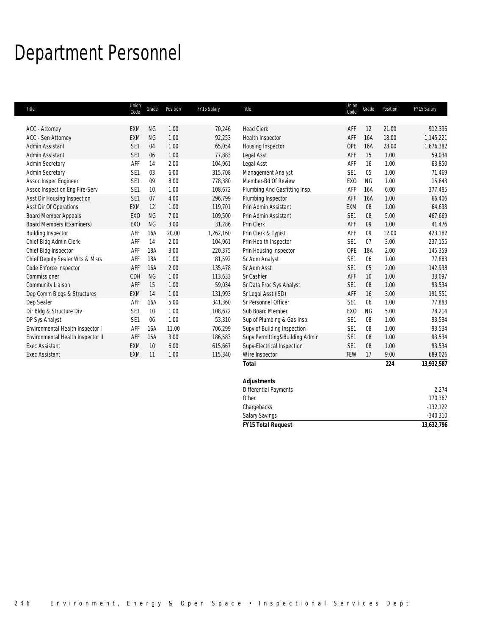# Department Personnel

| Title                             | Union<br>Code   | Grade      | Position | FY15 Salary | Title                          | Union<br>Code   | Grade     | Position | FY15 Salary |
|-----------------------------------|-----------------|------------|----------|-------------|--------------------------------|-----------------|-----------|----------|-------------|
| <b>ACC - Attorney</b>             | <b>EXM</b>      | <b>NG</b>  | 1.00     | 70,246      | <b>Head Clerk</b>              | AFF             | 12        | 21.00    | 912,396     |
| <b>ACC - Sen Attorney</b>         | <b>EXM</b>      | <b>NG</b>  | 1.00     | 92,253      | <b>Health Inspector</b>        | AFF             | 16A       | 18.00    | 1,145,221   |
| Admin Assistant                   | SE <sub>1</sub> | 04         | 1.00     | 65,054      | Housing Inspector              | <b>OPE</b>      | 16A       | 28.00    | 1,676,382   |
| Admin Assistant                   | SE <sub>1</sub> | 06         | 1.00     | 77,883      | Legal Asst                     | AFF             | 15        | 1.00     | 59,034      |
| Admin Secretary                   | AFF             | 14         | 2.00     | 104,961     | Legal Asst                     | AFF             | 16        | 1.00     | 63,850      |
| <b>Admin Secretary</b>            | SE <sub>1</sub> | 03         | 6.00     | 315,708     | Management Analyst             | SE <sub>1</sub> | 05        | 1.00     | 71,469      |
| Assoc Inspec Engineer             | SE <sub>1</sub> | 09         | 8.00     | 778,380     | Member-Bd Of Review            | EX <sub>0</sub> | <b>NG</b> | 1.00     | 15,643      |
| Assoc Inspection Eng Fire-Serv    | SE <sub>1</sub> | 10         | 1.00     | 108,672     | Plumbing And Gasfitting Insp.  | AFF             | 16A       | 6.00     | 377,485     |
| Asst Dir Housing Inspection       | SE <sub>1</sub> | 07         | 4.00     | 296,799     | Plumbing Inspector             | AFF             | 16A       | 1.00     | 66,406      |
| Asst Dir Of Operations            | <b>EXM</b>      | 12         | 1.00     | 119,701     | Prin Admin Assistant           | <b>EXM</b>      | 08        | 1.00     | 64,698      |
| <b>Board Member Appeals</b>       | EX <sub>0</sub> | <b>NG</b>  | 7.00     | 109,500     | Prin Admin Assistant           | SE <sub>1</sub> | 08        | 5.00     | 467,669     |
| <b>Board Members (Examiners)</b>  | EX <sub>0</sub> | <b>NG</b>  | 3.00     | 31,286      | Prin Clerk                     | AFF             | 09        | 1.00     | 41,476      |
| <b>Building Inspector</b>         | AFF             | 16A        | 20.00    | 1,262,160   | Prin Clerk & Typist            | AFF             | 09        | 12.00    | 423,182     |
| Chief Bldg Admin Clerk            | AFF             | 14         | 2.00     | 104,961     | Prin Health Inspector          | SE <sub>1</sub> | 07        | 3.00     | 237,155     |
| Chief Bldg Inspector              | AFF             | <b>18A</b> | 3.00     | 220,375     | Prin Housing Inspector         | <b>OPE</b>      | 18A       | 2.00     | 145,359     |
| Chief Deputy Sealer Wts & Msrs    | AFF             | 18A        | 1.00     | 81,592      | Sr Adm Analyst                 | SE <sub>1</sub> | 06        | 1.00     | 77,883      |
| Code Enforce Inspector            | AFF             | 16A        | 2.00     | 135,478     | Sr Adm Asst                    | SE <sub>1</sub> | 05        | 2.00     | 142,938     |
| Commissioner                      | CDH             | <b>NG</b>  | 1.00     | 113,633     | Sr Cashier                     | AFF             | 10        | 1.00     | 33,097      |
| Community Liaison                 | AFF             | 15         | 1.00     | 59,034      | Sr Data Proc Sys Analyst       | SE <sub>1</sub> | 08        | 1.00     | 93,534      |
| Dep Comm Bldgs & Structures       | <b>EXM</b>      | 14         | 1.00     | 131,993     | Sr Legal Asst (ISD)            | AFF             | 16        | 3.00     | 191,551     |
| Dep Sealer                        | AFF             | 16A        | 5.00     | 341,360     | Sr Personnel Officer           | SE <sub>1</sub> | 06        | 1.00     | 77,883      |
| Dir Bldg & Structure Div          | SE <sub>1</sub> | 10         | 1.00     | 108,672     | Sub Board Member               | EX <sub>0</sub> | <b>NG</b> | 5.00     | 78,214      |
| DP Sys Analyst                    | SE <sub>1</sub> | 06         | 1.00     | 53,310      | Sup of Plumbing & Gas Insp.    | SE <sub>1</sub> | 08        | 1.00     | 93,534      |
| Environmental Health Inspector I  | AFF             | 16A        | 11.00    | 706,299     | Supv of Building Inspection    | SE <sub>1</sub> | 08        | 1.00     | 93,534      |
| Environmental Health Inspector II | AFF             | 15A        | 3.00     | 186,583     | Supv Permitting&Building Admin | SE <sub>1</sub> | 08        | 1.00     | 93,534      |
| <b>Exec Assistant</b>             | <b>EXM</b>      | 10         | 6.00     | 615,667     | Supv-Electrical Inspection     | SE <sub>1</sub> | 08        | 1.00     | 93,534      |
| <b>Exec Assistant</b>             | <b>EXM</b>      | 11         | 1.00     | 115,340     | Wire Inspector                 | FEW             | 17        | 9.00     | 689,026     |
|                                   |                 |            |          |             | <b>Total</b>                   |                 |           | 224      | 13,932,587  |
|                                   |                 |            |          |             |                                |                 |           |          |             |

| <b>FY15 Total Request</b>    | 13,632,796  |
|------------------------------|-------------|
| <b>Salary Savings</b>        | $-340,310$  |
| Chargebacks                  | $-132, 122$ |
| Other                        | 170,367     |
| <b>Differential Payments</b> | 2,274       |
| <b>Adjustments</b>           |             |
|                              |             |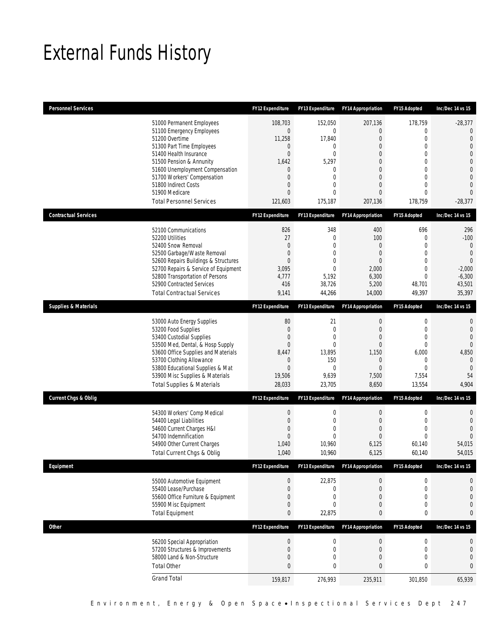# External Funds History

| <b>Personnel Services</b>       |                                                                                                                                                                                                                                                                                                            | <b>FY12 Expenditure</b>                                                                | <b>FY13 Expenditure</b>                                                                                                                                | <b>FY14 Appropriation</b>                                                                                        | FY15 Adopted                                                                  | Inc/Dec 14 vs 15                                                                                                                                                       |
|---------------------------------|------------------------------------------------------------------------------------------------------------------------------------------------------------------------------------------------------------------------------------------------------------------------------------------------------------|----------------------------------------------------------------------------------------|--------------------------------------------------------------------------------------------------------------------------------------------------------|------------------------------------------------------------------------------------------------------------------|-------------------------------------------------------------------------------|------------------------------------------------------------------------------------------------------------------------------------------------------------------------|
|                                 | 51000 Permanent Employees<br>51100 Emergency Employees<br>51200 Overtime<br>51300 Part Time Employees<br>51400 Health Insurance<br>51500 Pension & Annunity<br>51600 Unemployment Compensation<br>51700 Workers' Compensation<br>51800 Indirect Costs<br>51900 Medicare<br><b>Total Personnel Services</b> | 108,703<br>$\mathbf{0}$<br>11,258<br>0<br>0<br>1,642<br>0<br>0<br>0<br>0<br>121,603    | 152,050<br>$\mathbf 0$<br>17,840<br>$\mathbf 0$<br>$\mathbf{0}$<br>5,297<br>$\mathbf 0$<br>$\boldsymbol{0}$<br>$\mathbf{0}$<br>$\mathbf{0}$<br>175,187 | 207,136<br>$\mathbf{0}$<br>$\mathbf 0$<br>0<br>$\Omega$<br>0<br>0<br>$\mathbf 0$<br>0<br>$\mathbf{0}$<br>207,136 | 178,759<br>0<br>0<br>0<br>$\Omega$<br>0<br>$\theta$<br>0<br>0<br>0<br>178,759 | $-28,377$<br>$\theta$<br>$\overline{0}$<br>$\overline{0}$<br>$\Omega$<br>$\overline{0}$<br>$\overline{0}$<br>$\Omega$<br>$\overline{0}$<br>$\overline{0}$<br>$-28,377$ |
| <b>Contractual Services</b>     |                                                                                                                                                                                                                                                                                                            | <b>FY12 Expenditure</b>                                                                | FY13 Expenditure                                                                                                                                       | <b>FY14 Appropriation</b>                                                                                        | FY15 Adopted                                                                  | Inc/Dec 14 vs 15                                                                                                                                                       |
|                                 | 52100 Communications<br>52200 Utilities<br>52400 Snow Removal<br>52500 Garbage/Waste Removal<br>52600 Repairs Buildings & Structures<br>52700 Repairs & Service of Equipment<br>52800 Transportation of Persons<br>52900 Contracted Services<br><b>Total Contractual Services</b>                          | 826<br>27<br>$\mathbf{0}$<br>0<br>0<br>3,095<br>4,777<br>416<br>9,141                  | 348<br>$\boldsymbol{0}$<br>$\mathbf{0}$<br>$\mathbf 0$<br>$\mathbf{0}$<br>$\mathbf 0$<br>5,192<br>38,726<br>44,266                                     | 400<br>100<br>$\mathbf 0$<br>$\boldsymbol{0}$<br>$\mathbf{0}$<br>2,000<br>6,300<br>5,200<br>14,000               | 696<br>0<br>$\Omega$<br>0<br>$\theta$<br>0<br>0<br>48,701<br>49,397           | 296<br>$-100$<br>$\mathbf{0}$<br>$\mathbf{0}$<br>$\overline{0}$<br>$-2,000$<br>$-6,300$<br>43,501<br>35,397                                                            |
| <b>Supplies &amp; Materials</b> |                                                                                                                                                                                                                                                                                                            | <b>FY12 Expenditure</b>                                                                | <b>FY13 Expenditure</b>                                                                                                                                | <b>FY14 Appropriation</b>                                                                                        | FY15 Adopted                                                                  | Inc/Dec 14 vs 15                                                                                                                                                       |
|                                 | 53000 Auto Energy Supplies<br>53200 Food Supplies<br>53400 Custodial Supplies<br>53500 Med, Dental, & Hosp Supply<br>53600 Office Supplies and Materials<br>53700 Clothing Allowance<br>53800 Educational Supplies & Mat<br>53900 Misc Supplies & Materials<br><b>Total Supplies &amp; Materials</b>       | 80<br>$\mathbf 0$<br>0<br>0<br>8,447<br>$\mathbf 0$<br>$\mathbf 0$<br>19,506<br>28,033 | 21<br>$\boldsymbol{0}$<br>$\mathbf{0}$<br>$\mathbf 0$<br>13,895<br>150<br>$\mathbf 0$<br>9,639<br>23,705                                               | 0<br>$\mathbf 0$<br>$\mathbf{0}$<br>$\mathbf 0$<br>1,150<br>$\mathbf 0$<br>$\mathbf 0$<br>7,500<br>8,650         | 0<br>0<br>$\mathbf{0}$<br>0<br>6,000<br>0<br>0<br>7,554<br>13,554             | $\mathbf 0$<br>$\mathbf{0}$<br>$\overline{0}$<br>$\Omega$<br>4,850<br>$\overline{0}$<br>$\theta$<br>54<br>4,904                                                        |
| <b>Current Chgs &amp; Oblig</b> |                                                                                                                                                                                                                                                                                                            | <b>FY12 Expenditure</b>                                                                | FY13 Expenditure                                                                                                                                       | <b>FY14 Appropriation</b>                                                                                        | FY15 Adopted                                                                  | Inc/Dec 14 vs 15                                                                                                                                                       |
|                                 | 54300 Workers' Comp Medical<br>54400 Legal Liabilities<br>54600 Current Charges H&I<br>54700 Indemnification<br>54900 Other Current Charges<br>Total Current Chgs & Oblig                                                                                                                                  | $\boldsymbol{0}$<br>$\boldsymbol{0}$<br>0<br>0<br>1,040<br>1,040                       | 0<br>$\boldsymbol{0}$<br>$\mathbf{0}$<br>$\mathbf 0$<br>10,960<br>10,960                                                                               | $\boldsymbol{0}$<br>$\mathbf 0$<br>$\mathbf 0$<br>$\mathbf 0$<br>6,125<br>6,125                                  | $\boldsymbol{0}$<br>$\mathbf 0$<br>0<br>0<br>60,140<br>60,140                 | $\mathbf{0}$<br>$\mathbf{0}$<br>$\overline{0}$<br>$\Omega$<br>54,015<br>54,015                                                                                         |
| Equipment                       |                                                                                                                                                                                                                                                                                                            | FY12 Expenditure                                                                       | FY13 Expenditure                                                                                                                                       | <b>FY14 Appropriation</b>                                                                                        | FY15 Adopted                                                                  | Inc/Dec 14 vs 15                                                                                                                                                       |
|                                 | 55000 Automotive Equipment<br>55400 Lease/Purchase<br>55600 Office Furniture & Equipment<br>55900 Misc Equipment<br><b>Total Equipment</b>                                                                                                                                                                 | 0<br>0<br>0<br>0<br>0                                                                  | 22,875<br>$\boldsymbol{0}$<br>$\boldsymbol{0}$<br>$\mathbf 0$<br>22,875                                                                                | 0<br>$\mathbf 0$<br>$\overline{0}$<br>0<br>0                                                                     | $\boldsymbol{0}$<br>0<br>0<br>0<br>0                                          | 0<br>$\overline{0}$<br>$\mathbf 0$<br>$\theta$<br>$\mathbf 0$                                                                                                          |
| <b>Other</b>                    |                                                                                                                                                                                                                                                                                                            | FY12 Expenditure                                                                       | FY13 Expenditure                                                                                                                                       | <b>FY14 Appropriation</b>                                                                                        | FY15 Adopted                                                                  | Inc/Dec 14 vs 15                                                                                                                                                       |
|                                 | 56200 Special Appropriation<br>57200 Structures & Improvements<br>58000 Land & Non-Structure<br><b>Total Other</b>                                                                                                                                                                                         | $\boldsymbol{0}$<br>0<br>0<br>0                                                        | $\boldsymbol{0}$<br>$\boldsymbol{0}$<br>0<br>0                                                                                                         | $\boldsymbol{0}$<br>$\mathbf 0$<br>$\mathbf 0$<br>0                                                              | $\boldsymbol{0}$<br>0<br>0<br>0                                               | $\mathbf 0$<br>$\mathbf 0$<br>$\overline{0}$<br>$\mathbf{0}$                                                                                                           |
|                                 | <b>Grand Total</b>                                                                                                                                                                                                                                                                                         | 159,817                                                                                | 276,993                                                                                                                                                | 235,911                                                                                                          | 301,850                                                                       | 65,939                                                                                                                                                                 |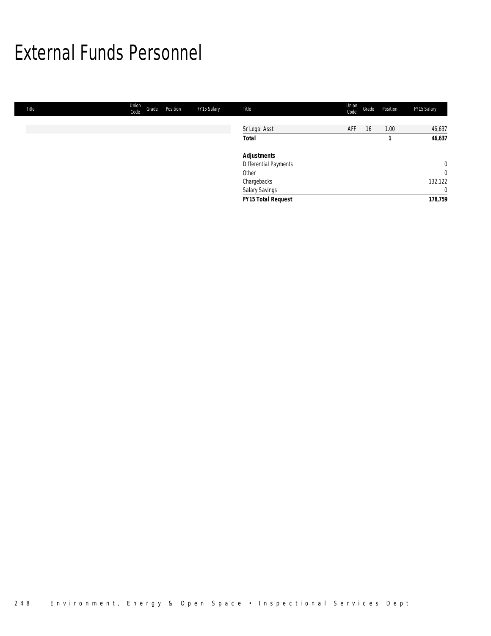# External Funds Personnel

| Title | Union<br>Code | Grade | Position | FY15 Salary | Title                        | Union<br>Code | Grade | Position | FY15 Salary    |
|-------|---------------|-------|----------|-------------|------------------------------|---------------|-------|----------|----------------|
|       |               |       |          |             |                              |               |       |          |                |
|       |               |       |          |             | Sr Legal Asst                | AFF           | 16    | 1.00     | 46,637         |
|       |               |       |          |             | <b>Total</b>                 |               |       |          | 46,637         |
|       |               |       |          |             | <b>Adjustments</b>           |               |       |          |                |
|       |               |       |          |             | <b>Differential Payments</b> |               |       |          | $\overline{0}$ |
|       |               |       |          |             | Other                        |               |       |          | $\overline{0}$ |
|       |               |       |          |             | Chargebacks                  |               |       |          | 132,122        |
|       |               |       |          |             | Salary Savings               |               |       |          | $\mathbf{0}$   |
|       |               |       |          |             | FY15 Total Request           |               |       |          | 178,759        |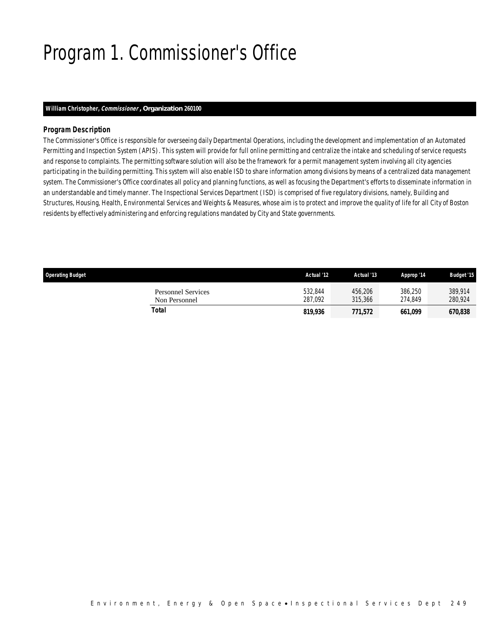# Program 1. Commissioner's Office

### *William Christopher, Commissioner , Organization 260100*

### *Program Description*

The Commissioner's Office is responsible for overseeing daily Departmental Operations, including the development and implementation of an Automated Permitting and Inspection System (APIS). This system will provide for full online permitting and centralize the intake and scheduling of service requests and response to complaints. The permitting software solution will also be the framework for a permit management system involving all city agencies participating in the building permitting. This system will also enable ISD to share information among divisions by means of a centralized data management system. The Commissioner's Office coordinates all policy and planning functions, as well as focusing the Department's efforts to disseminate information in an understandable and timely manner. The Inspectional Services Department (ISD) is comprised of five regulatory divisions, namely, Building and Structures, Housing, Health, Environmental Services and Weights & Measures, whose aim is to protect and improve the quality of life for all City of Boston residents by effectively administering and enforcing regulations mandated by City and State governments.

| <b>Operating Budget</b>                    | Actual '12         | Actual '13         | Approp '14         | <b>Budget '15</b>  |
|--------------------------------------------|--------------------|--------------------|--------------------|--------------------|
| <b>Personnel Services</b><br>Non Personnel | 532.844<br>287.092 | 456,206<br>315,366 | 386.250<br>274.849 | 389.914<br>280,924 |
| Total                                      | 819,936            | 771.572            | 661.099            | 670,838            |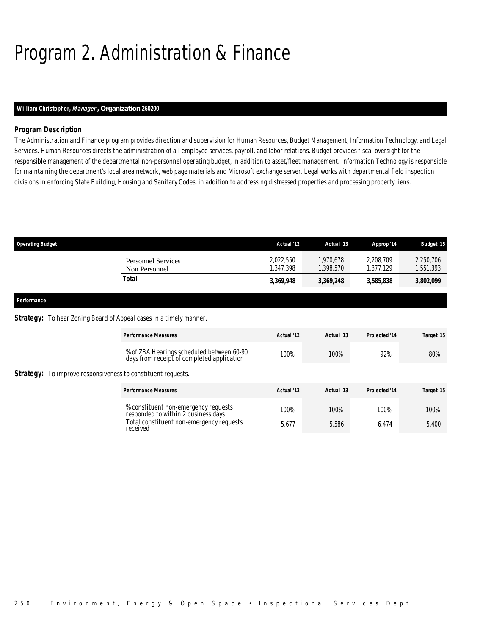# Program 2. Administration & Finance

### *William Christopher, Manager , Organization 260200*

### *Program Description*

The Administration and Finance program provides direction and supervision for Human Resources, Budget Management, Information Technology, and Legal Services. Human Resources directs the administration of all employee services, payroll, and labor relations. Budget provides fiscal oversight for the responsible management of the departmental non-personnel operating budget, in addition to asset/fleet management. Information Technology is responsible for maintaining the department's local area network, web page materials and Microsoft exchange server. Legal works with departmental field inspection divisions in enforcing State Building, Housing and Sanitary Codes, in addition to addressing distressed properties and processing property liens.

| 1.970.678<br>2.208.709<br>1.377.129 | 2,250,706<br>1,551,393             |
|-------------------------------------|------------------------------------|
|                                     | 3,802,099                          |
|                                     | ,398,570<br>3,369,248<br>3.585.838 |

#### *Performance*

**Strategy: To** 

### **Strategy:** To hear Zoning Board of Appeal cases in a timely manner.

|                                                                            | <b>Performance Measures</b>                                                             | Actual '12 | Actual '13 | Projected '14 | Target '15 |
|----------------------------------------------------------------------------|-----------------------------------------------------------------------------------------|------------|------------|---------------|------------|
|                                                                            | % of ZBA Hearings scheduled between 60-90<br>days from receipt of completed application | 100%       | 100%       | 92%           | 80%        |
| <b><i>Strategy:</i></b> To improve responsiveness to constituent requests. |                                                                                         |            |            |               |            |
|                                                                            | <b>Performance Measures</b>                                                             | Actual '12 | Actual '13 | Projected '14 | Target '15 |
|                                                                            | % constituent non-emergency requests<br>responded to within 2 business days             | 100%       | 100%       | 100%          | 100%       |
|                                                                            | Total constituent non-emergency requests<br>received                                    | 5.677      | 5.586      | 6.474         | 5,400      |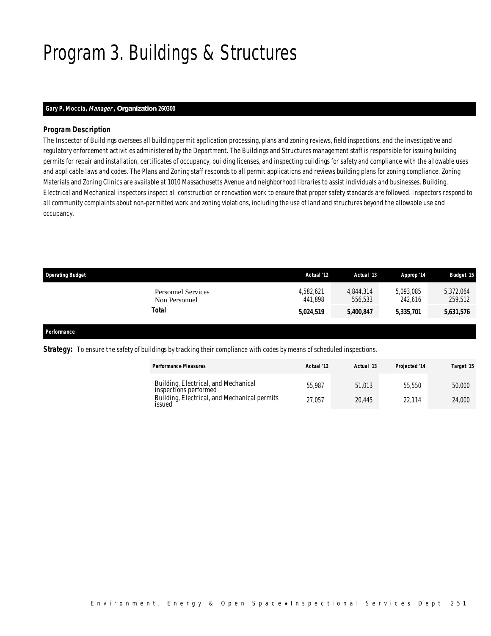# Program 3. Buildings & Structures

## *Gary P. Moccia, Manager , Organization 260300*

### *Program Description*

The Inspector of Buildings oversees all building permit application processing, plans and zoning reviews, field inspections, and the investigative and regulatory enforcement activities administered by the Department. The Buildings and Structures management staff is responsible for issuing building permits for repair and installation, certificates of occupancy, building licenses, and inspecting buildings for safety and compliance with the allowable uses and applicable laws and codes. The Plans and Zoning staff responds to all permit applications and reviews building plans for zoning compliance. Zoning Materials and Zoning Clinics are available at 1010 Massachusetts Avenue and neighborhood libraries to assist individuals and businesses. Building, Electrical and Mechanical inspectors inspect all construction or renovation work to ensure that proper safety standards are followed. Inspectors respond to all community complaints about non-permitted work and zoning violations, including the use of land and structures beyond the allowable use and occupancy.

| <b>Operating Budget</b>                    | Actual '12           | Actual '13           | Approp '14           | <b>Budget '15</b>    |
|--------------------------------------------|----------------------|----------------------|----------------------|----------------------|
| <b>Personnel Services</b><br>Non Personnel | 4.582.621<br>441.898 | 4.844.314<br>556,533 | 5.093.085<br>242.616 | 5,372,064<br>259,512 |
| Total                                      | 5,024,519            | 5,400,847            | 5,335,701            | 5,631,576            |

### *Performance*

*Strategy:* To ensure the safety of buildings by tracking their compliance with codes by means of scheduled inspections.

| <b>Performance Measures</b>                                   | Actual '12 | Actual '13 | Projected '14 | Target '15 |
|---------------------------------------------------------------|------------|------------|---------------|------------|
| Building, Electrical, and Mechanical<br>inspections performed | 55.987     | 51.013     | 55,550        | 50,000     |
| Building, Electrical, and Mechanical permits<br>issued        | 27.057     | 20.445     | 22.114        | 24,000     |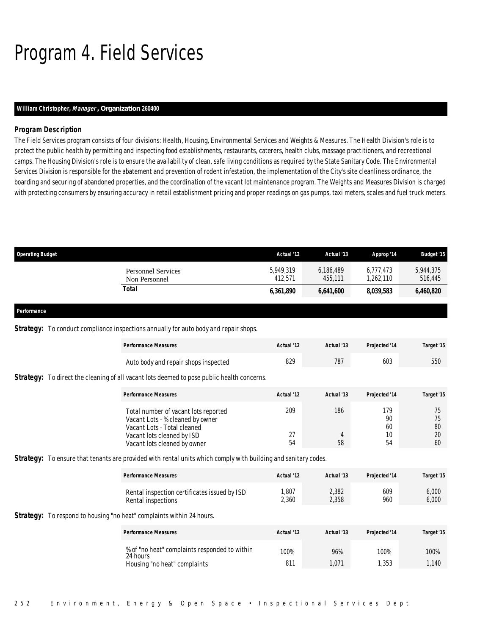# Program 4. Field Services

### *William Christopher, Manager , Organization 260400*

### *Program Description*

The Field Services program consists of four divisions: Health, Housing, Environmental Services and Weights & Measures. The Health Division's role is to protect the public health by permitting and inspecting food establishments, restaurants, caterers, health clubs, massage practitioners, and recreational camps. The Housing Division's role is to ensure the availability of clean, safe living conditions as required by the State Sanitary Code. The Environmental Services Division is responsible for the abatement and prevention of rodent infestation, the implementation of the City's site cleanliness ordinance, the boarding and securing of abandoned properties, and the coordination of the vacant lot maintenance program. The Weights and Measures Division is charged with protecting consumers by ensuring accuracy in retail establishment pricing and proper readings on gas pumps, taxi meters, scales and fuel truck meters.

| <b>Operating Budget</b> |                                                                                                                       | Actual '12           | Actual '13           | Approp '14             | <b>Budget '15</b>    |
|-------------------------|-----------------------------------------------------------------------------------------------------------------------|----------------------|----------------------|------------------------|----------------------|
|                         | <b>Personnel Services</b><br>Non Personnel                                                                            | 5,949,319<br>412,571 | 6,186,489<br>455,111 | 6.777.473<br>1,262,110 | 5,944,375<br>516,445 |
|                         | <b>Total</b>                                                                                                          | 6,361,890            | 6,641,600            | 8,039,583              | 6,460,820            |
| Performance             |                                                                                                                       |                      |                      |                        |                      |
|                         | <b>Strategy:</b> To conduct compliance inspections annually for auto body and repair shops.                           |                      |                      |                        |                      |
|                         | <b>Performance Measures</b>                                                                                           | Actual '12           | Actual '13           | Projected '14          | Target '15           |
|                         | Auto body and repair shops inspected                                                                                  | 829                  | 787                  | 603                    | 550                  |
|                         | <b>Strategy:</b> To direct the cleaning of all vacant lots deemed to pose public health concerns.                     |                      |                      |                        |                      |
|                         | <b>Performance Measures</b>                                                                                           | Actual '12           | Actual '13           | Projected '14          | Target '15           |
|                         | Total number of vacant lots reported<br>Vacant Lots - % cleaned by owner<br>Vacant Lots - Total cleaned               | 209                  | 186                  | 179<br>90<br>60        | 75<br>75<br>80       |
|                         | Vacant lots cleaned by ISD<br>Vacant lots cleaned by owner                                                            | 27<br>54             | 4<br>58              | 10<br>54               | 20<br>60             |
|                         | <b>Strategy:</b> To ensure that tenants are provided with rental units which comply with building and sanitary codes. |                      |                      |                        |                      |
|                         | <b>Performance Measures</b>                                                                                           | Actual '12           | Actual '13           | Projected '14          | Target '15           |
|                         | Rental inspection certificates issued by ISD<br>Rental inspections                                                    | 1,807<br>2,360       | 2,382<br>2,358       | 609<br>960             | 6,000<br>6,000       |
|                         | <b>Strategy:</b> To respond to housing "no heat" complaints within 24 hours.                                          |                      |                      |                        |                      |
|                         | <b>Performance Measures</b>                                                                                           | Actual '12           | Actual '13           | Projected '14          | Target '15           |
|                         | % of "no heat" complaints responded to within<br>24 hours                                                             | 100%                 | 96%                  | 100%                   | 100%                 |
|                         | Housing "no heat" complaints                                                                                          | 811                  | 1.071                | 1.353                  | 1.140                |
|                         |                                                                                                                       |                      |                      |                        |                      |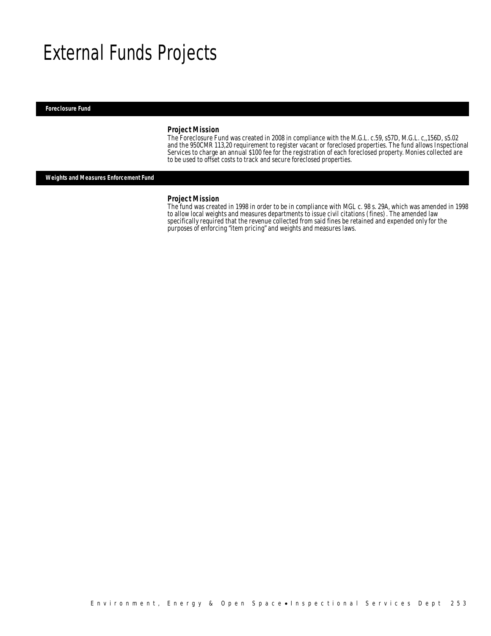# External Funds Projects

#### *Foreclosure Fund*

#### *Project Mission*

The Foreclosure Fund was created in 2008 in compliance with the M.G.L. c.59, s57D, M.G.L. c,,156D, s5.02 and the 950CMR 113,20 requirement to register vacant or foreclosed properties. The fund allows Inspectional Services to charge an annual \$100 fee for the registration of each foreclosed property. Monies collected are to be used to offset costs to track and secure foreclosed properties.

*Weights and Measures Enforcement Fund* 

#### *Project Mission*

The fund was created in 1998 in order to be in compliance with MGL c. 98 s. 29A, which was amended in 1998 to allow local weights and measures departments to issue civil citations (fines). The amended law specifically required that the revenue collected from said fines be retained and expended only for the purposes of enforcing "item pricing" and weights and measures laws. Î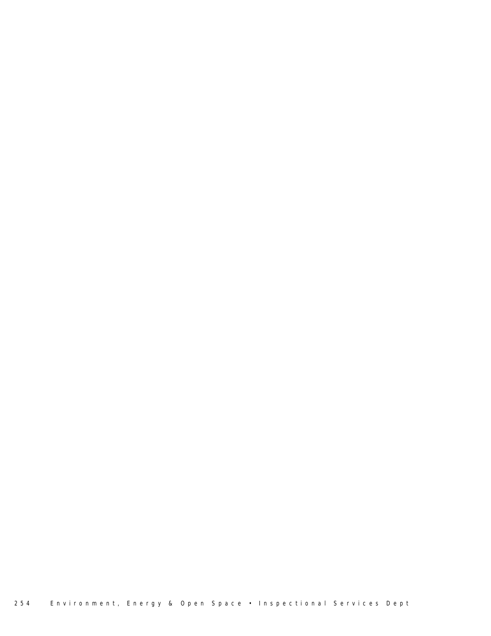254 Environment, Energy & Open Spac e • Inspectional Services Dept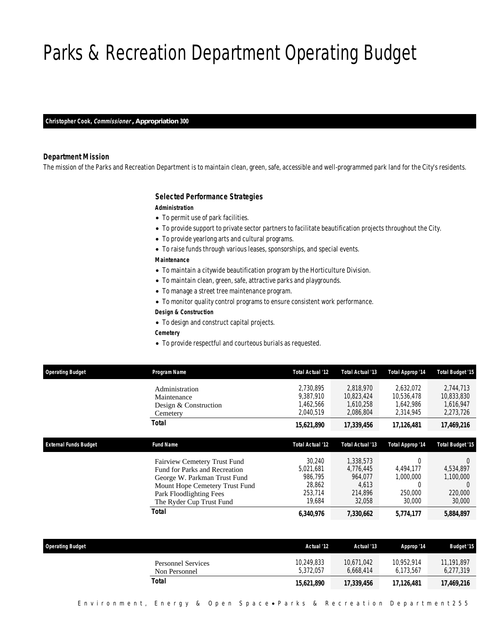# Parks & Recreation Department Operating Budget

*Christopher Cook, Commissioner , Appropriation 300* 

### *Department Mission*

The mission of the Parks and Recreation Department is to maintain clean, green, safe, accessible and well-programmed park land for the City's residents.

#### *Selected Performance Strategies*

#### *Administration*

- To permit use of park facilities.
- To provide support to private sector partners to facilitate beautification projects throughout the City.
- To provide yearlong arts and cultural programs.
- To raise funds through various leases, sponsorships, and special events.

*Maintenance* 

- To maintain a citywide beautification program by the Horticulture Division.
- To maintain clean, green, safe, attractive parks and playgrounds.
- To manage a street tree maintenance program.
- To monitor quality control programs to ensure consistent work performance. *Design & Construction*
- To design and construct capital projects.
- *Cemetery*
- To provide respectful and courteous burials as requested.

| <b>Operating Budget</b>      | Program Name                                                                                                                    | <b>Total Actual '12</b>                  | Total Actual '13                           | Total Approp '14                     | <b>Total Budget '15</b>              |
|------------------------------|---------------------------------------------------------------------------------------------------------------------------------|------------------------------------------|--------------------------------------------|--------------------------------------|--------------------------------------|
|                              | Administration<br>Maintenance<br>Design & Construction                                                                          | 2,730,895<br>9.387.910<br>1,462,566      | 2.818.970<br>10,823,424<br>1,610,258       | 2.632.072<br>10,536,478<br>1,642,986 | 2,744,713<br>10,833,830<br>1,616,947 |
|                              | Cemetery                                                                                                                        | 2,040,519                                | 2,086,804                                  | 2,314,945                            | 2,273,726                            |
|                              | Total                                                                                                                           | 15,621,890                               | 17,339,456                                 | 17,126,481                           | 17,469,216                           |
| <b>External Funds Budget</b> | <b>Fund Name</b>                                                                                                                | <b>Total Actual '12</b>                  | Total Actual '13                           | Total Approp '14                     | <b>Total Budget '15</b>              |
|                              | Fairview Cemetery Trust Fund<br>Fund for Parks and Recreation<br>George W. Parkman Trust Fund<br>Mount Hope Cemetery Trust Fund | 30.240<br>5,021,681<br>986.795<br>28,862 | 1,338,573<br>4,776,445<br>964.077<br>4,613 | 0<br>4.494.177<br>1,000,000          | 4,534,897<br>1,100,000<br>$\Omega$   |
|                              | Park Floodlighting Fees<br>The Ryder Cup Trust Fund                                                                             | 253,714<br>19,684                        | 214,896<br>32,058                          | 250,000<br>30,000                    | 220,000<br>30,000                    |
|                              | Total                                                                                                                           | 6,340,976                                | 7,330,662                                  | 5,774,177                            | 5,884,897                            |

| <b>Operating Budget</b>                    | Actual '12              | Actual '13              | Approp '14              | <b>Budget '15</b>       |
|--------------------------------------------|-------------------------|-------------------------|-------------------------|-------------------------|
| <b>Personnel Services</b><br>Non Personnel | 10.249.833<br>5.372.057 | 10.671.042<br>6.668.414 | 10.952.914<br>6.173.567 | 11.191.897<br>6,277,319 |
| Total                                      | 15.621.890              | 17,339,456              | 17.126.481              | 17,469,216              |
|                                            |                         |                         |                         |                         |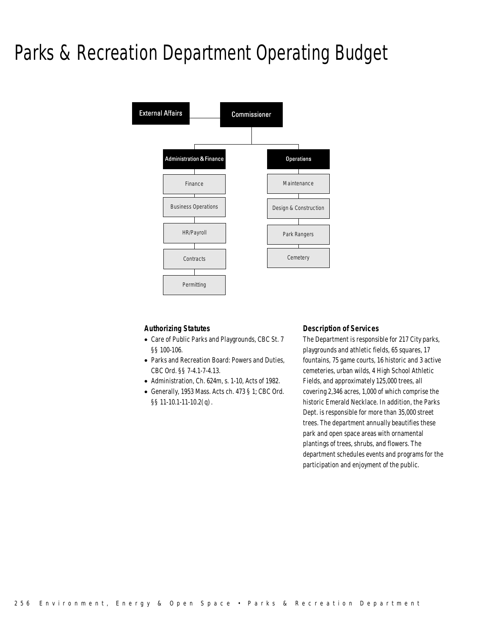# Parks & Recreation Department Operating Budget



### *Authorizing Statutes*

- Care of Public Parks and Playgrounds, CBC St. 7 §§ 100-106.
- Parks and Recreation Board: Powers and Duties, CBC Ord. §§ 7-4.1-7-4.13.
- Administration, Ch. 624m, s. 1-10, Acts of 1982.
- Generally, 1953 Mass. Acts ch. 473 § 1; CBC Ord. §§ 11-10.1-11-10.2(q).

### *Description of Services*

The Department is responsible for 217 City parks, playgrounds and athletic fields, 65 squares, 17 fountains, 75 game courts, 16 historic and 3 active cemeteries, urban wilds, 4 High School Athletic Fields, and approximately 125,000 trees, all covering 2,346 acres, 1,000 of which comprise the historic Emerald Necklace. In addition, the Parks Dept. is responsible for more than 35,000 street trees. The department annually beautifies these park and open space areas with ornamental plantings of trees, shrubs, and flowers. The department schedules events and programs for the participation and enjoyment of the public.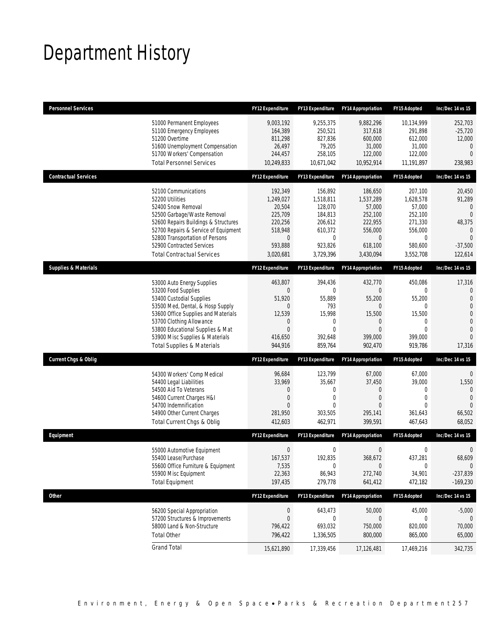# Department History

| <b>Personnel Services</b>       |                                                                                                                                                                                                                                                                                                      | <b>FY12 Expenditure</b>                                                                                  | <b>FY13 Expenditure</b>                                                                                      | <b>FY14 Appropriation</b>                                                                    | FY15 Adopted                                                                                            | Inc/Dec 14 vs 15                                                                                                                |
|---------------------------------|------------------------------------------------------------------------------------------------------------------------------------------------------------------------------------------------------------------------------------------------------------------------------------------------------|----------------------------------------------------------------------------------------------------------|--------------------------------------------------------------------------------------------------------------|----------------------------------------------------------------------------------------------|---------------------------------------------------------------------------------------------------------|---------------------------------------------------------------------------------------------------------------------------------|
|                                 | 51000 Permanent Employees<br>51100 Emergency Employees<br>51200 Overtime<br>51600 Unemployment Compensation<br>51700 Workers' Compensation<br><b>Total Personnel Services</b>                                                                                                                        | 9,003,192<br>164,389<br>811,298<br>26,497<br>244,457<br>10,249,833                                       | 9,255,375<br>250,521<br>827,836<br>79,205<br>258,105<br>10,671,042                                           | 9,882,296<br>317,618<br>600,000<br>31,000<br>122,000<br>10,952,914                           | 10,134,999<br>291,898<br>612,000<br>31,000<br>122,000<br>11,191,897                                     | 252,703<br>$-25,720$<br>12,000<br>$\theta$<br>$\Omega$<br>238,983                                                               |
| <b>Contractual Services</b>     |                                                                                                                                                                                                                                                                                                      | <b>FY12 Expenditure</b>                                                                                  | <b>FY13 Expenditure</b>                                                                                      | <b>FY14 Appropriation</b>                                                                    | FY15 Adopted                                                                                            | Inc/Dec 14 vs 15                                                                                                                |
|                                 | 52100 Communications<br>52200 Utilities<br>52400 Snow Removal<br>52500 Garbage/Waste Removal<br>52600 Repairs Buildings & Structures<br>52700 Repairs & Service of Equipment<br>52800 Transportation of Persons<br>52900 Contracted Services<br><b>Total Contractual Services</b>                    | 192,349<br>1,249,027<br>20,504<br>225,709<br>220,256<br>518,948<br>0<br>593,888<br>3,020,681             | 156,892<br>1,518,811<br>128,070<br>184,813<br>206,612<br>610,372<br>$\boldsymbol{0}$<br>923,826<br>3,729,396 | 186,650<br>1,537,289<br>57,000<br>252,100<br>222,955<br>556,000<br>0<br>618,100<br>3,430,094 | 207,100<br>1,628,578<br>57,000<br>252,100<br>271,330<br>556,000<br>$\mathbf{0}$<br>580,600<br>3,552,708 | 20,450<br>91,289<br>$\Omega$<br>$\Omega$<br>48,375<br>0<br>$\Omega$<br>$-37,500$<br>122,614                                     |
| <b>Supplies &amp; Materials</b> |                                                                                                                                                                                                                                                                                                      | <b>FY12 Expenditure</b>                                                                                  | <b>FY13 Expenditure</b>                                                                                      | <b>FY14 Appropriation</b>                                                                    | FY15 Adopted                                                                                            | Inc/Dec 14 vs 15                                                                                                                |
|                                 | 53000 Auto Energy Supplies<br>53200 Food Supplies<br>53400 Custodial Supplies<br>53500 Med, Dental, & Hosp Supply<br>53600 Office Supplies and Materials<br>53700 Clothing Allowance<br>53800 Educational Supplies & Mat<br>53900 Misc Supplies & Materials<br><b>Total Supplies &amp; Materials</b> | 463,807<br>$\overline{0}$<br>51,920<br>$\mathbf{0}$<br>12,539<br>0<br>$\mathbf{0}$<br>416,650<br>944,916 | 394,436<br>0<br>55,889<br>793<br>15,998<br>$\mathbf 0$<br>$\mathbf 0$<br>392,648<br>859,764                  | 432,770<br>0<br>55,200<br>0<br>15,500<br>0<br>$\overline{0}$<br>399,000<br>902,470           | 450,086<br>$\mathbf{0}$<br>55,200<br>0<br>15,500<br>$\mathbf{0}$<br>$\Omega$<br>399,000<br>919,786      | 17,316<br>$\mathbf 0$<br>$\overline{0}$<br>$\overline{0}$<br>$\overline{0}$<br>$\Omega$<br>$\overline{0}$<br>$\Omega$<br>17,316 |
| <b>Current Chgs &amp; Oblig</b> |                                                                                                                                                                                                                                                                                                      | <b>FY12 Expenditure</b>                                                                                  | <b>FY13 Expenditure</b>                                                                                      | <b>FY14 Appropriation</b>                                                                    | FY15 Adopted                                                                                            | Inc/Dec 14 vs 15                                                                                                                |
|                                 | 54300 Workers' Comp Medical<br>54400 Legal Liabilities<br>54500 Aid To Veterans<br>54600 Current Charges H&I<br>54700 Indemnification<br>54900 Other Current Charges<br>Total Current Chgs & Oblig                                                                                                   | 96,684<br>33,969<br>$\mathbf{0}$<br>$\boldsymbol{0}$<br>$\Omega$<br>281,950<br>412,603                   | 123,799<br>35,667<br>0<br>$\mathbf{0}$<br>$\Omega$<br>303,505<br>462,971                                     | 67,000<br>37,450<br>0<br>$\overline{0}$<br>$\Omega$<br>295,141<br>399,591                    | 67,000<br>39,000<br>$\mathbf 0$<br>$\mathbf 0$<br>$\theta$<br>361,643<br>467,643                        | $\Omega$<br>1,550<br>$\Omega$<br>$\Omega$<br>$\Omega$<br>66,502<br>68,052                                                       |
| Equipment                       |                                                                                                                                                                                                                                                                                                      | <b>FY12 Expenditure</b>                                                                                  | <b>FY13 Expenditure</b>                                                                                      | <b>FY14 Appropriation</b>                                                                    | FY15 Adopted                                                                                            | Inc/Dec 14 vs 15                                                                                                                |
|                                 | 55000 Automotive Equipment<br>55400 Lease/Purchase<br>55600 Office Furniture & Equipment<br>55900 Misc Equipment<br><b>Total Equipment</b>                                                                                                                                                           | $\mathbf 0$<br>167,537<br>7,535<br>22,363<br>197,435                                                     | 0<br>192,835<br>$\mathbf{0}$<br>86,943<br>279,778                                                            | $\boldsymbol{0}$<br>368,672<br>$\mathbf 0$<br>272,740<br>641,412                             | $\mathbf 0$<br>437,281<br>0<br>34,901<br>472,182                                                        | $\mathbf 0$<br>68,609<br>$\Omega$<br>$-237,839$<br>$-169,230$                                                                   |
| Other                           |                                                                                                                                                                                                                                                                                                      | FY12 Expenditure                                                                                         | FY13 Expenditure                                                                                             | <b>FY14 Appropriation</b>                                                                    | FY15 Adopted                                                                                            | Inc/Dec 14 vs 15                                                                                                                |
|                                 | 56200 Special Appropriation<br>57200 Structures & Improvements<br>58000 Land & Non-Structure<br><b>Total Other</b>                                                                                                                                                                                   | 0<br>0<br>796,422<br>796,422                                                                             | 643,473<br>0<br>693,032<br>1,336,505                                                                         | 50,000<br>0<br>750,000<br>800,000                                                            | 45,000<br>0<br>820,000<br>865,000                                                                       | $-5,000$<br>$\left( \right)$<br>70,000<br>65,000                                                                                |
|                                 | <b>Grand Total</b>                                                                                                                                                                                                                                                                                   | 15,621,890                                                                                               | 17,339,456                                                                                                   | 17,126,481                                                                                   | 17,469,216                                                                                              | 342,735                                                                                                                         |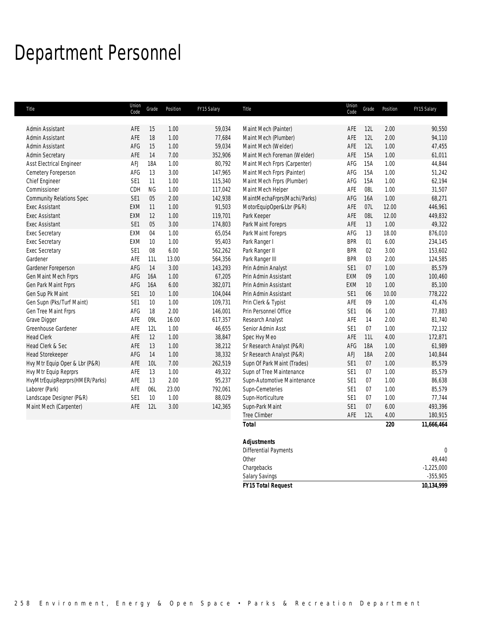# Department Personnel

| Title                           | Union<br>Code   | Grade      | Position | FY15 Salary | Title                        | Union<br>Code   | Grade      | Position | FY15 Salary  |
|---------------------------------|-----------------|------------|----------|-------------|------------------------------|-----------------|------------|----------|--------------|
| Admin Assistant                 | AFE             | 15         | 1.00     | 59,034      | Maint Mech (Painter)         | AFE             | 12L        | 2.00     | 90,550       |
| Admin Assistant                 | AFE             | 18         | 1.00     | 77,684      | Maint Mech (Plumber)         | AFE             | 12L        | 2.00     | 94,110       |
| Admin Assistant                 | AFG             | 15         | 1.00     | 59,034      | Maint Mech (Welder)          | AFE             | 12L        | 1.00     | 47,455       |
| <b>Admin Secretary</b>          | AFE             | 14         | 7.00     | 352,906     | Maint Mech Foreman (Welder)  | AFE             | 15A        | 1.00     | 61,011       |
| <b>Asst Electrical Engineer</b> | AFJ             | <b>18A</b> | 1.00     | 80,792      | Maint Mech Frprs (Carpenter) | AFG             | 15A        | 1.00     | 44,844       |
| Cemetery Foreperson             | AFG             | 13         | 3.00     | 147,965     | Maint Mech Frprs (Painter)   | AFG             | 15A        | 1.00     | 51,242       |
| Chief Engineer                  | SE1             | 11         | 1.00     | 115,340     | Maint Mech Frprs (Plumber)   | AFG             | 15A        | 1.00     | 62,194       |
| Commissioner                    | CDH             | <b>NG</b>  | 1.00     | 117,042     | Maint Mech Helper            | AFE             | 08L        | 1.00     | 31,507       |
| <b>Community Relations Spec</b> | SE1             | 05         | 2.00     | 142,938     | MaintMechaFrprs(Machi/Parks) | AFG             | 16A        | 1.00     | 68,271       |
| <b>Exec Assistant</b>           | EXM             | 11         | 1.00     | 91,503      | MotorEquipOper&Lbr (P&R)     | AFE             | 07L        | 12.00    | 446,961      |
| <b>Exec Assistant</b>           | EXM             | 12         | 1.00     | 119,701     | Park Keeper                  | AFE             | 08L        | 12.00    | 449,832      |
| <b>Exec Assistant</b>           | SE1             | 05         | 3.00     | 174,803     | Park Maint Foreprs           | AFE             | 13         | 1.00     | 49,322       |
| <b>Exec Secretary</b>           | <b>EXM</b>      | 04         | 1.00     | 65,054      | Park Maint Foreprs           | AFG             | 13         | 18.00    | 876,010      |
| <b>Exec Secretary</b>           | <b>EXM</b>      | 10         | 1.00     | 95,403      | Park Ranger I                | <b>BPR</b>      | 01         | 6.00     | 234,145      |
| <b>Exec Secretary</b>           | SE1             | 08         | 6.00     | 562,262     | Park Ranger II               | <b>BPR</b>      | 02         | 3.00     | 153,602      |
| Gardener                        | AFE             | 11L        | 13.00    | 564,356     | Park Ranger III              | <b>BPR</b>      | 03         | 2.00     | 124,585      |
| Gardener Foreperson             | AFG             | 14         | 3.00     | 143,293     | Prin Admin Analyst           | SE1             | 07         | 1.00     | 85,579       |
| Gen Maint Mech Frprs            | AFG             | 16A        | 1.00     | 67,205      | Prin Admin Assistant         | EXM             | 09         | 1.00     | 100,460      |
| Gen Park Maint Frprs            | AFG             | 16A        | 6.00     | 382,071     | Prin Admin Assistant         | EXM             | 10         | 1.00     | 85,100       |
| Gen Sup Pk Maint                | SE1             | 10         | 1.00     | 104,044     | Prin Admin Assistant         | SE1             | 06         | 10.00    | 778,222      |
| Gen Supn (Pks/Turf Maint)       | SE <sub>1</sub> | 10         | 1.00     | 109,731     | Prin Clerk & Typist          | AFE             | 09         | 1.00     | 41,476       |
| Gen Tree Maint Frprs            | AFG             | 18         | 2.00     | 146,001     | Prin Personnel Office        | SE1             | 06         | 1.00     | 77,883       |
| Grave Digger                    | AFE             | 09L        | 16.00    | 617,357     | Research Analyst             | AFE             | 14         | 2.00     | 81,740       |
| Greenhouse Gardener             | AFE             | 12L        | 1.00     | 46,655      | Senior Admin Asst            | SE <sub>1</sub> | 07         | 1.00     | 72,132       |
| <b>Head Clerk</b>               | AFE             | 12         | 1.00     | 38,847      | Spec Hvy Meo                 | AFE             | 11L        | 4.00     | 172,871      |
| Head Clerk & Sec                | AFE             | 13         | 1.00     | 38,212      | Sr Research Analyst (P&R)    | AFG             | <b>18A</b> | 1.00     | 61,989       |
| <b>Head Storekeeper</b>         | AFG             | 14         | 1.00     | 38,332      | Sr Research Analyst (P&R)    | <b>AFJ</b>      | 18A        | 2.00     | 140,844      |
| Hvy Mtr Equip Oper & Lbr (P&R)  | AFE             | 10L        | 7.00     | 262,519     | Supn Of Park Maint (Trades)  | SE1             | 07         | 1.00     | 85,579       |
| Hvy Mtr Equip Reprprs           | AFE             | 13         | 1.00     | 49,322      | Supn of Tree Maintenance     | SE <sub>1</sub> | 07         | 1.00     | 85,579       |
| HvyMtrEquipReprprs(HMER/Parks)  | AFE             | 13         | 2.00     | 95,237      | Supn-Automotive Maintenance  | SE1             | 07         | 1.00     | 86,638       |
| Laborer (Park)                  | AFE             | 06L        | 23.00    | 792,061     | Supn-Cemeteries              | SE1             | 07         | 1.00     | 85,579       |
| Landscape Designer (P&R)        | SE <sub>1</sub> | 10         | 1.00     | 88,029      | Supn-Horticulture            | SE1             | 07         | 1.00     | 77,744       |
| Maint Mech (Carpenter)          | AFE             | 12L        | 3.00     | 142,365     | Supn-Park Maint              | SE1             | 07         | 6.00     | 493,396      |
|                                 |                 |            |          |             | Tree Climber                 | AFE             | 12L        | 4.00     | 180,915      |
|                                 |                 |            |          |             | <b>Total</b>                 |                 |            | 220      | 11,666,464   |
|                                 |                 |            |          |             | <b>Adjustments</b>           |                 |            |          |              |
|                                 |                 |            |          |             | <b>Differential Payments</b> |                 |            |          | $\mathbf{0}$ |
|                                 |                 |            |          |             | Other                        |                 |            |          | 49,440       |

 Chargebacks -1,225,000 Salary Savings -355,905 *FY15 Total Request 10,134,999*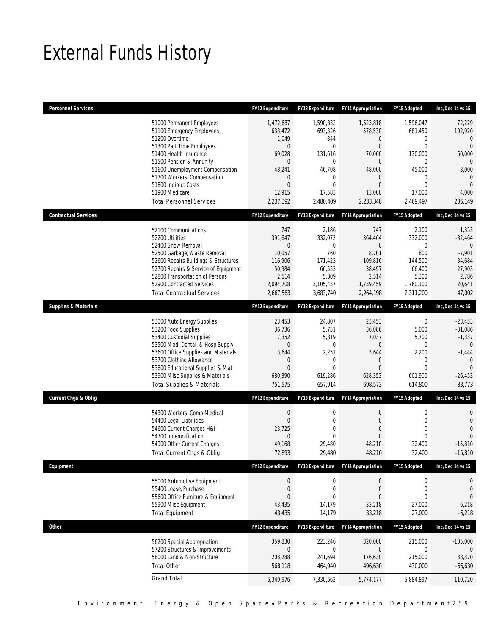# External Funds History

| <b>Personnel Services</b>       |                                                                                                                                                                                                                                                                                                            | <b>FY12 Expenditure</b>                                                                                                                | <b>FY13 Expenditure</b>                                                                                                       | <b>FY14 Appropriation</b>                                                                                                | FY15 Adopted                                                                                                              | Inc/Dec 14 vs 15                                                                                                        |
|---------------------------------|------------------------------------------------------------------------------------------------------------------------------------------------------------------------------------------------------------------------------------------------------------------------------------------------------------|----------------------------------------------------------------------------------------------------------------------------------------|-------------------------------------------------------------------------------------------------------------------------------|--------------------------------------------------------------------------------------------------------------------------|---------------------------------------------------------------------------------------------------------------------------|-------------------------------------------------------------------------------------------------------------------------|
|                                 | 51000 Permanent Employees<br>51100 Emergency Employees<br>51200 Overtime<br>51300 Part Time Employees<br>51400 Health Insurance<br>51500 Pension & Annunity<br>51600 Unemployment Compensation<br>51700 Workers' Compensation<br>51800 Indirect Costs<br>51900 Medicare<br><b>Total Personnel Services</b> | 1,472,687<br>633,472<br>1,049<br>$\mathbf{0}$<br>69,028<br>$\mathbf 0$<br>48,241<br>$\mathbf 0$<br>$\mathbf{0}$<br>12,915<br>2,237,392 | 1,590,332<br>693,326<br>844<br>$\mathbf{0}$<br>131,616<br>$\mathbf 0$<br>46,708<br>0<br>$\overline{0}$<br>17,583<br>2,480,409 | 1,523,818<br>578,530<br>0<br>$\mathbf{0}$<br>70,000<br>$\mathbf 0$<br>48,000<br>0<br>$\mathbf{0}$<br>13,000<br>2,233,348 | 1,596,047<br>681,450<br>0<br>$\mathbf 0$<br>130,000<br>0<br>45,000<br>$\mathbf{0}$<br>$\mathbf{0}$<br>17,000<br>2,469,497 | 72,229<br>102,920<br>$\theta$<br>$\Omega$<br>60,000<br>$\Omega$<br>$-3,000$<br>$\Omega$<br>$\Omega$<br>4,000<br>236,149 |
| <b>Contractual Services</b>     |                                                                                                                                                                                                                                                                                                            | <b>FY12 Expenditure</b>                                                                                                                | <b>FY13 Expenditure</b>                                                                                                       | <b>FY14 Appropriation</b>                                                                                                | FY15 Adopted                                                                                                              | Inc/Dec 14 vs 15                                                                                                        |
|                                 | 52100 Communications<br>52200 Utilities<br>52400 Snow Removal<br>52500 Garbage/Waste Removal<br>52600 Repairs Buildings & Structures<br>52700 Repairs & Service of Equipment<br>52800 Transportation of Persons<br>52900 Contracted Services<br><b>Total Contractual Services</b>                          | 747<br>391,647<br>$\mathbf{0}$<br>10,057<br>116,906<br>50,984<br>2,514<br>2,094,708<br>2,667,563                                       | 2,186<br>332,072<br>$\overline{0}$<br>760<br>171,423<br>66,553<br>5,309<br>3,105,437<br>3,683,740                             | 747<br>364,464<br>0<br>8,701<br>109,816<br>38,497<br>2,514<br>1,739,459<br>2,264,198                                     | 2,100<br>332,000<br>$\mathbf{0}$<br>800<br>144,500<br>66,400<br>5,300<br>1,760,100<br>2,311,200                           | 1,353<br>$-32,464$<br>$\overline{0}$<br>$-7,901$<br>34,684<br>27,903<br>2,786<br>20,641<br>47,002                       |
| <b>Supplies &amp; Materials</b> |                                                                                                                                                                                                                                                                                                            | FY12 Expenditure                                                                                                                       | <b>FY13 Expenditure</b>                                                                                                       | <b>FY14 Appropriation</b>                                                                                                | FY15 Adopted                                                                                                              | Inc/Dec 14 vs 15                                                                                                        |
|                                 | 53000 Auto Energy Supplies<br>53200 Food Supplies<br>53400 Custodial Supplies<br>53500 Med, Dental, & Hosp Supply<br>53600 Office Supplies and Materials<br>53700 Clothing Allowance<br>53800 Educational Supplies & Mat<br>53900 Misc Supplies & Materials<br><b>Total Supplies &amp; Materials</b>       | 23,453<br>36,736<br>7,352<br>0<br>3,644<br>0<br>$\mathbf{0}$<br>680,390<br>751,575                                                     | 24,807<br>5,751<br>5,819<br>$\mathbf 0$<br>2,251<br>$\mathbf{0}$<br>$\overline{0}$<br>619,286<br>657,914                      | 23,453<br>36,086<br>7,037<br>$\mathbf 0$<br>3,644<br>$\mathbf{0}$<br>$\mathbf{0}$<br>628,353<br>698,573                  | $\boldsymbol{0}$<br>5,000<br>5,700<br>0<br>2,200<br>$\mathbf{0}$<br>$\mathbf{0}$<br>601,900<br>614,800                    | $-23,453$<br>$-31,086$<br>$-1,337$<br>$\theta$<br>$-1,444$<br>$\mathbf{0}$<br>$\Omega$<br>$-26,453$<br>$-83,773$        |
| <b>Current Chgs &amp; Oblig</b> |                                                                                                                                                                                                                                                                                                            | <b>FY12 Expenditure</b>                                                                                                                | <b>FY13 Expenditure</b>                                                                                                       | <b>FY14 Appropriation</b>                                                                                                | FY15 Adopted                                                                                                              | Inc/Dec 14 vs 15                                                                                                        |
|                                 | 54300 Workers' Comp Medical<br>54400 Legal Liabilities<br>54600 Current Charges H&I<br>54700 Indemnification<br>54900 Other Current Charges<br>Total Current Chgs & Oblig                                                                                                                                  | $\boldsymbol{0}$<br>$\mathbf{0}$<br>23,725<br>0<br>49,168<br>72,893                                                                    | $\mathbf 0$<br>0<br>$\overline{0}$<br>$\overline{0}$<br>29,480<br>29,480                                                      | $\boldsymbol{0}$<br>0<br>$\overline{0}$<br>$\mathbf{0}$<br>48,210<br>48,210                                              | $\boldsymbol{0}$<br>$\mathbf 0$<br>$\mathbf{0}$<br>$\mathbf 0$<br>32,400<br>32,400                                        | $\mathbf 0$<br>$\mathbf{0}$<br>$\overline{0}$<br>$\Omega$<br>$-15,810$<br>$-15,810$                                     |
| Equipment                       |                                                                                                                                                                                                                                                                                                            | FY12 Expenditure                                                                                                                       | FY13 Expenditure                                                                                                              | <b>FY14 Appropriation</b>                                                                                                | FY15 Adopted                                                                                                              | Inc/Dec 14 vs 15                                                                                                        |
|                                 | 55000 Automotive Equipment<br>55400 Lease/Purchase<br>55600 Office Furniture & Equipment<br>55900 Misc Equipment<br><b>Total Equipment</b>                                                                                                                                                                 | $\boldsymbol{0}$<br>$\boldsymbol{0}$<br>$\mathbf{0}$<br>43,435<br>43,435                                                               | $\boldsymbol{0}$<br>$\mathbf 0$<br>0<br>14,179<br>14,179                                                                      | $\boldsymbol{0}$<br>$\boldsymbol{0}$<br>0<br>33,218<br>33,218                                                            | $\boldsymbol{0}$<br>$\boldsymbol{0}$<br>$\mathbf{0}$<br>27,000<br>27,000                                                  | 0<br>$\mathbf{0}$<br>$\mathbf 0$<br>$-6,218$<br>$-6,218$                                                                |
| <b>Other</b>                    |                                                                                                                                                                                                                                                                                                            | FY12 Expenditure                                                                                                                       | FY13 Expenditure                                                                                                              | <b>FY14 Appropriation</b>                                                                                                | FY15 Adopted                                                                                                              | Inc/Dec 14 vs 15                                                                                                        |
|                                 | 56200 Special Appropriation<br>57200 Structures & Improvements<br>58000 Land & Non-Structure<br><b>Total Other</b>                                                                                                                                                                                         | 359,830<br>0<br>208,288<br>568,118                                                                                                     | 223,246<br>$\mathbf 0$<br>241,694<br>464,940                                                                                  | 320,000<br>$\overline{0}$<br>176,630<br>496,630                                                                          | 215,000<br>0<br>215,000<br>430,000                                                                                        | $-105,000$<br>$\theta$<br>38,370<br>$-66,630$                                                                           |
|                                 | <b>Grand Total</b>                                                                                                                                                                                                                                                                                         | 6,340,976                                                                                                                              | 7,330,662                                                                                                                     | 5,774,177                                                                                                                | 5,884,897                                                                                                                 | 110,720                                                                                                                 |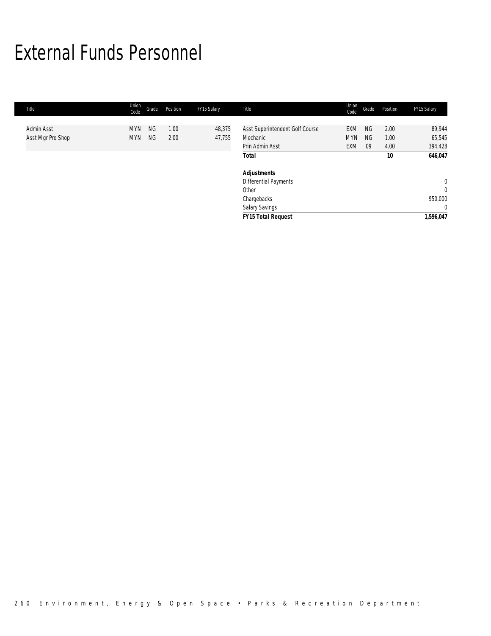# External Funds Personnel

| Title             | Union<br>Code | Grade     | Position | FY15 Salary | Title                           | Union<br>Code | Grade     | Position | FY15 Salary  |
|-------------------|---------------|-----------|----------|-------------|---------------------------------|---------------|-----------|----------|--------------|
| Admin Asst        | <b>MYN</b>    | <b>NG</b> | 1.00     | 48,375      | Asst Superintendent Golf Course | <b>EXM</b>    | <b>NG</b> | 2.00     | 89,944       |
| Asst Mgr Pro Shop | <b>MYN</b>    | <b>NG</b> | 2.00     | 47,755      | Mechanic                        | <b>MYN</b>    | <b>NG</b> | 1.00     | 65,545       |
|                   |               |           |          |             | Prin Admin Asst                 | <b>EXM</b>    | 09        | 4.00     | 394,428      |
|                   |               |           |          |             | <b>Total</b>                    |               |           | 10       | 646,047      |
|                   |               |           |          |             | <b>Adjustments</b>              |               |           |          |              |
|                   |               |           |          |             | Differential Payments           |               |           |          | $\mathbf 0$  |
|                   |               |           |          |             | Other                           |               |           |          | $\mathbf{0}$ |
|                   |               |           |          |             | Chargebacks                     |               |           |          | 950,000      |
|                   |               |           |          |             | <b>Salary Savings</b>           |               |           |          | $\mathbf 0$  |
|                   |               |           |          |             | <b>FY15 Total Request</b>       |               |           |          | 1,596,047    |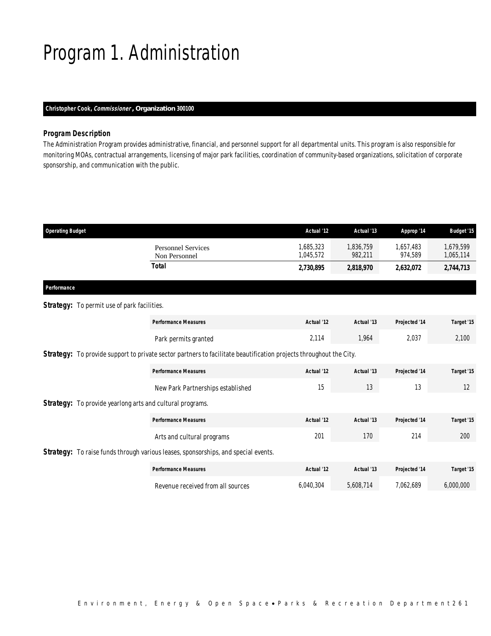# Program 1. Administration

### *Christopher Cook, Commissioner , Organization 300100*

#### *Program Description*

The Administration Program provides administrative, financial, and personnel support for all departmental units. This program is also responsible for monitoring MOAs, contractual arrangements, licensing of major park facilities, coordination of community-based organizations, solicitation of corporate sponsorship, and communication with the public.

| <b>Operating Budget</b>                            |                                                                                                                    | Actual '12             | Actual '13 | Approp '14    | Budget '15 |
|----------------------------------------------------|--------------------------------------------------------------------------------------------------------------------|------------------------|------------|---------------|------------|
|                                                    |                                                                                                                    |                        |            |               |            |
|                                                    | <b>Personnel Services</b>                                                                                          | 1,685,323<br>1,045,572 | 1,836,759  | 1,657,483     | 1,679,599  |
|                                                    | Non Personnel<br><b>Total</b>                                                                                      |                        | 982,211    | 974,589       | 1,065,114  |
|                                                    |                                                                                                                    | 2,730,895              | 2,818,970  | 2,632,072     | 2,744,713  |
| Performance                                        |                                                                                                                    |                        |            |               |            |
| <b>Strategy:</b> To permit use of park facilities. |                                                                                                                    |                        |            |               |            |
|                                                    | <b>Performance Measures</b>                                                                                        | Actual '12             | Actual '13 | Projected '14 | Target '15 |
|                                                    | Park permits granted                                                                                               | 2,114                  | 1,964      | 2,037         | 2,100      |
|                                                    | Strategy: To provide support to private sector partners to facilitate beautification projects throughout the City. |                        |            |               |            |
|                                                    | <b>Performance Measures</b>                                                                                        | Actual '12             | Actual '13 | Projected '14 | Target '15 |
|                                                    | New Park Partnerships established                                                                                  | 15                     | 13         | 13            | 12         |
|                                                    | <b>Strategy:</b> To provide yearlong arts and cultural programs.                                                   |                        |            |               |            |
|                                                    | <b>Performance Measures</b>                                                                                        | Actual '12             | Actual '13 | Projected '14 | Target '15 |
|                                                    | Arts and cultural programs                                                                                         | 201                    | 170        | 214           | 200        |
|                                                    | Strategy: To raise funds through various leases, sponsorships, and special events.                                 |                        |            |               |            |
|                                                    | <b>Performance Measures</b>                                                                                        | Actual '12             | Actual '13 | Projected '14 | Target '15 |
|                                                    | Revenue received from all sources                                                                                  | 6,040,304              | 5,608,714  | 7,062,689     | 6,000,000  |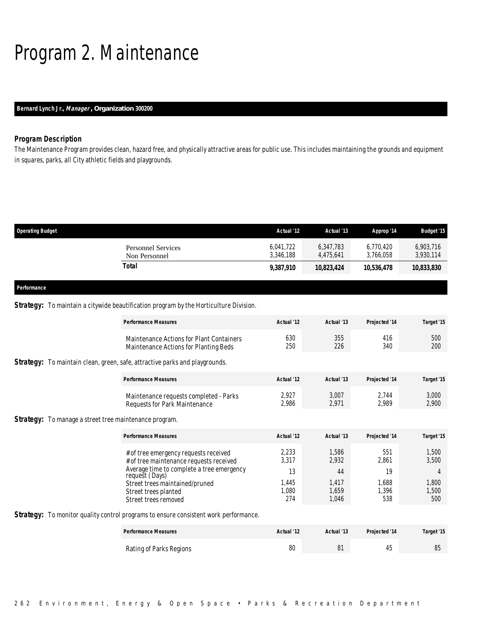# Program 2. Maintenance

### *Bernard Lynch Jr., Manager , Organization 300200*

### *Program Description*

The Maintenance Program provides clean, hazard free, and physically attractive areas for public use. This includes maintaining the grounds and equipment in squares, parks, all City athletic fields and playgrounds.

| <b>Operating Budget</b> |                                            | Actual '12             | Actual '13             | Approp '14             | <b>Budget '15</b>      |
|-------------------------|--------------------------------------------|------------------------|------------------------|------------------------|------------------------|
|                         | <b>Personnel Services</b><br>Non Personnel | 6.041.722<br>3,346,188 | 6,347,783<br>4,475,641 | 6.770.420<br>3,766,058 | 6,903,716<br>3,930,114 |
|                         | Total                                      | 9,387,910              | 10,823,424             | 10,536,478             | 10,833,830             |
| Performance             |                                            |                        |                        |                        |                        |

### **Strategy:** To maintain a citywide beautification program by the Horticulture Division.

|                                                               | <b>Performance Measures</b>                                                                                                                                                                                                       | Actual '12                                    | Actual '13                                      | Projected '14                               | Target '15                                   |
|---------------------------------------------------------------|-----------------------------------------------------------------------------------------------------------------------------------------------------------------------------------------------------------------------------------|-----------------------------------------------|-------------------------------------------------|---------------------------------------------|----------------------------------------------|
|                                                               | Maintenance Actions for Plant Containers<br>Maintenance Actions for Planting Beds                                                                                                                                                 | 630<br>250                                    | 355<br>226                                      | 416<br>340                                  | 500<br>200                                   |
|                                                               | <b>Strategy:</b> To maintain clean, green, safe, attractive parks and playgrounds.                                                                                                                                                |                                               |                                                 |                                             |                                              |
|                                                               | <b>Performance Measures</b>                                                                                                                                                                                                       | Actual '12                                    | Actual '13                                      | Projected '14                               | Target '15                                   |
|                                                               | Maintenance requests completed - Parks<br><b>Requests for Park Maintenance</b>                                                                                                                                                    | 2.927<br>2,986                                | 3,007<br>2,971                                  | 2.744<br>2,989                              | 3,000<br>2,900                               |
| <b>Strategy:</b> To manage a street tree maintenance program. |                                                                                                                                                                                                                                   |                                               |                                                 |                                             |                                              |
|                                                               | <b>Performance Measures</b>                                                                                                                                                                                                       | Actual '12                                    | Actual '13                                      | Projected '14                               | Target '15                                   |
|                                                               | # of tree emergency requests received<br># of tree maintenance requests received<br>Average time to complete a tree emergency<br>request (Days)<br>Street trees maintained/pruned<br>Street trees planted<br>Street trees removed | 2,233<br>3,317<br>13<br>1,445<br>1.080<br>274 | 1.586<br>2.932<br>44<br>1,417<br>1.659<br>1,046 | 551<br>2.861<br>19<br>1.688<br>1.396<br>538 | 1,500<br>3,500<br>4<br>1,800<br>1,500<br>500 |
|                                                               | <b>Strategy:</b> To monitor quality control programs to ensure consistent work performance.                                                                                                                                       |                                               |                                                 |                                             |                                              |
|                                                               | <b>Performance Measures</b>                                                                                                                                                                                                       | Actual '12                                    | Actual '13                                      | Projected '14                               | Target '15                                   |
|                                                               | Rating of Parks Regions                                                                                                                                                                                                           | 80                                            | 81                                              | 45                                          | 85                                           |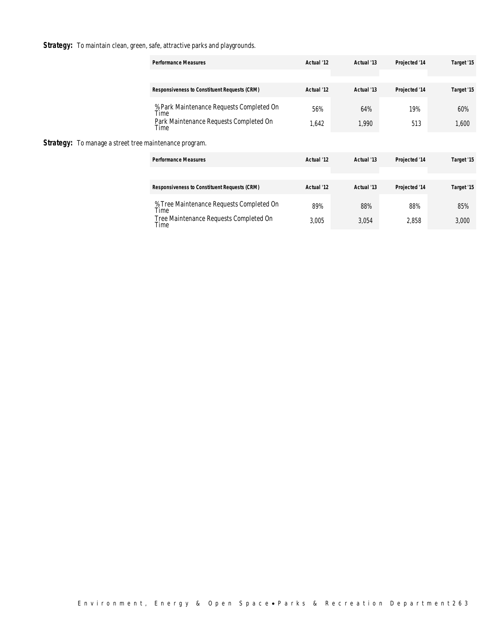**Strategy:** To maintain clean, green, safe, attractive parks and playgrounds.

|                                                               | <b>Performance Measures</b>                         | Actual '12 | Actual '13 | Projected '14 | Target '15 |
|---------------------------------------------------------------|-----------------------------------------------------|------------|------------|---------------|------------|
|                                                               |                                                     |            |            |               |            |
|                                                               | <b>Responsiveness to Constituent Requests (CRM)</b> | Actual '12 | Actual '13 | Projected '14 | Target '15 |
|                                                               | % Park Maintenance Requests Completed On<br>Time    | 56%        | 64%        | 19%           | 60%        |
|                                                               | Park Maintenance Requests Completed On<br>Time      | 1,642      | 1,990      | 513           | 1,600      |
| <b>Strategy:</b> To manage a street tree maintenance program. |                                                     |            |            |               |            |
|                                                               | <b>Performance Measures</b>                         | Actual '12 | Actual '13 | Projected '14 | Target '15 |
|                                                               |                                                     |            |            |               |            |
|                                                               | <b>Responsiveness to Constituent Requests (CRM)</b> | Actual '12 | Actual '13 | Projected '14 | Target '15 |
|                                                               | % Tree Maintenance Requests Completed On<br>Time    | 89%        | 88%        | 88%           | 85%        |
|                                                               | Tree Maintenance Requests Completed On<br>Time      | 3,005      | 3,054      | 2,858         | 3,000      |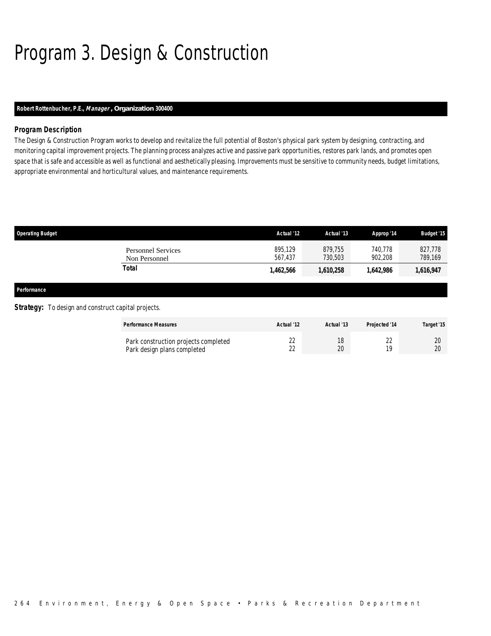# Program 3. Design & Construction

### *Robert Rottenbucher, P.E., Manager , Organization 300400*

### *Program Description*

The Design & Construction Program works to develop and revitalize the full potential of Boston's physical park system by designing, contracting, and monitoring capital improvement projects. The planning process analyzes active and passive park opportunities, restores park lands, and promotes open space that is safe and accessible as well as functional and aesthetically pleasing. Improvements must be sensitive to community needs, budget limitations, appropriate environmental and horticultural values, and maintenance requirements.

| <b>Operating Budget</b> |                                                                     | Actual '12         | Actual '13         | Approp '14         | <b>Budget '15</b>  |
|-------------------------|---------------------------------------------------------------------|--------------------|--------------------|--------------------|--------------------|
|                         | <b>Personnel Services</b><br>Non Personnel                          | 895.129<br>567,437 | 879.755<br>730,503 | 740.778<br>902,208 | 827,778<br>789,169 |
|                         | <b>Total</b>                                                        | 1,462,566          | 1,610,258          | 1,642,986          | 1,616,947          |
| Performance             |                                                                     |                    |                    |                    |                    |
|                         | <b>Strategy:</b> To design and construct capital projects.          |                    |                    |                    |                    |
|                         | <b>Performance Measures</b>                                         | Actual '12         | Actual '13         | Projected '14      | Target '15         |
|                         | Park construction projects completed<br>Park design plans completed | 22<br>22           | 18<br>20           | 22<br>19           | 20<br>20           |

Park design plans completed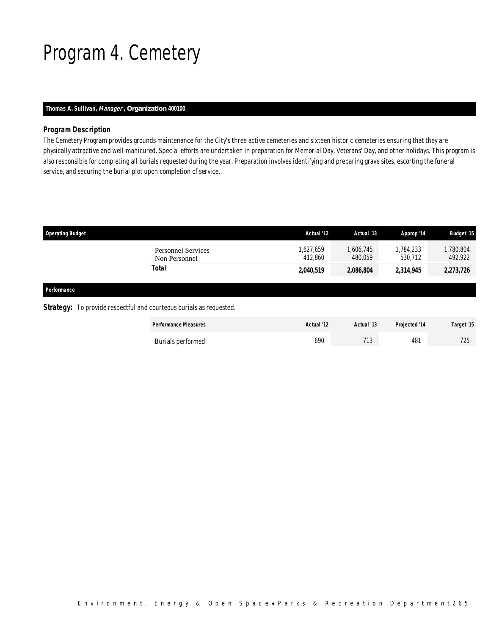# Program 4. Cemetery

### *Thomas A. Sullivan, Manager , Organization 400100*

### *Program Description*

The Cemetery Program provides grounds maintenance for the City's three active cemeteries and sixteen historic cemeteries ensuring that they are physically attractive and well-manicured. Special efforts are undertaken in preparation for Memorial Day, Veterans' Day, and other holidays. This program is also responsible for completing all burials requested during the year. Preparation involves identifying and preparing grave sites, escorting the funeral service, and securing the burial plot upon completion of service.

| <b>Operating Budget</b> |                                                                            | Actual '12           | Actual '13           | Approp '14           | <b>Budget '15</b>    |
|-------------------------|----------------------------------------------------------------------------|----------------------|----------------------|----------------------|----------------------|
|                         | <b>Personnel Services</b><br>Non Personnel                                 | 1,627,659<br>412.860 | 1.606.745<br>480.059 | 1.784.233<br>530,712 | 1,780,804<br>492,922 |
|                         | Total                                                                      | 2,040,519            | 2,086,804            | 2,314,945            | 2,273,726            |
| Performance             |                                                                            |                      |                      |                      |                      |
|                         | <b>Strategy:</b> To provide respectful and courteous burials as requested. |                      |                      |                      |                      |

| <b>Performance Measures</b> | Actual '12 | Actual '13 | Projected '14 | Target '15 |
|-----------------------------|------------|------------|---------------|------------|
| Burials performed           | 690        | 712<br>ТJ  | 481           | 725        |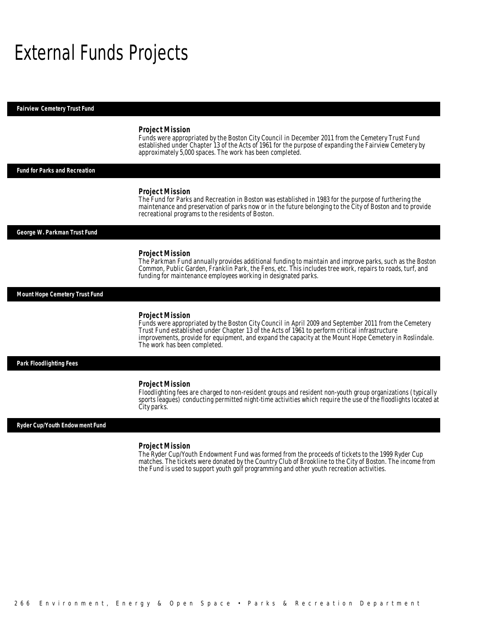# External Funds Projects

*Fairview Cemetery Trust Fund* 

#### *Project Mission*

Funds were appropriated by the Boston City Council in December 2011 from the Cemetery Trust Fund established under Chapter 13 of the Acts of 1961 for the purpose of expanding the Fairview Cemetery by approximately 5,000 spaces. The work has been completed.

#### *Fund for Parks and Recreation*

#### *Project Mission*

The Fund for Parks and Recreation in Boston was established in 1983 for the purpose of furthering the maintenance and preservation of parks now or in the future belonging to the City of Boston and to provide recreational programs to the residents of Boston.

*George W. Parkman Trust Fund* 

#### *Project Mission*

The Parkman Fund annually provides additional funding to maintain and improve parks, such as the Boston Common, Public Garden, Franklin Park, the Fens, etc. This includes tree work, repairs to roads, turf, and funding for maintenance employees working in designated parks.

*Mount Hope Cemetery Trust Fund* 

#### *Project Mission*

Funds were appropriated by the Boston City Council in April 2009 and September 2011 from the Cemetery Trust Fund established under Chapter 13 of the Acts of 1961 to perform critical infrastructure improvements, provide for equipment, and expand the capacity at the Mount Hope Cemetery in Roslindale. The work has been completed.

#### *Park Floodlighting Fees*

#### *Project Mission*

Floodlighting fees are charged to non-resident groups and resident non-youth group organizations (typically sports leagues) conducting permitted night-time activities which require the use of the floodlights located at City parks.

#### *Ryder Cup/Youth Endowment Fund*

#### *Project Mission*

The Ryder Cup/Youth Endowment Fund was formed from the proceeds of tickets to the 1999 Ryder Cup matches. The tickets were donated by the Country Club of Brookline to the City of Boston. The income from the Fund is used to support youth golf programming and other youth recreation activities.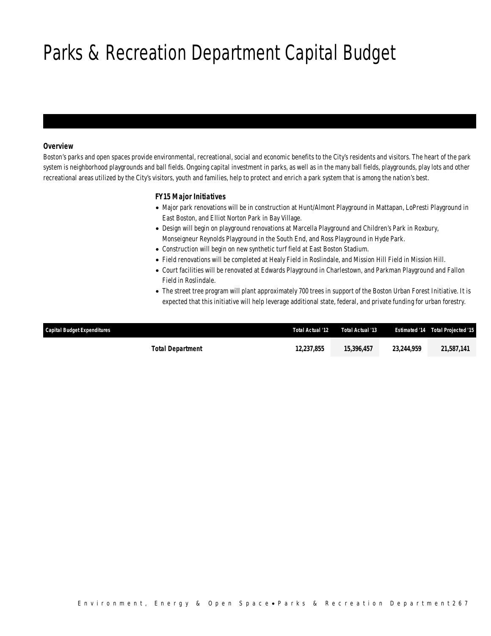# Parks & Recreation Department Capital Budget

### *Overview*

Boston's parks and open spaces provide environmental, recreational, social and economic benefits to the City's residents and visitors. The heart of the park system is neighborhood playgrounds and ball fields. Ongoing capital investment in parks, as well as in the many ball fields, playgrounds, play lots and other recreational areas utilized by the City's visitors, youth and families, help to protect and enrich a park system that is among the nation's best.

### *FY15 Major Initiatives*

- Major park renovations will be in construction at Hunt/Almont Playground in Mattapan, LoPresti Playground in East Boston, and Elliot Norton Park in Bay Village.
- Design will begin on playground renovations at Marcella Playground and Children's Park in Roxbury, Monseigneur Reynolds Playground in the South End, and Ross Playground in Hyde Park.
- Construction will begin on new synthetic turf field at East Boston Stadium.
- Field renovations will be completed at Healy Field in Roslindale, and Mission Hill Field in Mission Hill.
- Court facilities will be renovated at Edwards Playground in Charlestown, and Parkman Playground and Fallon Field in Roslindale.
- The street tree program will plant approximately 700 trees in support of the Boston Urban Forest Initiative. It is expected that this initiative will help leverage additional state, federal, and private funding for urban forestry.

| <b>Capital Budget Expenditures</b> | Total Actual '12 | Total Actual '13 |            | <b>Estimated '14 Total Projected '15'</b> |
|------------------------------------|------------------|------------------|------------|-------------------------------------------|
| Total Department                   | 12,237,855       | 15,396,457       | 23.244.959 | 21,587,141                                |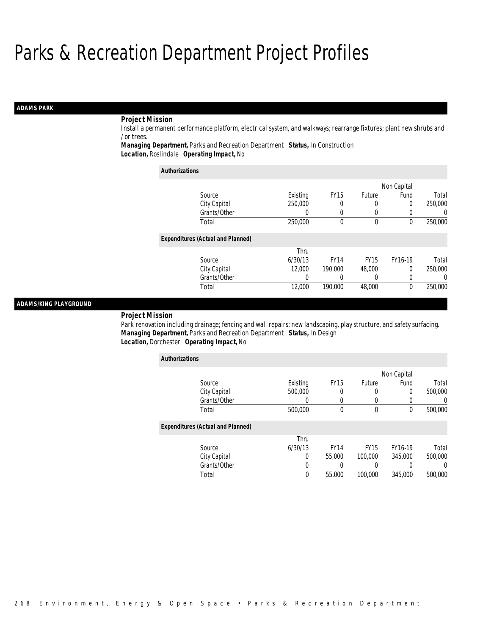#### *ADAMS PARK*

### *Project Mission*

Install a permanent performance platform, electrical system, and walkways; rearrange fixtures; plant new shrubs and / or trees.

*Managing Department,* Parks and Recreation Department *Status,* In Construction*Location,* Roslindale *Operating Impact,* No

| <b>Authorizations</b>                    |          |             |             |             |         |
|------------------------------------------|----------|-------------|-------------|-------------|---------|
|                                          |          |             |             | Non Capital |         |
| Source                                   | Existing | <b>FY15</b> | Future      | Fund        | Total   |
| City Capital                             | 250,000  | 0           | 0           | $\Omega$    | 250,000 |
| Grants/Other                             | 0        | 0           |             |             | 0       |
| Total                                    | 250,000  | 0           | $\mathbf 0$ | $\theta$    | 250,000 |
| <b>Expenditures (Actual and Planned)</b> |          |             |             |             |         |
|                                          | Thru     |             |             |             |         |
| Source                                   | 6/30/13  | <b>FY14</b> | <b>FY15</b> | FY16-19     | Total   |
| City Capital                             | 12,000   | 190,000     | 48,000      | $\Omega$    | 250,000 |
| Grants/Other                             | 0        | 0           | 0           | $\Omega$    | 0       |
| Total                                    | 12,000   | 190,000     | 48,000      | $\theta$    | 250,000 |

#### *ADAMS/KING PLAYGROUND*

#### *Project Mission*

Park renovation including drainage; fencing and wall repairs; new landscaping, play structure, and safety surfacing. *Managing Department,* Parks and Recreation Department *Status,* In Design*Location,* Dorchester *Operating Impact,* No

| <b>Authorizations</b>                    |          |             |             |             |         |
|------------------------------------------|----------|-------------|-------------|-------------|---------|
|                                          |          |             |             | Non Capital |         |
| Source                                   | Existing | <b>FY15</b> | Future      | Fund        | Total   |
| City Capital                             | 500,000  | 0           |             | 0           | 500,000 |
| Grants/Other                             |          | 0           |             | 0           | 0       |
| Total                                    | 500,000  | $\theta$    | $\mathbf 0$ | 0           | 500,000 |
| <b>Expenditures (Actual and Planned)</b> |          |             |             |             |         |
|                                          | Thru     |             |             |             |         |
| Source                                   | 6/30/13  | <b>FY14</b> | <b>FY15</b> | FY16-19     | Total   |
| City Capital                             | $\Omega$ | 55,000      | 100,000     | 345,000     | 500,000 |
| Grants/Other                             | 0        |             |             |             | 0       |
| Total                                    | 0        | 55,000      | 100,000     | 345,000     | 500,000 |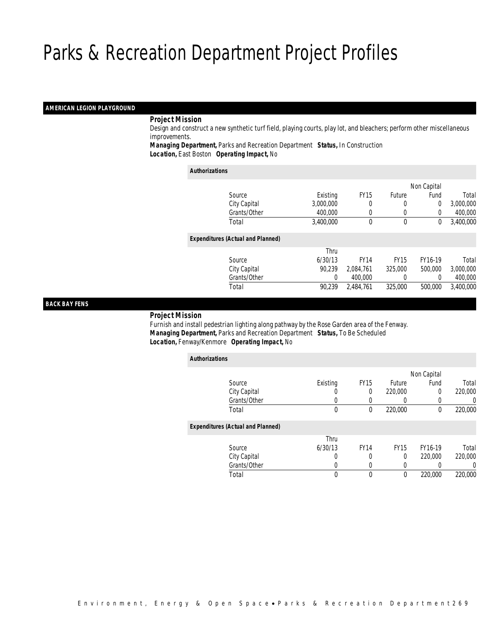#### *AMERICAN LEGION PLAYGROUND*

#### *Project Mission*

 Design and construct a new synthetic turf field, playing courts, play lot, and bleachers; perform other miscellaneous improvements.

*Managing Department,* Parks and Recreation Department *Status,* In Construction*Location,* East Boston *Operating Impact,* No

*Authorizations*

| AUUIVIILAUVIIS |                                          |           |             |               |                |           |
|----------------|------------------------------------------|-----------|-------------|---------------|----------------|-----------|
|                |                                          |           |             |               | Non Capital    |           |
|                | Source                                   | Existing  | <b>FY15</b> | <b>Future</b> | Fund           | Total     |
|                | City Capital                             | 3,000,000 | 0           | 0             | $\overline{0}$ | 3,000,000 |
|                | Grants/Other                             | 400,000   | 0           | 0             | 0              | 400,000   |
|                | Total                                    | 3,400,000 | 0           | $\mathbf 0$   | 0              | 3,400,000 |
|                | <b>Expenditures (Actual and Planned)</b> |           |             |               |                |           |
|                |                                          | Thru      |             |               |                |           |
|                | Source                                   | 6/30/13   | <b>FY14</b> | <b>FY15</b>   | FY16-19        | Total     |
|                | City Capital                             | 90.239    | 2,084,761   | 325,000       | 500,000        | 3,000,000 |
|                | Grants/Other                             | 0         | 400,000     | 0             | 0              | 400,000   |
|                | Total                                    | 90.239    | 2,484,761   | 325,000       | 500,000        | 3,400,000 |
|                |                                          |           |             |               |                |           |

#### *BACK BAY FENS*

*Project Mission*

 Furnish and install pedestrian lighting along pathway by the Rose Garden area of the Fenway. *Managing Department,* Parks and Recreation Department *Status,* To Be Scheduled*Location,* Fenway/Kenmore *Operating Impact,* No

| <b>Authorizations</b>                    |          |             |             |             |                  |
|------------------------------------------|----------|-------------|-------------|-------------|------------------|
|                                          |          |             |             | Non Capital |                  |
| Source                                   | Existing | <b>FY15</b> | Future      | Fund        | Total            |
| City Capital                             |          | 0           | 220,000     | 0           | 220,000          |
| Grants/Other                             | U        |             |             |             | 0                |
| Total                                    | 0        | 0           | 220,000     | 0           | 220,000          |
| <b>Expenditures (Actual and Planned)</b> |          |             |             |             |                  |
|                                          | Thru     |             |             |             |                  |
| Source                                   | 6/30/13  | <b>FY14</b> | <b>FY15</b> | FY16-19     | Total            |
| City Capital                             | 0        | 0           | 0           | 220,000     | 220,000          |
| Grants/Other                             | 0        | 0           | 0           |             | $\left( \right)$ |
| Total                                    | 0        | 0           | 0           | 220,000     | 220,000          |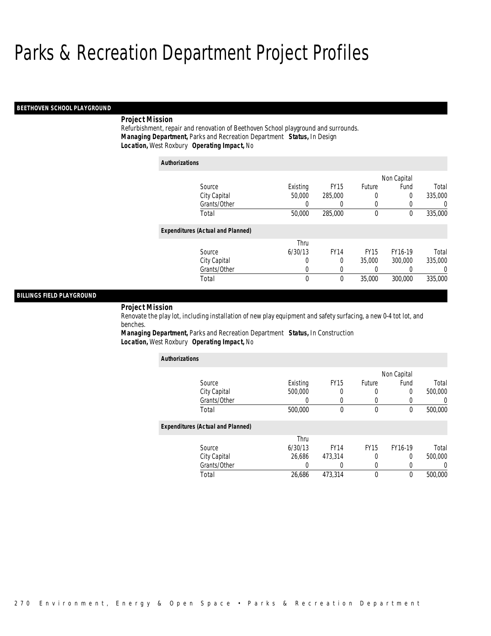#### *BEETHOVEN SCHOOL PLAYGROUND*

#### *Project Mission*

Refurbishment, repair and renovation of Beethoven School playground and surrounds. *Managing Department,* Parks and Recreation Department *Status,* In Design*Location,* West Roxbury *Operating Impact,* No

| <b>Authorizations</b> |                                          |          |             |             |             |         |
|-----------------------|------------------------------------------|----------|-------------|-------------|-------------|---------|
|                       |                                          |          |             |             | Non Capital |         |
|                       | Source                                   | Existing | <b>FY15</b> | Future      | Fund        | Total   |
|                       | City Capital                             | 50,000   | 285,000     | 0           | 0           | 335,000 |
|                       | Grants/Other                             |          |             | 0           | 0           | 0       |
|                       | Total                                    | 50,000   | 285,000     | 0           | 0           | 335,000 |
|                       | <b>Expenditures (Actual and Planned)</b> |          |             |             |             |         |
|                       |                                          | Thru     |             |             |             |         |
|                       | Source                                   | 6/30/13  | <b>FY14</b> | <b>FY15</b> | FY16-19     | Total   |
|                       | City Capital                             | 0        | 0           | 35,000      | 300,000     | 335,000 |
|                       | Grants/Other                             | 0        | 0           | 0           | 0           | 0       |
|                       | Total                                    | 0        | 0           | 35,000      | 300,000     | 335,000 |

#### *BILLINGS FIELD PLAYGROUND*

*Project Mission* 

Renovate the play lot, including installation of new play equipment and safety surfacing, a new 0-4 tot lot, and benches.

*Managing Department,* Parks and Recreation Department *Status,* In Construction*Location,* West Roxbury *Operating Impact,* No

| <b>Authorizations</b>                    |          |             |             |             |         |
|------------------------------------------|----------|-------------|-------------|-------------|---------|
|                                          |          |             |             | Non Capital |         |
| Source                                   | Existing | <b>FY15</b> | Future      | Fund        | Total   |
| City Capital                             | 500,000  | 0           | 0           | 0           | 500,000 |
| Grants/Other                             |          | 0           |             |             |         |
| Total                                    | 500,000  | 0           | $\theta$    | 0           | 500,000 |
| <b>Expenditures (Actual and Planned)</b> |          |             |             |             |         |
|                                          | Thru     |             |             |             |         |
| Source                                   | 6/30/13  | <b>FY14</b> | <b>FY15</b> | FY16-19     | Total   |
| City Capital                             | 26.686   | 473.314     | 0           | 0           | 500,000 |
| Grants/Other                             |          | $\left($    | $\left($    | 0           |         |
| Total                                    | 26.686   | 473.314     | $\theta$    | 0           | 500,000 |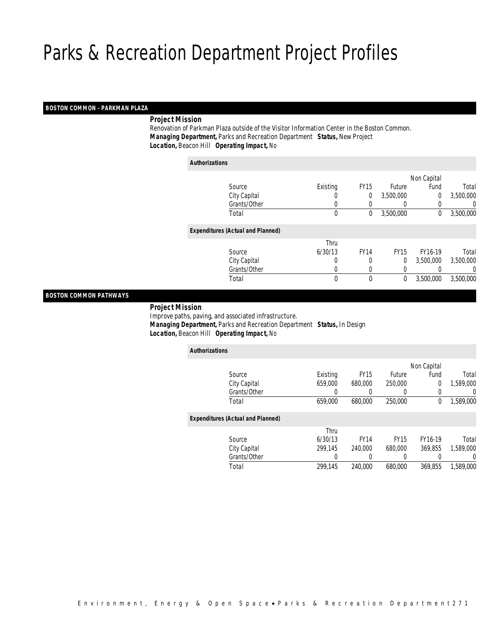#### *BOSTON COMMON - PARKMAN PLAZA*

#### *Project Mission*

 Renovation of Parkman Plaza outside of the Visitor Information Center in the Boston Common. *Managing Department,* Parks and Recreation Department *Status,* New Project*Location,* Beacon Hill *Operating Impact,* No

| <b>Authorizations</b>                    |             |             |             |             |           |
|------------------------------------------|-------------|-------------|-------------|-------------|-----------|
|                                          |             |             |             | Non Capital |           |
| Source                                   | Existing    | <b>FY15</b> | Future      | Fund        | Total     |
| City Capital                             | $\left($    | 0           | 3,500,000   | $\theta$    | 3,500,000 |
| Grants/Other                             | 0           | 0           | 0           | 0           | 0         |
| Total                                    | $\theta$    | 0           | 3.500.000   | $\mathbf 0$ | 3,500,000 |
| <b>Expenditures (Actual and Planned)</b> |             |             |             |             |           |
|                                          | Thru        |             |             |             |           |
| Source                                   | 6/30/13     | <b>FY14</b> | <b>FY15</b> | FY16-19     | Total     |
| City Capital                             | 0           | 0           | 0           | 3.500.000   | 3,500,000 |
| Grants/Other                             | 0           | 0           | 0           |             | 0         |
| Total                                    | $\mathbf 0$ | 0           | 0           | 3,500,000   | 3,500,000 |

### *BOSTON COMMON PATHWAYS*

#### *Project Mission*

 Improve paths, paving, and associated infrastructure. *Managing Department,* Parks and Recreation Department *Status,* In Design*Location,* Beacon Hill *Operating Impact,* No

| <b>Authorizations</b>                    |          |             |             |             |           |
|------------------------------------------|----------|-------------|-------------|-------------|-----------|
|                                          |          |             |             | Non Capital |           |
| Source                                   | Existing | <b>FY15</b> | Future      | Fund        | Total     |
| City Capital                             | 659,000  | 680,000     | 250,000     | $\Omega$    | 1,589,000 |
| Grants/Other                             | 0        | 0           |             | 0           | 0         |
| Total                                    | 659,000  | 680,000     | 250,000     | 0           | 1.589.000 |
| <b>Expenditures (Actual and Planned)</b> |          |             |             |             |           |
|                                          | Thru     |             |             |             |           |
| Source                                   | 6/30/13  | <b>FY14</b> | <b>FY15</b> | FY16-19     | Total     |
| City Capital                             | 299.145  | 240,000     | 680,000     | 369.855     | 1.589.000 |
| Grants/Other                             | 0        | 0           |             |             | $\Omega$  |
| Total                                    | 299.145  | 240,000     | 680,000     | 369.855     | 1,589,000 |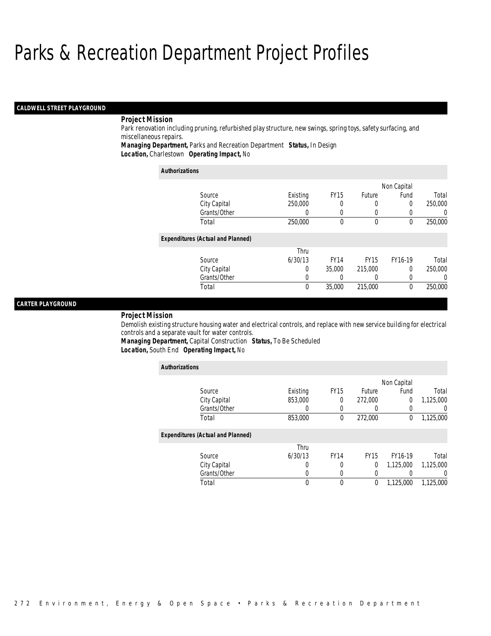### *CALDWELL STREET PLAYGROUND*

### *Project Mission*

Park renovation including pruning, refurbished play structure, new swings, spring toys, safety surfacing, and miscellaneous repairs.

*Managing Department,* Parks and Recreation Department *Status,* In Design*Location,* Charlestown *Operating Impact,* No

| <b>Authorizations</b>                    |          |             |             |             |          |
|------------------------------------------|----------|-------------|-------------|-------------|----------|
|                                          |          |             |             | Non Capital |          |
| Source                                   | Existing | <b>FY15</b> | Future      | Fund        | Total    |
| City Capital                             | 250,000  | 0           | 0           | $\Omega$    | 250,000  |
| Grants/Other                             | 0        | 0           |             |             | 0        |
| Total                                    | 250,000  | $\theta$    | $\theta$    | $\theta$    | 250,000  |
| <b>Expenditures (Actual and Planned)</b> |          |             |             |             |          |
|                                          | Thru     |             |             |             |          |
| Source                                   | 6/30/13  | <b>FY14</b> | <b>FY15</b> | FY16-19     | Total    |
| City Capital                             | 0        | 35,000      | 215,000     | $\Omega$    | 250,000  |
| Grants/Other                             | 0        | 0           |             | $\left($    | $\left($ |
| Total                                    | 0        | 35,000      | 215,000     | 0           | 250,000  |

#### *CARTER PLAYGROUND*

#### *Project Mission*

Demolish existing structure housing water and electrical controls, and replace with new service building for electrical controls and a separate vault for water controls.

*Managing Department,* Capital Construction *Status,* To Be Scheduled*Location,* South End *Operating Impact,* No

| <b>Authorizations</b>                    |                  |             |             |             |           |
|------------------------------------------|------------------|-------------|-------------|-------------|-----------|
|                                          |                  |             |             | Non Capital |           |
| Source                                   | Existing         | <b>FY15</b> | Future      | Fund        | Total     |
| City Capital                             | 853,000          | 0           | 272.000     | 0           | 1,125,000 |
| Grants/Other                             | 0                | 0           |             | 0           |           |
| Total                                    | 853,000          | 0           | 272,000     | 0           | 1,125,000 |
| <b>Expenditures (Actual and Planned)</b> |                  |             |             |             |           |
|                                          | Thru             |             |             |             |           |
| Source                                   | 6/30/13          | <b>FY14</b> | <b>FY15</b> | FY16-19     | Total     |
| City Capital                             | $\left( \right)$ | 0           | $\Omega$    | 1,125,000   | 1,125,000 |
| Grants/Other                             | 0                | 0           |             |             |           |
| Total                                    | 0                | 0           | 0           | 1,125,000   | 1,125,000 |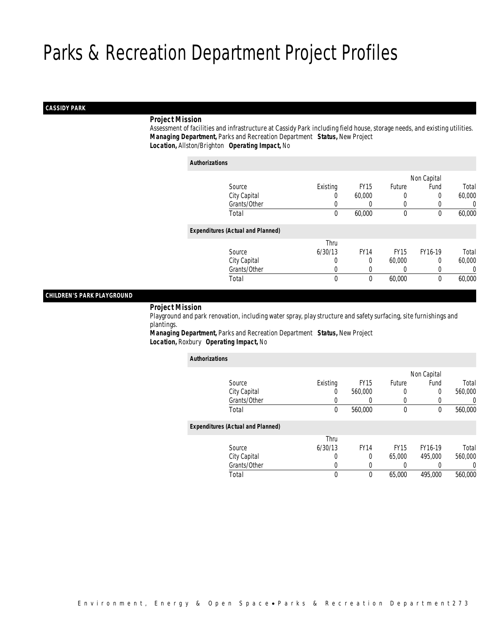#### *CASSIDY PARK*

#### *Project Mission*

 Assessment of facilities and infrastructure at Cassidy Park including field house, storage needs, and existing utilities. *Managing Department,* Parks and Recreation Department *Status,* New Project*Location,* Allston/Brighton *Operating Impact,* No

| <b>Authorizations</b>                    |          |                  |                  |             |                  |
|------------------------------------------|----------|------------------|------------------|-------------|------------------|
|                                          |          |                  |                  | Non Capital |                  |
| Source                                   | Existing | <b>FY15</b>      | Future           | Fund        | Total            |
| City Capital                             | U        | 60,000           | O                | 0           | 60,000           |
| Grants/Other                             | 0        | $\left( \right)$ | $\left( \right)$ |             | $\left( \right)$ |
| Total                                    | 0        | 60,000           | $\mathbf 0$      | $\theta$    | 60,000           |
| <b>Expenditures (Actual and Planned)</b> |          |                  |                  |             |                  |
|                                          | Thru     |                  |                  |             |                  |
| Source                                   | 6/30/13  | <b>FY14</b>      | <b>FY15</b>      | FY16-19     | Total            |
| City Capital                             | U        | 0                | 60,000           | $\Omega$    | 60,000           |
| Grants/Other                             | 0        |                  | $\left( \right)$ |             | $\left( \right)$ |
| Total                                    | 0        | 0                | 60,000           | $\Omega$    | 60,000           |

### *CHILDREN'S PARK PLAYGROUND*

#### *Project Mission*

 Playground and park renovation, including water spray, play structure and safety surfacing, site furnishings and plantings.

*Managing Department,* Parks and Recreation Department *Status,* New Project*Location,* Roxbury *Operating Impact,* No

| <b>Authorizations</b>                    |          |             |             |             |         |
|------------------------------------------|----------|-------------|-------------|-------------|---------|
|                                          |          |             |             | Non Capital |         |
| Source                                   | Existing | <b>FY15</b> | Future      | Fund        | Total   |
| City Capital                             | 0        | 560,000     | 0           | 0           | 560,000 |
| Grants/Other                             | 0        |             | 0           |             | 0       |
| Total                                    | 0        | 560.000     | $\mathbf 0$ | 0           | 560,000 |
| <b>Expenditures (Actual and Planned)</b> |          |             |             |             |         |
|                                          | Thru     |             |             |             |         |
| Source                                   | 6/30/13  | <b>FY14</b> | <b>FY15</b> | FY16-19     | Total   |
| City Capital                             | 0        | $\Omega$    | 65,000      | 495.000     | 560,000 |
| Grants/Other                             | 0        | 0           |             |             | 0       |
| Total                                    | 0        | $\theta$    | 65,000      | 495,000     | 560,000 |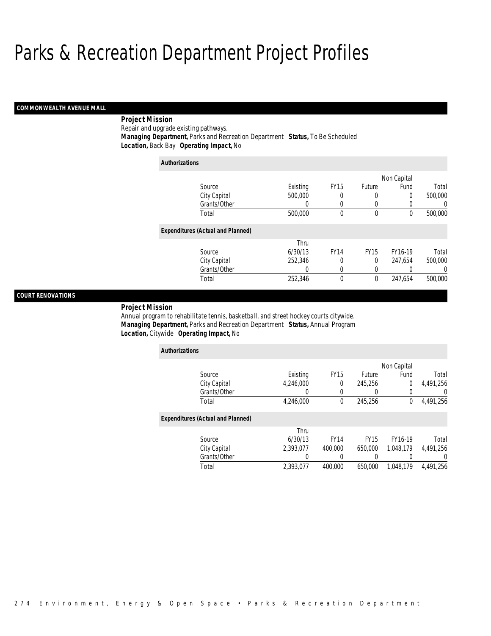#### *COMMONWEALTH AVENUE MALL*

### *Project Mission*

Repair and upgrade existing pathways.*Managing Department,* Parks and Recreation Department *Status,* To Be Scheduled

*Location,* Back Bay *Operating Impact,* No

| <b>Authorizations</b>                    |          |             |             |             |         |
|------------------------------------------|----------|-------------|-------------|-------------|---------|
|                                          |          |             |             | Non Capital |         |
| Source                                   | Existing | <b>FY15</b> | Future      | Fund        | Total   |
| City Capital                             | 500,000  | 0           | 0           | 0           | 500,000 |
| Grants/Other                             |          | 0           | 0           | 0           | 0       |
| Total                                    | 500,000  | 0           | 0           | 0           | 500,000 |
| <b>Expenditures (Actual and Planned)</b> |          |             |             |             |         |
|                                          | Thru     |             |             |             |         |
| Source                                   | 6/30/13  | <b>FY14</b> | <b>FY15</b> | FY16-19     | Total   |
| City Capital                             | 252,346  | 0           | 0           | 247.654     | 500,000 |
| Grants/Other                             | $\Omega$ | 0           | 0           | 0           | 0       |
| Total                                    | 252,346  | 0           | 0           | 247,654     | 500,000 |

#### *COURT RENOVATIONS*

#### *Project Mission*

Annual program to rehabilitate tennis, basketball, and street hockey courts citywide. *Managing Department,* Parks and Recreation Department *Status,* Annual Program*Location,* Citywide *Operating Impact,* No

| <b>Authorizations</b>                    |                  |             |             |             |           |
|------------------------------------------|------------------|-------------|-------------|-------------|-----------|
|                                          |                  |             |             | Non Capital |           |
| Source                                   | Existing         | <b>FY15</b> | Future      | Fund        | Total     |
| City Capital                             | 4.246.000        | 0           | 245.256     | 0           | 4.491.256 |
| Grants/Other                             | $\left( \right)$ | $\Omega$    | $\left($    | $\Omega$    | 0         |
| Total                                    | 4,246,000        | 0           | 245,256     | 0           | 4,491,256 |
| <b>Expenditures (Actual and Planned)</b> |                  |             |             |             |           |
|                                          | Thru             |             |             |             |           |
| Source                                   | 6/30/13          | <b>FY14</b> | <b>FY15</b> | FY16-19     | Total     |
| City Capital                             | 2.393.077        | 400,000     | 650,000     | 1.048.179   | 4.491.256 |
| Grants/Other                             | 0                |             | 0           | 0           | 0         |
| Total                                    | 2.393.077        | 400.000     | 650,000     | 1.048.179   | 4.491.256 |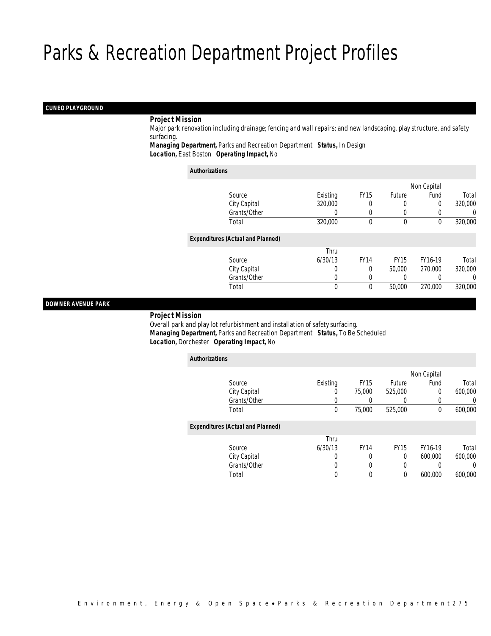#### *CUNEO PLAYGROUND*

#### *Project Mission*

 Major park renovation including drainage; fencing and wall repairs; and new landscaping, play structure, and safety surfacing.

*Managing Department,* Parks and Recreation Department *Status,* In Design*Location,* East Boston *Operating Impact,* No

# *Authorizations*

|                                          |              |          |             |               | Non Capital |         |
|------------------------------------------|--------------|----------|-------------|---------------|-------------|---------|
| Source                                   |              | Existing | <b>FY15</b> | <b>Future</b> | Fund        | Total   |
|                                          | City Capital | 320,000  |             |               | 0           | 320,000 |
|                                          | Grants/Other |          |             |               |             | 0       |
| Total                                    |              | 320,000  | 0           | $\mathbf 0$   | 0           | 320,000 |
| <b>Expenditures (Actual and Planned)</b> |              |          |             |               |             |         |
|                                          |              | Thru     |             |               |             |         |
| Source                                   |              | 6/30/13  | <b>FY14</b> | <b>FY15</b>   | FY16-19     | Total   |
|                                          | City Capital |          | 0           | 50,000        | 270,000     | 320,000 |
|                                          | Grants/Other | 0        |             |               |             | 0       |
| Total                                    |              | 0        |             | 50,000        | 270,000     | 320,000 |

#### *DOWNER AVENUE PARK*

*Project Mission*

*Authorizations*

 Overall park and play lot refurbishment and installation of safety surfacing. *Managing Department,* Parks and Recreation Department *Status,* To Be Scheduled*Location,* Dorchester *Operating Impact,* No

| AUUIVIIZAUVIIS                           |          |             |               |             |          |
|------------------------------------------|----------|-------------|---------------|-------------|----------|
|                                          |          |             |               | Non Capital |          |
| Source                                   | Existing | <b>FY15</b> | <b>Future</b> | Fund        | Total    |
| City Capital                             | $\left($ | 75,000      | 525,000       | 0           | 600,000  |
| Grants/Other                             | 0        |             |               |             | 0        |
| Total                                    | 0        | 75,000      | 525,000       | 0           | 600,000  |
| <b>Expenditures (Actual and Planned)</b> |          |             |               |             |          |
|                                          | Thru     |             |               |             |          |
| Source                                   | 6/30/13  | <b>FY14</b> | <b>FY15</b>   | FY16-19     | Total    |
| City Capital                             | 0        | 0           | $\theta$      | 600,000     | 600,000  |
| Grants/Other                             | 0        | 0           | 0             |             | $\Omega$ |
| Total                                    | 0        | 0           | 0             | 600.000     | 600.000  |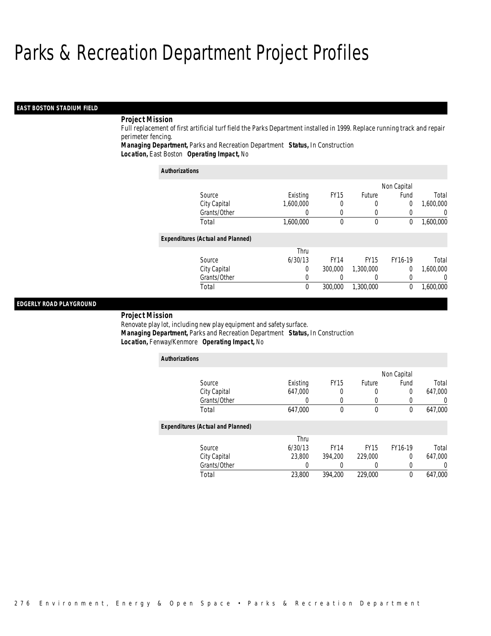#### *EAST BOSTON STADIUM FIELD*

### *Project Mission*

Full replacement of first artificial turf field the Parks Department installed in 1999. Replace running track and repair perimeter fencing.

*Managing Department,* Parks and Recreation Department *Status,* In Construction*Location,* East Boston *Operating Impact,* No

| <b>Authorizations</b>                    |                  |             |             |             |                  |
|------------------------------------------|------------------|-------------|-------------|-------------|------------------|
|                                          |                  |             |             | Non Capital |                  |
| Source                                   | Existing         | <b>FY15</b> | Future      | Fund        | Total            |
| City Capital                             | 1.600.000        | 0           |             | 0           | 1,600,000        |
| Grants/Other                             | $\left( \right)$ | 0           |             |             | $\left( \right)$ |
| Total                                    | 1,600,000        | 0           | $\mathbf 0$ | 0           | 1,600,000        |
| <b>Expenditures (Actual and Planned)</b> |                  |             |             |             |                  |
|                                          | Thru             |             |             |             |                  |
| Source                                   | 6/30/13          | <b>FY14</b> | <b>FY15</b> | FY16-19     | Total            |
| City Capital                             | 0                | 300,000     | 1,300,000   | 0           | 1,600,000        |
| Grants/Other                             | 0                |             |             | 0           | 0                |
| Total                                    | 0                | 300,000     | 1,300,000   | $\Omega$    | 1.600.000        |

#### *EDGERLY ROAD PLAYGROUND*

#### *Project Mission*

Renovate play lot, including new play equipment and safety surface. *Managing Department,* Parks and Recreation Department *Status,* In Construction*Location,* Fenway/Kenmore *Operating Impact,* No

| <b>Authorizations</b>                    |          |             |               |             |                  |
|------------------------------------------|----------|-------------|---------------|-------------|------------------|
|                                          |          |             |               | Non Capital |                  |
| Source                                   | Existing | <b>FY15</b> | <b>Future</b> | Fund        | Total            |
| City Capital                             | 647,000  | 0           | 0             | $\Omega$    | 647,000          |
| Grants/Other                             | 0        | 0           | U             |             |                  |
| Total                                    | 647,000  | $\theta$    | $\mathbf 0$   | $\theta$    | 647,000          |
| <b>Expenditures (Actual and Planned)</b> |          |             |               |             |                  |
|                                          | Thru     |             |               |             |                  |
| Source                                   | 6/30/13  | <b>FY14</b> | <b>FY15</b>   | FY16-19     | Total            |
| City Capital                             | 23.800   | 394.200     | 229,000       | 0           | 647,000          |
| Grants/Other                             | 0        |             | 0             |             | $\left( \right)$ |
| Total                                    | 23,800   | 394.200     | 229,000       |             | 647.000          |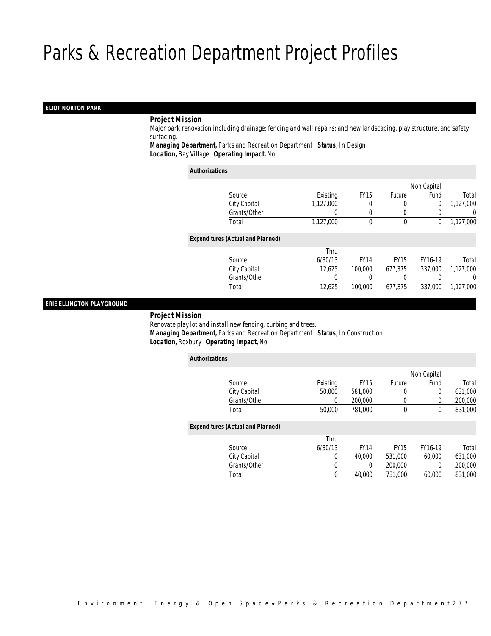#### *ELIOT NORTON PARK*

#### *Project Mission*

 Major park renovation including drainage; fencing and wall repairs; and new landscaping, play structure, and safety surfacing.

*Managing Department,* Parks and Recreation Department *Status,* In Design*Location,* Bay Village *Operating Impact,* No

| <b>Authorizations</b> |                                          |           |             |             |             |           |
|-----------------------|------------------------------------------|-----------|-------------|-------------|-------------|-----------|
|                       |                                          |           |             |             | Non Capital |           |
|                       | Source                                   | Existing  | <b>FY15</b> | Future      | Fund        | Total     |
|                       | City Capital                             | 1,127,000 | 0           | 0           | $\mathbf 0$ | 1,127,000 |
|                       | Grants/Other                             | 0         | 0           | $\left($    |             | 0         |
|                       | Total                                    | 1,127,000 | $\theta$    | $\theta$    | 0           | 1,127,000 |
|                       | <b>Expenditures (Actual and Planned)</b> |           |             |             |             |           |
|                       |                                          | Thru      |             |             |             |           |
|                       | Source                                   | 6/30/13   | <b>FY14</b> | <b>FY15</b> | FY16-19     | Total     |
|                       | City Capital                             | 12.625    | 100,000     | 677,375     | 337,000     | 1,127,000 |
|                       | Grants/Other                             | 0         |             |             |             | 0         |
|                       | Total                                    | 12,625    | 100,000     | 677,375     | 337,000     | 1,127,000 |
|                       |                                          |           |             |             |             |           |

#### *ERIE ELLINGTON PLAYGROUND*

*Project Mission*

*Authorizations*

 Renovate play lot and install new fencing, curbing and trees. *Managing Department,* Parks and Recreation Department *Status,* In Construction*Location,* Roxbury *Operating Impact,* No

| <b>Authorizations</b>                    |          |             |               |             |         |
|------------------------------------------|----------|-------------|---------------|-------------|---------|
|                                          |          |             |               | Non Capital |         |
| Source                                   | Existing | <b>FY15</b> | <b>Future</b> | Fund        | Total   |
| City Capital                             | 50,000   | 581.000     | 0             | 0           | 631,000 |
| Grants/Other                             | 0        | 200,000     | 0             | 0           | 200,000 |
| Total                                    | 50,000   | 781,000     | 0             | 0           | 831,000 |
| <b>Expenditures (Actual and Planned)</b> |          |             |               |             |         |
|                                          | Thru     |             |               |             |         |
| Source                                   | 6/30/13  | <b>FY14</b> | <b>FY15</b>   | FY16-19     | Total   |
| City Capital                             | 0        | 40,000      | 531,000       | 60,000      | 631,000 |
| Grants/Other                             | 0        | 0           | 200,000       | 0           | 200,000 |
| Total                                    | 0        | 40.000      | 731,000       | 60,000      | 831,000 |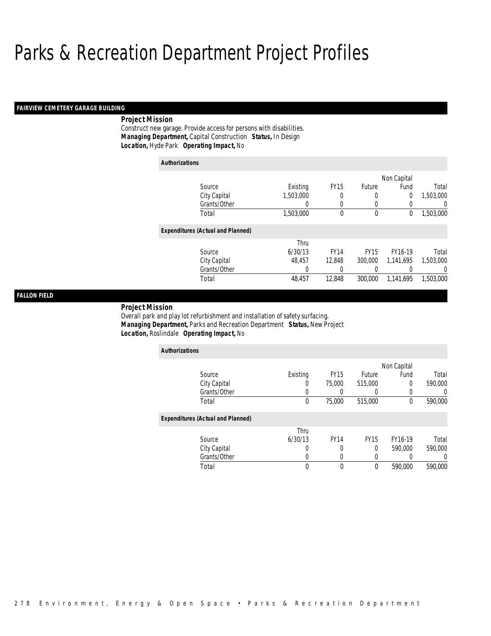#### *FAIRVIEW CEMETERY GARAGE BUILDING*

#### *Project Mission*

Construct new garage. Provide access for persons with disabilities. *Managing Department,* Capital Construction *Status,* In Design*Location,* Hyde Park *Operating Impact,* No

| <b>Authorizations</b>                    |           |             |             |             |           |
|------------------------------------------|-----------|-------------|-------------|-------------|-----------|
|                                          |           |             |             | Non Capital |           |
| Source                                   | Existing  | <b>FY15</b> | Future      | Fund        | Total     |
| City Capital                             | 1,503,000 | 0           | 0           | 0           | 1,503,000 |
| Grants/Other                             | 0         | 0           | 0           |             | 0         |
| Total                                    | 1,503,000 | 0           | 0           | 0           | 1,503,000 |
| <b>Expenditures (Actual and Planned)</b> |           |             |             |             |           |
|                                          | Thru      |             |             |             |           |
| Source                                   | 6/30/13   | <b>FY14</b> | <b>FY15</b> | FY16-19     | Total     |
| City Capital                             | 48.457    | 12,848      | 300,000     | 1.141.695   | 1.503.000 |
| Grants/Other                             | 0         | 0           | 0           |             | $\left($  |
| Total                                    | 48,457    | 12,848      | 300,000     | 1,141,695   | 1,503,000 |

#### *FALLON FIELD*

#### *Project Mission*

Overall park and play lot refurbishment and installation of safety surfacing. *Managing Department,* Parks and Recreation Department *Status,* New Project*Location,* Roslindale *Operating Impact,* No

| <b>Authorizations</b>                    |          |             |             |             |                  |
|------------------------------------------|----------|-------------|-------------|-------------|------------------|
|                                          |          |             |             | Non Capital |                  |
| Source                                   | Existing | <b>FY15</b> | Future      | Fund        | Total            |
| City Capital                             | O        | 75,000      | 515,000     | 0           | 590,000          |
| Grants/Other                             | 0        |             |             |             | $\left( \right)$ |
| Total                                    | 0        | 75,000      | 515,000     | 0           | 590,000          |
| <b>Expenditures (Actual and Planned)</b> |          |             |             |             |                  |
|                                          | Thru     |             |             |             |                  |
| Source                                   | 6/30/13  | <b>FY14</b> | <b>FY15</b> | FY16-19     | Total            |
| City Capital                             | U        | 0           | 0           | 590,000     | 590,000          |
| Grants/Other                             | 0        | 0           |             | 0           | 0                |
| Total                                    | 0        | $\theta$    | $\theta$    | 590,000     | 590,000          |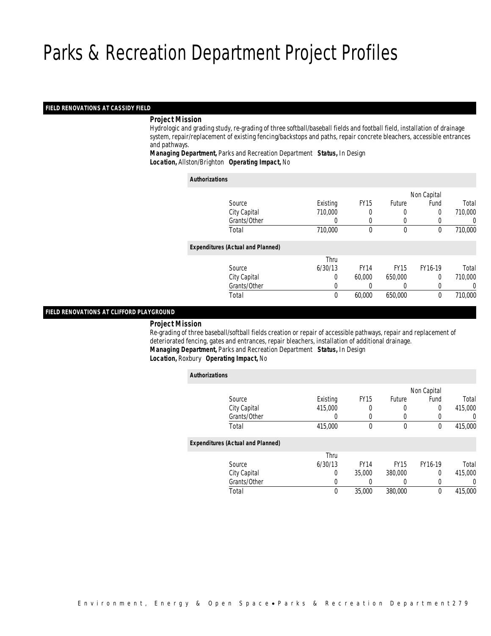#### *FIELD RENOVATIONS AT CASSIDY FIELD*

#### *Project Mission*

 Hydrologic and grading study, re-grading of three softball/baseball fields and football field, installation of drainage system, repair/replacement of existing fencing/backstops and paths, repair concrete bleachers, accessible entrances and pathways.

*Managing Department,* Parks and Recreation Department *Status,* In Design*Location,* Allston/Brighton *Operating Impact,* No

| <b>Authorizations</b>                    |          |             |             |             |          |
|------------------------------------------|----------|-------------|-------------|-------------|----------|
|                                          |          |             |             | Non Capital |          |
| Source                                   | Existing | <b>FY15</b> | Future      | Fund        | Total    |
| City Capital                             | 710,000  | 0           | 0           | 0           | 710,000  |
| Grants/Other                             | 0        | 0           | 0           | 0           | 0        |
| Total                                    | 710,000  | 0           | 0           | 0           | 710,000  |
| <b>Expenditures (Actual and Planned)</b> |          |             |             |             |          |
|                                          | Thru     |             |             |             |          |
| Source                                   | 6/30/13  | <b>FY14</b> | <b>FY15</b> | FY16-19     | Total    |
| City Capital                             | $\Omega$ | 60,000      | 650,000     | 0           | 710,000  |
| Grants/Other                             | 0        | 0           | 0           | 0           | $\Omega$ |
| Total                                    | 0        | 60,000      | 650,000     | 0           | 710,000  |

#### *FIELD RENOVATIONS AT CLIFFORD PLAYGROUND*

### *Project Mission*

 Re-grading of three baseball/softball fields creation or repair of accessible pathways, repair and replacement of deteriorated fencing, gates and entrances, repair bleachers, installation of additional drainage. *Managing Department,* Parks and Recreation Department *Status,* In Design

*Location,* Roxbury *Operating Impact,* No

| <b>Authorizations</b>                    |          |             |             |             |         |
|------------------------------------------|----------|-------------|-------------|-------------|---------|
|                                          |          |             |             | Non Capital |         |
| Source                                   | Existing | <b>FY15</b> | Future      | Fund        | Total   |
| City Capital                             | 415,000  | 0           | 0           | 0           | 415,000 |
| Grants/Other                             | 0        | 0           | 0           |             | 0       |
| Total                                    | 415,000  | 0           | 0           | 0           | 415,000 |
| <b>Expenditures (Actual and Planned)</b> |          |             |             |             |         |
|                                          | Thru     |             |             |             |         |
| Source                                   | 6/30/13  | <b>FY14</b> | <b>FY15</b> | FY16-19     | Total   |
| City Capital                             | 0        | 35,000      | 380,000     | 0           | 415,000 |
| Grants/Other                             | 0        |             | 0           | 0           | 0       |
| Total                                    | 0        | 35,000      | 380,000     | 0           | 415,000 |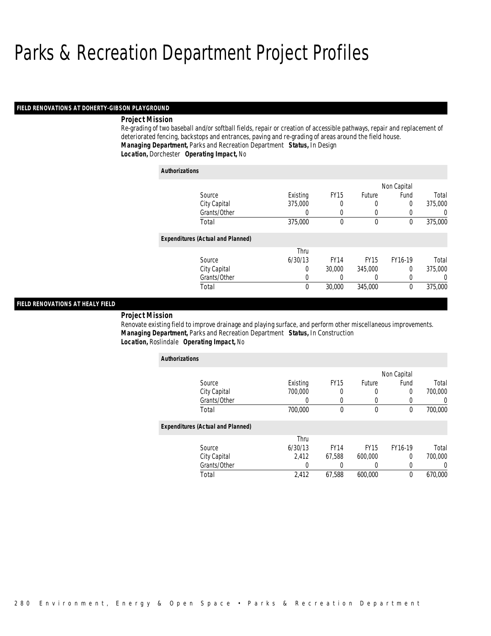#### *FIELD RENOVATIONS AT DOHERTY-GIBSON PLAYGROUND*

#### *Project Mission*

Re-grading of two baseball and/or softball fields, repair or creation of accessible pathways, repair and replacement of deteriorated fencing, backstops and entrances, paving and re-grading of areas around the field house. *Managing Department,* Parks and Recreation Department *Status,* In Design*Location,* Dorchester *Operating Impact,* No

| <b>Authorizations</b>                    |          |             |             |             |                  |
|------------------------------------------|----------|-------------|-------------|-------------|------------------|
|                                          |          |             |             | Non Capital |                  |
| Source                                   | Existing | <b>FY15</b> | Future      | Fund        | Total            |
| City Capital                             | 375,000  | 0           | 0           | 0           | 375,000          |
| Grants/Other                             | 0        | 0           | 0           |             | 0                |
| Total                                    | 375,000  | 0           | 0           | 0           | 375,000          |
| <b>Expenditures (Actual and Planned)</b> |          |             |             |             |                  |
|                                          | Thru     |             |             |             |                  |
| Source                                   | 6/30/13  | <b>FY14</b> | <b>FY15</b> | FY16-19     | Total            |
| City Capital                             | 0        | 30,000      | 345,000     | 0           | 375,000          |
| Grants/Other                             | 0        | 0           | 0           | 0           | $\left( \right)$ |
| Total                                    | 0        | 30,000      | 345,000     | 0           | 375,000          |

#### *FIELD RENOVATIONS AT HEALY FIELD*

#### *Project Mission*

Renovate existing field to improve drainage and playing surface, and perform other miscellaneous improvements. *Managing Department,* Parks and Recreation Department *Status,* In Construction*Location,* Roslindale *Operating Impact,* No

| <b>Authorizations</b>                    |          |             |             |             |                |
|------------------------------------------|----------|-------------|-------------|-------------|----------------|
|                                          |          |             |             | Non Capital |                |
| Source                                   | Existing | <b>FY15</b> | Future      | Fund        | Total          |
| City Capital                             | 700,000  | 0           | 0           | 0           | 700,000        |
| Grants/Other                             | 0        | 0           | 0           | 0           | 0              |
| Total                                    | 700,000  | 0           | 0           | 0           | 700,000        |
| <b>Expenditures (Actual and Planned)</b> |          |             |             |             |                |
|                                          | Thru     |             |             |             |                |
| Source                                   | 6/30/13  | <b>FY14</b> | <b>FY15</b> | FY16-19     | Total          |
| City Capital                             | 2.412    | 67.588      | 600,000     | 0           | 700,000        |
| Grants/Other                             | 0        | 0           | 0           | 0           | $\overline{0}$ |
| Total                                    | 2.412    | 67.588      | 600,000     | 0           | 670,000        |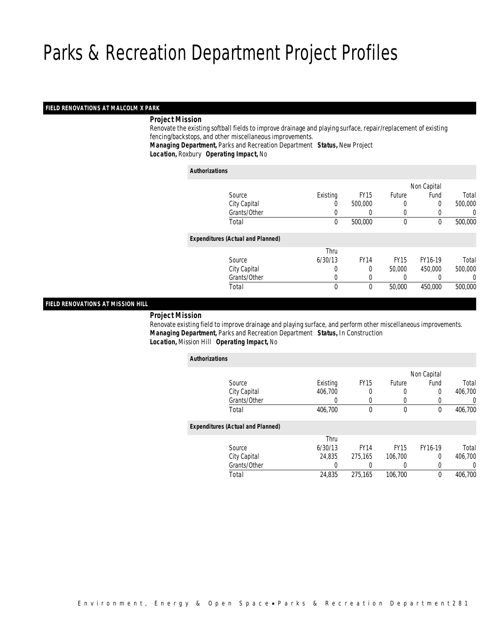#### *FIELD RENOVATIONS AT MALCOLM X PARK*

#### *Project Mission*

 Renovate the existing softball fields to improve drainage and playing surface, repair/replacement of existing fencing/backstops, and other miscellaneous improvements. *Managing Department,* Parks and Recreation Department *Status,* New Project

*Location,* Roxbury *Operating Impact,* No

#### *Authorizations*

|                                          |                  |             |                  | Non Capital |         |
|------------------------------------------|------------------|-------------|------------------|-------------|---------|
| Source                                   | Existing         | <b>FY15</b> | <b>Future</b>    | Fund        | Total   |
| City Capital                             | $\left( \right)$ | 500,000     | 0                | 0           | 500,000 |
| Grants/Other                             | 0                |             | $\left( \right)$ |             | 0       |
| Total                                    | 0                | 500,000     | 0                | $\theta$    | 500,000 |
| <b>Expenditures (Actual and Planned)</b> |                  |             |                  |             |         |
|                                          | Thru             |             |                  |             |         |
| Source                                   | 6/30/13          | <b>FY14</b> | <b>FY15</b>      | FY16-19     | Total   |
| City Capital                             | 0                | 0           | 50,000           | 450,000     | 500,000 |
| Grants/Other                             | 0                |             |                  |             | 0       |
| Total                                    | $\theta$         | $\Omega$    | 50,000           | 450,000     | 500,000 |
|                                          |                  |             |                  |             |         |

#### *FIELD RENOVATIONS AT MISSION HILL*

*Project Mission*

 Renovate existing field to improve drainage and playing surface, and perform other miscellaneous improvements. *Managing Department,* Parks and Recreation Department *Status,* In Construction*Location,* Mission Hill *Operating Impact,* No

|                                                                                                                                                |             |             | Non Capital |         |
|------------------------------------------------------------------------------------------------------------------------------------------------|-------------|-------------|-------------|---------|
| Existing                                                                                                                                       | <b>FY15</b> | Future      | Fund        | Total   |
| 406,700                                                                                                                                        | 0           | 0           | 0           | 406,700 |
| 0                                                                                                                                              |             |             |             | 0       |
| 406,700                                                                                                                                        | 0           | $\theta$    | 0           | 406,700 |
|                                                                                                                                                |             |             |             |         |
| Thru                                                                                                                                           |             |             |             |         |
| 6/30/13                                                                                                                                        | <b>FY14</b> | <b>FY15</b> | FY16-19     | Total   |
| 24.835                                                                                                                                         | 275.165     | 106,700     | 0           | 406.700 |
| 0                                                                                                                                              |             | 0           |             | 0       |
| 24,835                                                                                                                                         | 275.165     | 106,700     | 0           | 406,700 |
| Source<br>City Capital<br>Grants/Other<br>Total<br><b>Expenditures (Actual and Planned)</b><br>Source<br>City Capital<br>Grants/Other<br>Total |             |             |             |         |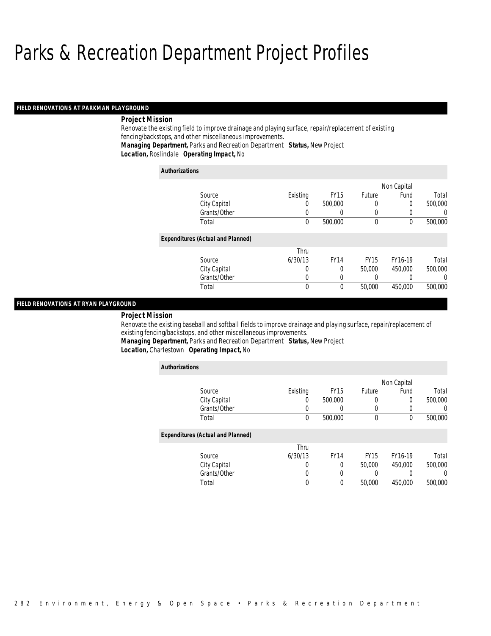#### *FIELD RENOVATIONS AT PARKMAN PLAYGROUND*

#### *Project Mission*

Renovate the existing field to improve drainage and playing surface, repair/replacement of existing fencing/backstops, and other miscellaneous improvements. *Managing Department,* Parks and Recreation Department *Status,* New Project*Location,* Roslindale *Operating Impact,* No

| <b>Authorizations</b>                    |          |             |             |             |                  |
|------------------------------------------|----------|-------------|-------------|-------------|------------------|
|                                          |          |             |             | Non Capital |                  |
| Source                                   | Existing | <b>FY15</b> | Future      | Fund        | Total            |
| City Capital                             | U        | 500,000     |             | $\Omega$    | 500,000          |
| Grants/Other                             | 0        |             |             |             | 0                |
| Total                                    | 0        | 500,000     | $\theta$    | $\theta$    | 500,000          |
| <b>Expenditures (Actual and Planned)</b> |          |             |             |             |                  |
|                                          | Thru     |             |             |             |                  |
| Source                                   | 6/30/13  | <b>FY14</b> | <b>FY15</b> | FY16-19     | Total            |
| City Capital                             | 0        | 0           | 50,000      | 450,000     | 500,000          |
| Grants/Other                             | 0        | 0           |             |             | $\left( \right)$ |
| Total                                    | 0        | 0           | 50,000      | 450,000     | 500,000          |

#### *FIELD RENOVATIONS AT RYAN PLAYGROUND*

#### *Project Mission*

Renovate the existing baseball and softball fields to improve drainage and playing surface, repair/replacement of existing fencing/backstops, and other miscellaneous improvements.

*Managing Department,* Parks and Recreation Department *Status,* New Project*Location,* Charlestown *Operating Impact,* No

| <b>Authorizations</b>                    |          |             |             |             |                  |
|------------------------------------------|----------|-------------|-------------|-------------|------------------|
|                                          |          |             |             | Non Capital |                  |
| Source                                   | Existing | <b>FY15</b> | Future      | Fund        | Total            |
| City Capital                             | 0        | 500,000     |             | 0           | 500,000          |
| Grants/Other                             | 0        |             |             |             | $\left( \right)$ |
| Total                                    | 0        | 500,000     | $\mathbf 0$ | 0           | 500,000          |
| <b>Expenditures (Actual and Planned)</b> |          |             |             |             |                  |
|                                          | Thru     |             |             |             |                  |
| Source                                   | 6/30/13  | <b>FY14</b> | <b>FY15</b> | FY16-19     | Total            |
| City Capital                             | 0        | 0           | 50,000      | 450,000     | 500,000          |
| Grants/Other                             | 0        | 0           |             |             | 0                |
| Total                                    | 0        | 0           | 50,000      | 450,000     | 500,000          |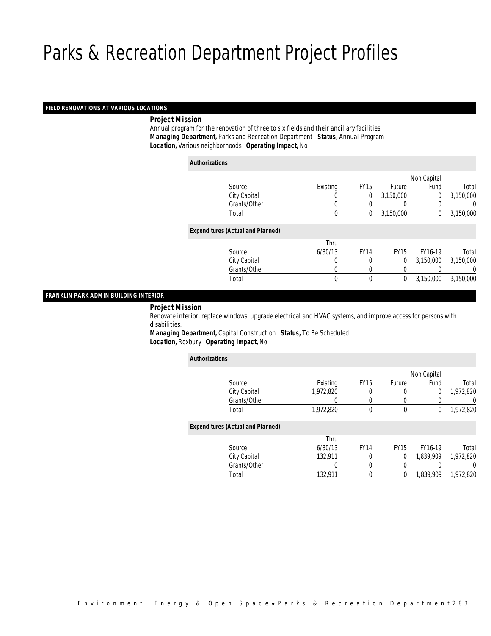#### *FIELD RENOVATIONS AT VARIOUS LOCATIONS*

#### *Project Mission*

 Annual program for the renovation of three to six fields and their ancillary facilities. *Managing Department,* Parks and Recreation Department *Status,* Annual Program*Location,* Various neighborhoods *Operating Impact,* No

| <b>Authorizations</b>                    |             |             |              |             |           |
|------------------------------------------|-------------|-------------|--------------|-------------|-----------|
|                                          |             |             |              | Non Capital |           |
| Source                                   | Existing    | <b>FY15</b> | Future       | Fund        | Total     |
| City Capital                             | $\left($    | 0           | 3,150,000    | $\theta$    | 3,150,000 |
| Grants/Other                             | 0           |             | 0            | 0           | 0         |
| Total                                    | 0           | 0           | 3,150,000    | $\mathbf 0$ | 3,150,000 |
| <b>Expenditures (Actual and Planned)</b> |             |             |              |             |           |
|                                          | Thru        |             |              |             |           |
| Source                                   | 6/30/13     | <b>FY14</b> | <b>FY15</b>  | FY16-19     | Total     |
| City Capital                             | 0           | 0           | $\theta$     | 3,150,000   | 3,150,000 |
| Grants/Other                             | 0           | 0           | 0            |             | 0         |
| Total                                    | $\mathbf 0$ | $\theta$    | $\mathbf{0}$ | 3,150,000   | 3,150,000 |

#### *FRANKLIN PARK ADMIN BUILDING INTERIOR*

#### *Project Mission*

 Renovate interior, replace windows, upgrade electrical and HVAC systems, and improve access for persons with disabilities.

*Managing Department,* Capital Construction *Status,* To Be Scheduled*Location,* Roxbury *Operating Impact,* No

| <b>Authorizations</b>                    |           |             |             |             |           |
|------------------------------------------|-----------|-------------|-------------|-------------|-----------|
|                                          |           |             |             | Non Capital |           |
| Source                                   | Existing  | <b>FY15</b> | Future      | Fund        | Total     |
| City Capital                             | 1,972,820 |             | 0           | $\mathbf 0$ | 1,972,820 |
| Grants/Other                             |           |             | 0           |             | $\Omega$  |
| Total                                    | 1,972,820 | $\theta$    | $\mathbf 0$ | 0           | 1,972,820 |
| <b>Expenditures (Actual and Planned)</b> |           |             |             |             |           |
|                                          | Thru      |             |             |             |           |
| Source                                   | 6/30/13   | <b>FY14</b> | <b>FY15</b> | FY16-19     | Total     |
| City Capital                             | 132,911   | 0           | $\theta$    | 1.839.909   | 1,972,820 |
| Grants/Other                             |           | 0           | 0           |             | $\left($  |
| Total                                    | 132,911   | $\theta$    | 0           | 1.839.909   | 1,972,820 |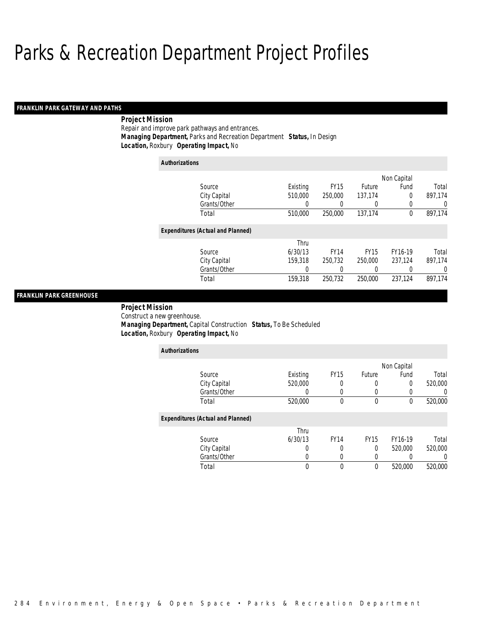#### *FRANKLIN PARK GATEWAY AND PATHS*

### *Project Mission*

Repair and improve park pathways and entrances. *Managing Department,* Parks and Recreation Department *Status,* In Design*Location,* Roxbury *Operating Impact,* No

#### *Authorizations*

| Non Capital<br><b>FY15</b><br>Existing<br>Fund<br>Future<br>Source<br>City Capital<br>510,000<br>250,000<br>137.174<br>0<br>Grants/Other<br>0<br>Total<br>510,000<br>250,000<br>137.174<br>0<br><b>Expenditures (Actual and Planned)</b><br>Thru<br>6/30/13<br><b>FY14</b><br><b>FY15</b><br>FY16-19<br>Source<br>City Capital<br>159,318<br>250.732<br>237.124<br>250,000<br>Grants/Other<br>0<br>0<br>0<br>Total<br>159,318<br>237,124<br>250.732<br>250,000 |  |  |  |         |
|----------------------------------------------------------------------------------------------------------------------------------------------------------------------------------------------------------------------------------------------------------------------------------------------------------------------------------------------------------------------------------------------------------------------------------------------------------------|--|--|--|---------|
|                                                                                                                                                                                                                                                                                                                                                                                                                                                                |  |  |  |         |
|                                                                                                                                                                                                                                                                                                                                                                                                                                                                |  |  |  | Total   |
|                                                                                                                                                                                                                                                                                                                                                                                                                                                                |  |  |  | 897,174 |
|                                                                                                                                                                                                                                                                                                                                                                                                                                                                |  |  |  | 0       |
|                                                                                                                                                                                                                                                                                                                                                                                                                                                                |  |  |  | 897,174 |
|                                                                                                                                                                                                                                                                                                                                                                                                                                                                |  |  |  |         |
|                                                                                                                                                                                                                                                                                                                                                                                                                                                                |  |  |  |         |
|                                                                                                                                                                                                                                                                                                                                                                                                                                                                |  |  |  | Total   |
|                                                                                                                                                                                                                                                                                                                                                                                                                                                                |  |  |  | 897.174 |
|                                                                                                                                                                                                                                                                                                                                                                                                                                                                |  |  |  | 0       |
|                                                                                                                                                                                                                                                                                                                                                                                                                                                                |  |  |  | 897.174 |

### *FRANKLIN PARK GREENHOUSE*

 *Project Mission* Construct a new greenhouse. *Managing Department,* Capital Construction *Status,* To Be Scheduled*Location,* Roxbury *Operating Impact,* No

| <b>Authorizations</b>                    |          |             |             |             |         |
|------------------------------------------|----------|-------------|-------------|-------------|---------|
|                                          |          |             |             | Non Capital |         |
| Source                                   | Existing | <b>FY15</b> | Future      | Fund        | Total   |
| City Capital                             | 520,000  | 0           | 0           | 0           | 520,000 |
| Grants/Other                             |          |             |             | 0           |         |
| Total                                    | 520,000  | $\Omega$    | 0           | 0           | 520,000 |
| <b>Expenditures (Actual and Planned)</b> |          |             |             |             |         |
|                                          | Thru     |             |             |             |         |
| Source                                   | 6/30/13  | <b>FY14</b> | <b>FY15</b> | FY16-19     | Total   |
| City Capital                             | U        |             | 0           | 520,000     | 520,000 |
| Grants/Other                             |          | 0           | 0           | 0           |         |
| Total                                    | 0        | $\Omega$    | 0           | 520,000     | 520,000 |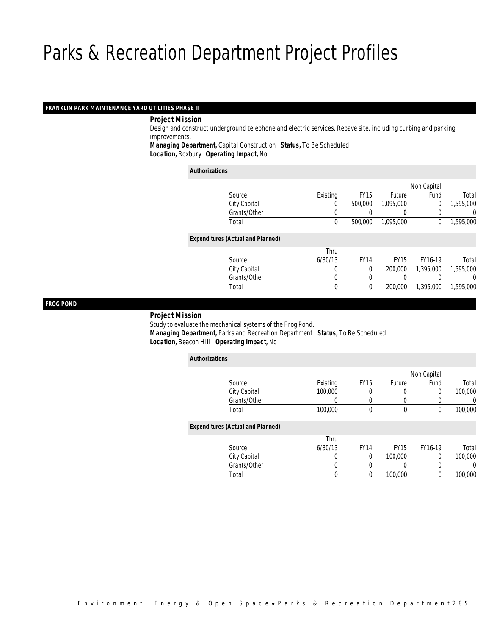#### *FRANKLIN PARK MAINTENANCE YARD UTILITIES PHASE II*

#### *Project Mission*

 Design and construct underground telephone and electric services. Repave site, including curbing and parking improvements.

*Managing Department,* Capital Construction *Status,* To Be Scheduled*Location,* Roxbury *Operating Impact,* No

#### *Authorizations*

|                                          |          |             |                  | Non Capital |           |
|------------------------------------------|----------|-------------|------------------|-------------|-----------|
| Source                                   | Existing | <b>FY15</b> | Future           | Fund        | Total     |
| City Capital                             | 0        | 500,000     | 1,095,000        | $\mathbf 0$ | 1,595,000 |
| Grants/Other                             | 0        |             | $\left( \right)$ |             | 0         |
| Total                                    | 0        | 500,000     | 1,095,000        | 0           | 1,595,000 |
| <b>Expenditures (Actual and Planned)</b> |          |             |                  |             |           |
|                                          | Thru     |             |                  |             |           |
| Source                                   | 6/30/13  | <b>FY14</b> | <b>FY15</b>      | FY16-19     | Total     |
| City Capital                             | 0        | $\theta$    | 200,000          | 1,395,000   | 1,595,000 |
| Grants/Other                             | 0        |             | 0                |             | 0         |
| Total                                    | $\theta$ | $\theta$    | 200,000          | 1,395,000   | 1,595,000 |
|                                          |          |             |                  |             |           |

#### *FROG POND*

#### *Project Mission*

 Study to evaluate the mechanical systems of the Frog Pond. *Managing Department,* Parks and Recreation Department *Status,* To Be Scheduled*Location,* Beacon Hill *Operating Impact,* No

| <b>Authorizations</b> |                                          |          |             |             |             |         |
|-----------------------|------------------------------------------|----------|-------------|-------------|-------------|---------|
|                       |                                          |          |             |             | Non Capital |         |
|                       | Source                                   | Existing | <b>FY15</b> | Future      | Fund        | Total   |
|                       | City Capital                             | 100,000  | 0           | 0           | 0           | 100,000 |
|                       | Grants/Other                             | 0        | 0           | 0           |             | 0       |
|                       | Total                                    | 100,000  | 0           | 0           | 0           | 100,000 |
|                       | <b>Expenditures (Actual and Planned)</b> |          |             |             |             |         |
|                       |                                          | Thru     |             |             |             |         |
|                       | Source                                   | 6/30/13  | <b>FY14</b> | <b>FY15</b> | FY16-19     | Total   |
|                       | City Capital                             | 0        | 0           | 100,000     | 0           | 100,000 |
|                       | Grants/Other                             | 0        | 0           | 0           |             | 0       |
|                       | Total                                    | 0        | 0           | 100,000     | 0           | 100,000 |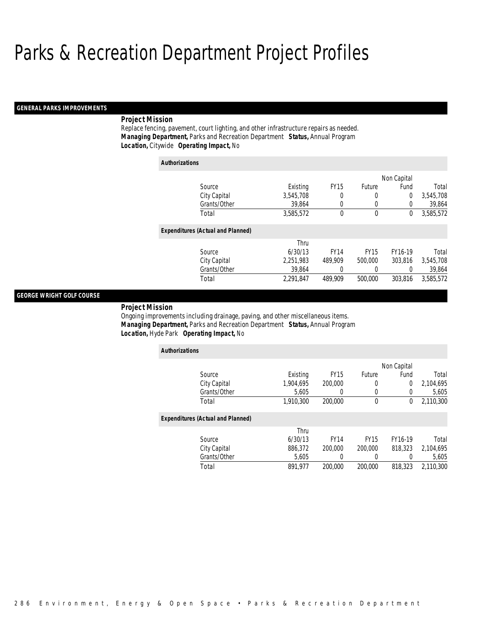### *GENERAL PARKS IMPROVEMENTS*

#### *Project Mission*

Replace fencing, pavement, court lighting, and other infrastructure repairs as needed. *Managing Department,* Parks and Recreation Department *Status,* Annual Program*Location,* Citywide *Operating Impact,* No

| <b>Authorizations</b>                    |           |                  |             |             |           |
|------------------------------------------|-----------|------------------|-------------|-------------|-----------|
|                                          |           |                  |             | Non Capital |           |
| Source                                   | Existing  | FY <sub>15</sub> | Future      | Fund        | Total     |
| City Capital                             | 3.545.708 | 0                | 0           | 0           | 3.545.708 |
| Grants/Other                             | 39.864    | 0                | 0           | $\Omega$    | 39,864    |
| Total                                    | 3.585.572 | 0                | $\mathbf 0$ | $\theta$    | 3.585.572 |
| <b>Expenditures (Actual and Planned)</b> |           |                  |             |             |           |
|                                          | Thru      |                  |             |             |           |
| Source                                   | 6/30/13   | <b>FY14</b>      | <b>FY15</b> | FY16-19     | Total     |
| City Capital                             | 2.251.983 | 489.909          | 500,000     | 303.816     | 3,545,708 |
| Grants/Other                             | 39,864    | 0                | 0           | 0           | 39,864    |
| Total                                    | 2.291.847 | 489.909          | 500,000     | 303,816     | 3,585,572 |

### *GEORGE WRIGHT GOLF COURSE*

*Project Mission* 

Ongoing improvements including drainage, paving, and other miscellaneous items. *Managing Department,* Parks and Recreation Department *Status,* Annual Program*Location,* Hyde Park *Operating Impact,* No

| <b>Authorizations</b>                    |           |             |             |             |           |
|------------------------------------------|-----------|-------------|-------------|-------------|-----------|
|                                          |           |             |             | Non Capital |           |
| Source                                   | Existing  | <b>FY15</b> | Future      | Fund        | Total     |
| City Capital                             | 1.904.695 | 200,000     | 0           | 0           | 2,104,695 |
| Grants/Other                             | 5,605     | 0           | 0           | 0           | 5,605     |
| Total                                    | 1,910,300 | 200,000     | 0           | 0           | 2,110,300 |
| <b>Expenditures (Actual and Planned)</b> |           |             |             |             |           |
|                                          | Thru      |             |             |             |           |
| Source                                   | 6/30/13   | <b>FY14</b> | <b>FY15</b> | FY16-19     | Total     |
| City Capital                             | 886,372   | 200,000     | 200,000     | 818,323     | 2,104,695 |
| Grants/Other                             | 5,605     |             | 0           | 0           | 5,605     |
| Total                                    | 891.977   | 200,000     | 200,000     | 818,323     | 2.110.300 |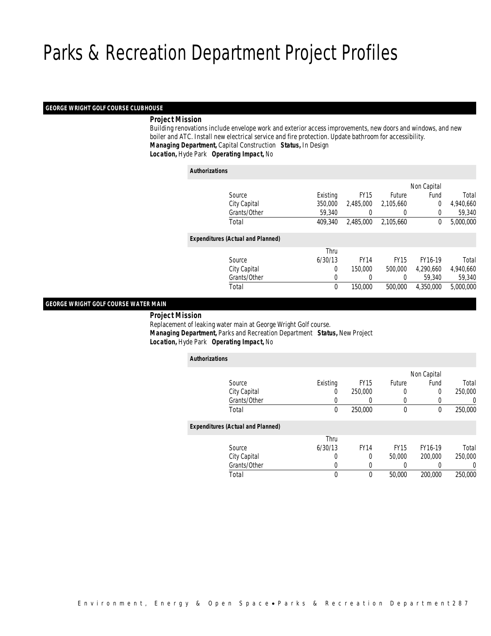#### *GEORGE WRIGHT GOLF COURSE CLUBHOUSE*

#### *Project Mission*

 Building renovations include envelope work and exterior access improvements, new doors and windows, and new boiler and ATC. Install new electrical service and fire protection. Update bathroom for accessibility. *Managing Department,* Capital Construction *Status,* In Design*Location,* Hyde Park *Operating Impact,* No

#### *Authorizations*

|                                          |          |             |               | Non Capital |           |
|------------------------------------------|----------|-------------|---------------|-------------|-----------|
| Source                                   | Existing | <b>FY15</b> | <b>Future</b> | Fund        | Total     |
| City Capital                             | 350,000  | 2,485,000   | 2,105,660     | 0           | 4,940,660 |
| Grants/Other                             | 59,340   |             | 0             | 0           | 59,340    |
| Total                                    | 409,340  | 2,485,000   | 2.105.660     | 0           | 5,000,000 |
|                                          |          |             |               |             |           |
| <b>Expenditures (Actual and Planned)</b> |          |             |               |             |           |
|                                          | Thru     |             |               |             |           |
| Source                                   | 6/30/13  | <b>FY14</b> | <b>FY15</b>   | FY16-19     | Total     |
| City Capital                             | 0        | 150,000     | 500,000       | 4,290,660   | 4,940,660 |
| Grants/Other                             | 0        | 0           | 0             | 59.340      | 59,340    |
| Total                                    | 0        | 150,000     | 500,000       | 4,350,000   | 5,000,000 |
|                                          |          |             |               |             |           |

#### *GEORGE WRIGHT GOLF COURSE WATER MAIN*

*Project Mission*

 Replacement of leaking water main at George Wright Golf course. *Managing Department,* Parks and Recreation Department *Status,* New Project*Location,* Hyde Park *Operating Impact,* No

| <b>Authorizations</b> |                                          |          |             |             |             |         |
|-----------------------|------------------------------------------|----------|-------------|-------------|-------------|---------|
|                       |                                          |          |             |             | Non Capital |         |
|                       | Source                                   | Existing | <b>FY15</b> | Future      | Fund        | Total   |
|                       | City Capital                             | 0        | 250,000     | 0           | 0           | 250,000 |
|                       | Grants/Other                             |          |             |             |             | 0       |
|                       | Total                                    | $\theta$ | 250,000     | 0           | 0           | 250,000 |
|                       | <b>Expenditures (Actual and Planned)</b> |          |             |             |             |         |
|                       |                                          | Thru     |             |             |             |         |
|                       | Source                                   | 6/30/13  | <b>FY14</b> | <b>FY15</b> | FY16-19     | Total   |
|                       | City Capital                             | 0        | 0           | 50,000      | 200,000     | 250,000 |
|                       | Grants/Other                             | 0        |             | 0           |             | 0       |
|                       | Total                                    | 0        | 0           | 50,000      | 200,000     | 250,000 |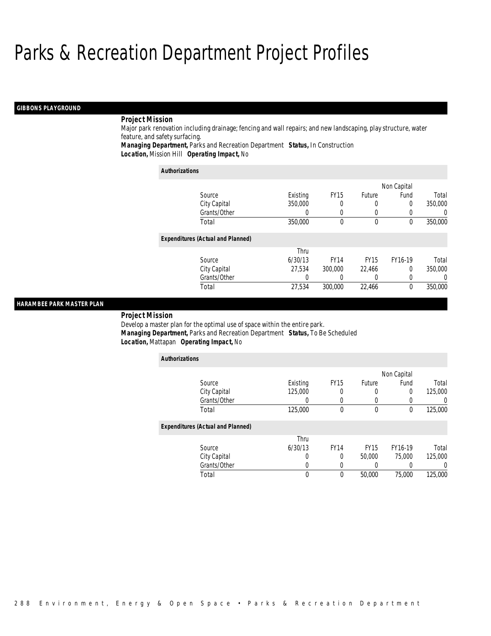#### *GIBBONS PLAYGROUND*

### *Project Mission*

Major park renovation including drainage; fencing and wall repairs; and new landscaping, play structure, water feature, and safety surfacing.

*Managing Department,* Parks and Recreation Department *Status,* In Construction*Location,* Mission Hill *Operating Impact,* No

| <b>Authorizations</b>                    |          |                  |             |             |                  |
|------------------------------------------|----------|------------------|-------------|-------------|------------------|
|                                          |          |                  |             | Non Capital |                  |
| Source                                   | Existing | <b>FY15</b>      | Future      | Fund        | Total            |
| City Capital                             | 350,000  | 0                | 0           | 0           | 350,000          |
| Grants/Other                             | 0        | 0                | 0           | 0           | $\left( \right)$ |
| Total                                    | 350,000  | 0                | 0           | 0           | 350,000          |
| <b>Expenditures (Actual and Planned)</b> |          |                  |             |             |                  |
|                                          | Thru     |                  |             |             |                  |
| Source                                   | 6/30/13  | FY <sub>14</sub> | <b>FY15</b> | FY16-19     | Total            |
| City Capital                             | 27,534   | 300,000          | 22,466      | 0           | 350,000          |
| Grants/Other                             | 0        | 0                | 0           | 0           | 0                |
| Total                                    | 27.534   | 300,000          | 22.466      | 0           | 350,000          |

#### *HARAMBEE PARK MASTER PLAN*

#### *Project Mission*

Develop a master plan for the optimal use of space within the entire park. *Managing Department,* Parks and Recreation Department *Status,* To Be Scheduled*Location,* Mattapan *Operating Impact,* No

| <b>Authorizations</b>                    |          |                  |             |             |                  |
|------------------------------------------|----------|------------------|-------------|-------------|------------------|
|                                          |          |                  |             | Non Capital |                  |
| Source                                   | Existing | FY <sub>15</sub> | Future      | Fund        | Total            |
| City Capital                             | 125,000  |                  | 0           | 0           | 125,000          |
| Grants/Other                             |          | 0                | 0           | 0           | $\left( \right)$ |
| Total                                    | 125,000  | $\Omega$         | $\theta$    | 0           | 125,000          |
| <b>Expenditures (Actual and Planned)</b> |          |                  |             |             |                  |
|                                          | Thru     |                  |             |             |                  |
| Source                                   | 6/30/13  | <b>FY14</b>      | <b>FY15</b> | FY16-19     | Total            |
| City Capital                             | 0        | $\Omega$         | 50,000      | 75,000      | 125,000          |
| Grants/Other                             | U        |                  |             |             |                  |
| Total                                    |          | 0                | 50,000      | 75,000      | 125,000          |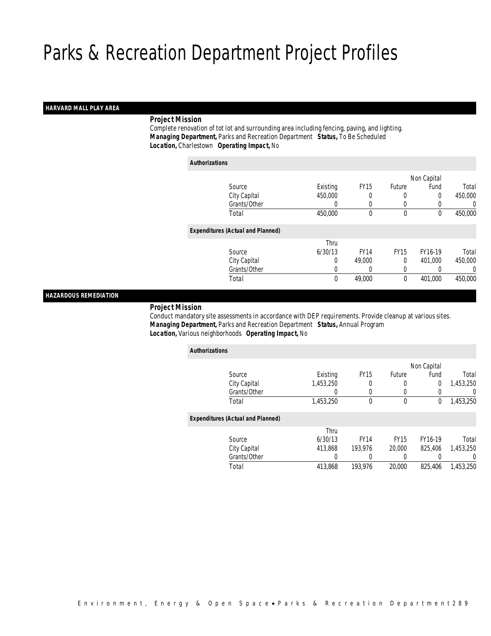#### *HARVARD MALL PLAY AREA*

### *Project Mission*

 Complete renovation of tot lot and surrounding area including fencing, paving, and lighting. *Managing Department,* Parks and Recreation Department *Status,* To Be Scheduled*Location,* Charlestown *Operating Impact,* No

| <b>Authorizations</b>                    |             |             |             |             |         |
|------------------------------------------|-------------|-------------|-------------|-------------|---------|
|                                          |             |             |             | Non Capital |         |
| Source                                   | Existing    | <b>FY15</b> | Future      | Fund        | Total   |
| City Capital                             | 450,000     | 0           | 0           | 0           | 450,000 |
| Grants/Other                             |             | 0           | 0           | 0           | 0       |
| Total                                    | 450,000     | $\theta$    | 0           | $\theta$    | 450,000 |
| <b>Expenditures (Actual and Planned)</b> |             |             |             |             |         |
|                                          | Thru        |             |             |             |         |
| Source                                   | 6/30/13     | <b>FY14</b> | <b>FY15</b> | FY16-19     | Total   |
| City Capital                             | $\Omega$    | 49,000      | $\theta$    | 401.000     | 450,000 |
| Grants/Other                             | $\left($    | 0           | 0           |             | 0       |
| Total                                    | $\mathbf 0$ | 49,000      | 0           | 401,000     | 450,000 |
|                                          |             |             |             |             |         |

#### *HAZARDOUS REMEDIATION*

#### *Project Mission*

 Conduct mandatory site assessments in accordance with DEP requirements. Provide cleanup at various sites. *Managing Department,* Parks and Recreation Department *Status,* Annual Program*Location,* Various neighborhoods *Operating Impact,* No

| <b>Authorizations</b>                    |                  |             |             |             |           |
|------------------------------------------|------------------|-------------|-------------|-------------|-----------|
|                                          |                  |             |             | Non Capital |           |
| Source                                   | Existing         | <b>FY15</b> | Future      | Fund        | Total     |
| City Capital                             | 1,453,250        | 0           | 0           | 0           | 1,453,250 |
| Grants/Other                             | $\left( \right)$ | 0           | 0           | 0           | 0         |
| Total                                    | 1,453,250        | $\mathbf 0$ | $\mathbf 0$ | 0           | 1,453,250 |
| <b>Expenditures (Actual and Planned)</b> |                  |             |             |             |           |
|                                          | Thru             |             |             |             |           |
| Source                                   | 6/30/13          | <b>FY14</b> | <b>FY15</b> | FY16-19     | Total     |
| City Capital                             | 413,868          | 193.976     | 20,000      | 825,406     | 1.453.250 |
| Grants/Other                             | 0                | 0           |             |             | 0         |
| Total                                    | 413,868          | 193.976     | 20,000      | 825,406     | 1,453,250 |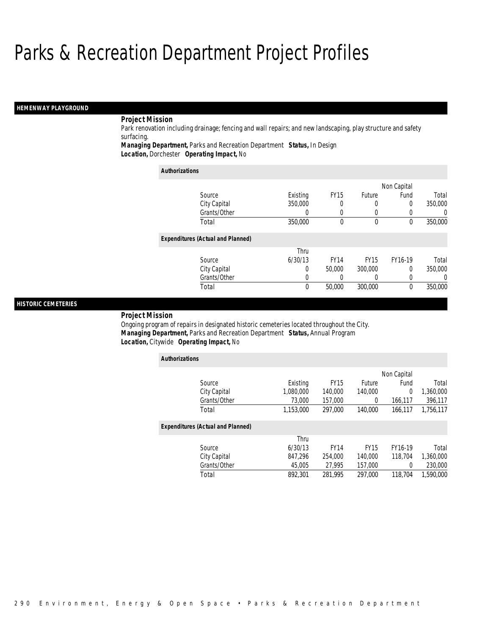#### *HEMENWAY PLAYGROUND*

### *Project Mission*

Park renovation including drainage; fencing and wall repairs; and new landscaping, play structure and safety surfacing.

*Managing Department,* Parks and Recreation Department *Status,* In Design*Location,* Dorchester *Operating Impact,* No

| <b>Authorizations</b>                    |          |             |             |             |         |
|------------------------------------------|----------|-------------|-------------|-------------|---------|
|                                          |          |             |             | Non Capital |         |
| Source                                   | Existing | <b>FY15</b> | Future      | Fund        | Total   |
| City Capital                             | 350,000  | 0           |             | $\Omega$    | 350,000 |
| Grants/Other                             | 0        | 0           |             |             | 0       |
| Total                                    | 350,000  | 0           | $\mathbf 0$ | 0           | 350,000 |
| <b>Expenditures (Actual and Planned)</b> |          |             |             |             |         |
|                                          | Thru     |             |             |             |         |
| Source                                   | 6/30/13  | <b>FY14</b> | <b>FY15</b> | FY16-19     | Total   |
| City Capital                             | 0        | 50,000      | 300,000     | $\Omega$    | 350,000 |
| Grants/Other                             | 0        |             |             | 0           | 0       |
| Total                                    | 0        | 50,000      | 300,000     | 0           | 350,000 |

#### *HISTORIC CEMETERIES*

#### *Project Mission*

Ongoing program of repairs in designated historic cemeteries located throughout the City. *Managing Department,* Parks and Recreation Department *Status,* Annual Program*Location,* Citywide *Operating Impact,* No

| <b>Authorizations</b>                    |           |             |               |             |           |
|------------------------------------------|-----------|-------------|---------------|-------------|-----------|
|                                          |           |             |               | Non Capital |           |
| Source                                   | Existing  | <b>FY15</b> | <b>Future</b> | Fund        | Total     |
| City Capital                             | 1,080,000 | 140,000     | 140,000       | $\Omega$    | 1,360,000 |
| Grants/Other                             | 73,000    | 157.000     | 0             | 166,117     | 396,117   |
| Total                                    | 1.153.000 | 297.000     | 140,000       | 166.117     | 1,756,117 |
| <b>Expenditures (Actual and Planned)</b> |           |             |               |             |           |
|                                          | Thru      |             |               |             |           |
| Source                                   | 6/30/13   | <b>FY14</b> | <b>FY15</b>   | FY16-19     | Total     |
| City Capital                             | 847.296   | 254,000     | 140,000       | 118,704     | 1,360,000 |
| Grants/Other                             | 45,005    | 27,995      | 157,000       | $\Omega$    | 230,000   |
| Total                                    | 892.301   | 281.995     | 297.000       | 118,704     | 1,590,000 |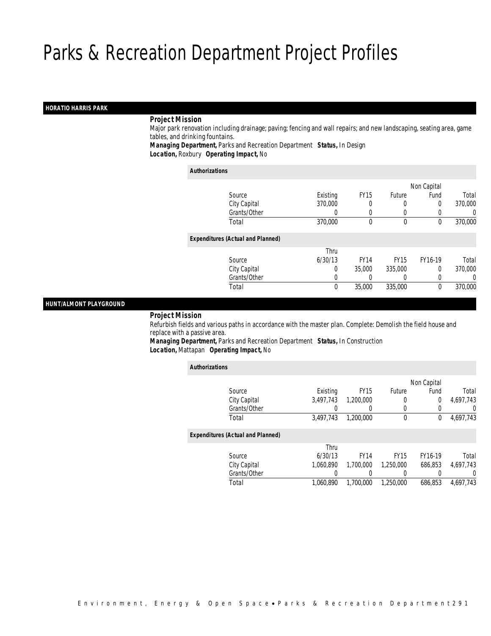#### *HORATIO HARRIS PARK*

#### *Project Mission*

 Major park renovation including drainage; paving; fencing and wall repairs; and new landscaping, seating area, game tables, and drinking fountains.

*Managing Department,* Parks and Recreation Department *Status,* In Design*Location,* Roxbury *Operating Impact,* No

#### *Authorizations*

|                                          |             |             |               | Non Capital |         |
|------------------------------------------|-------------|-------------|---------------|-------------|---------|
| Source                                   | Existing    | <b>FY15</b> | <b>Future</b> | Fund        | Total   |
| City Capital                             | 370,000     |             | 0             | 0           | 370,000 |
| Grants/Other                             | 0           | 0           | $\left($      |             | 0       |
| Total                                    | 370,000     | $\bf{0}$    | $\mathbf 0$   | 0           | 370,000 |
| <b>Expenditures (Actual and Planned)</b> |             |             |               |             |         |
|                                          | Thru        |             |               |             |         |
| Source                                   | 6/30/13     | <b>FY14</b> | <b>FY15</b>   | FY16-19     | Total   |
| City Capital                             | 0           | 35,000      | 335,000       | $\Omega$    | 370,000 |
| Grants/Other                             | 0           |             | $\left($      | 0           | 0       |
| Total                                    | $\mathbf 0$ | 35,000      | 335,000       | $\theta$    | 370,000 |
|                                          |             |             |               |             |         |

#### *HUNT/ALMONT PLAYGROUND*

*Project Mission*

 Refurbish fields and various paths in accordance with the master plan. Complete: Demolish the field house and replace with a passive area.

*Managing Department,* Parks and Recreation Department *Status,* In Construction*Location,* Mattapan *Operating Impact,* No

| <b>Authorizations</b>                    |           |                  |             |              |           |
|------------------------------------------|-----------|------------------|-------------|--------------|-----------|
|                                          |           |                  |             | Non Capital  |           |
| Source                                   | Existing  | <b>FY15</b>      | Future      | Fund         | Total     |
| City Capital                             | 3.497.743 | 1,200,000        | 0           | $\Omega$     | 4,697,743 |
| Grants/Other                             |           | $\left( \right)$ | 0           |              |           |
| Total                                    | 3.497.743 | 1.200.000        | 0           | $\mathbf{0}$ | 4,697,743 |
| <b>Expenditures (Actual and Planned)</b> |           |                  |             |              |           |
|                                          | Thru      |                  |             |              |           |
| Source                                   | 6/30/13   | <b>FY14</b>      | <b>FY15</b> | FY16-19      | Total     |
| City Capital                             | 1.060.890 | 1.700.000        | 1.250.000   | 686.853      | 4,697,743 |
| Grants/Other                             |           |                  | 0           |              |           |
| Total                                    | 1.060.890 | 1.700.000        | 1.250.000   | 686.853      | 4.697.743 |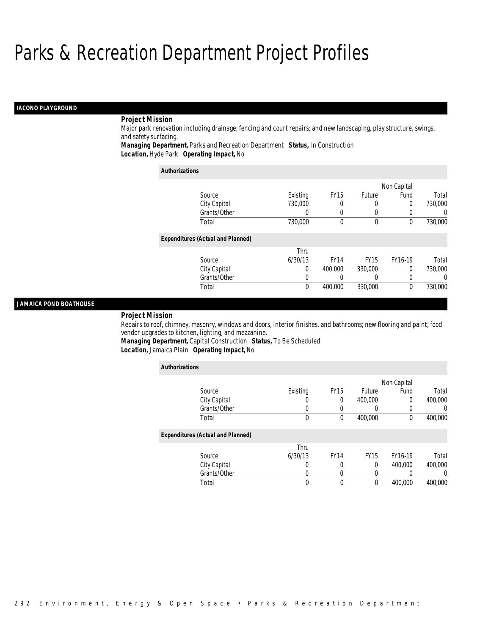#### *IACONO PLAYGROUND*

### *Project Mission*

Major park renovation including drainage; fencing and court repairs; and new landscaping, play structure, swings, and safety surfacing.

*Managing Department,* Parks and Recreation Department *Status,* In Construction*Location,* Hyde Park *Operating Impact,* No

| <b>Authorizations</b>                    |          |             |             |             |          |
|------------------------------------------|----------|-------------|-------------|-------------|----------|
|                                          |          |             |             | Non Capital |          |
| Source                                   | Existing | <b>FY15</b> | Future      | Fund        | Total    |
| City Capital                             | 730,000  | 0           |             | $\Omega$    | 730,000  |
| Grants/Other                             | 0        | 0           |             |             | 0        |
| Total                                    | 730,000  | $\theta$    | 0           | 0           | 730,000  |
| <b>Expenditures (Actual and Planned)</b> |          |             |             |             |          |
|                                          | Thru     |             |             |             |          |
| Source                                   | 6/30/13  | <b>FY14</b> | <b>FY15</b> | FY16-19     | Total    |
| City Capital                             | 0        | 400,000     | 330,000     | 0           | 730,000  |
| Grants/Other                             | 0        | 0           |             | 0           | $\left($ |
| Total                                    | 0        | 400.000     | 330,000     | $\theta$    | 730,000  |

#### *JAMAICA POND BOATHOUSE*

#### *Project Mission*

Repairs to roof, chimney, masonry, windows and doors, interior finishes, and bathrooms; new flooring and paint; food vendor upgrades to kitchen, lighting, and mezzanine.

*Managing Department,* Capital Construction *Status,* To Be Scheduled*Location,* Jamaica Plain *Operating Impact,* No

| <b>Authorizations</b>                    |          |             |             |             |                  |
|------------------------------------------|----------|-------------|-------------|-------------|------------------|
|                                          |          |             |             | Non Capital |                  |
| Source                                   | Existing | <b>FY15</b> | Future      | Fund        | Total            |
| City Capital                             | 0        | 0           | 400,000     | $\Omega$    | 400,000          |
| Grants/Other                             | 0        | 0           |             | $\Omega$    | $\left( \right)$ |
| Total                                    | 0        | 0           | 400,000     | 0           | 400,000          |
| <b>Expenditures (Actual and Planned)</b> |          |             |             |             |                  |
|                                          | Thru     |             |             |             |                  |
| Source                                   | 6/30/13  | <b>FY14</b> | <b>FY15</b> | FY16-19     | Total            |
| City Capital                             | 0        | 0           | 0           | 400,000     | 400,000          |
| Grants/Other                             | 0        | 0           |             |             |                  |
| Total                                    | 0        | 0           | 0           | 400,000     | 400,000          |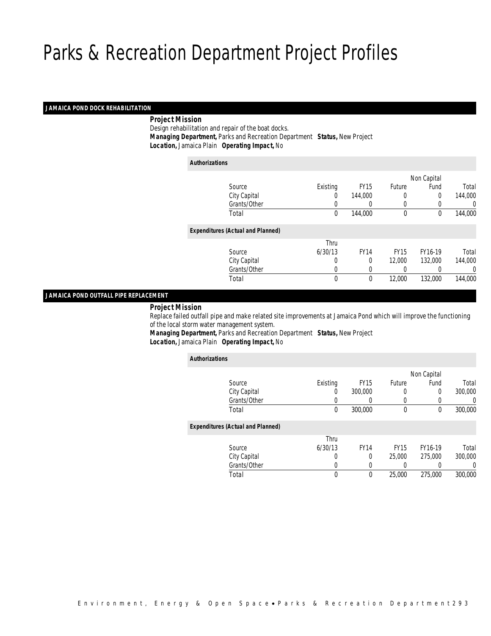#### *JAMAICA POND DOCK REHABILITATION*

#### *Project Mission*

 Design rehabilitation and repair of the boat docks. *Managing Department,* Parks and Recreation Department *Status,* New Project*Location,* Jamaica Plain *Operating Impact,* No

| <b>Authorizations</b> |                                          |             |             |             |             |         |
|-----------------------|------------------------------------------|-------------|-------------|-------------|-------------|---------|
|                       |                                          |             |             |             | Non Capital |         |
|                       | Source                                   | Existing    | <b>FY15</b> | Future      | Fund        | Total   |
|                       | City Capital                             | $\left($    | 144,000     | 0           | 0           | 144,000 |
|                       | Grants/Other                             | 0           | 0           | 0           | 0           | 0       |
|                       | Total                                    | $\theta$    | 144,000     | $\mathbf 0$ | 0           | 144,000 |
|                       | <b>Expenditures (Actual and Planned)</b> |             |             |             |             |         |
|                       |                                          | Thru        |             |             |             |         |
|                       | Source                                   | 6/30/13     | <b>FY14</b> | <b>FY15</b> | FY16-19     | Total   |
|                       | City Capital                             | 0           | $\theta$    | 12,000      | 132,000     | 144,000 |
|                       | Grants/Other                             | 0           | 0           |             | 0           | 0       |
|                       | Total                                    | $\mathbf 0$ | $\mathbf 0$ | 12,000      | 132,000     | 144,000 |

#### *JAMAICA POND OUTFALL PIPE REPLACEMENT*

#### *Project Mission*

*Authorizations*

 Replace failed outfall pipe and make related site improvements at Jamaica Pond which will improve the functioning of the local storm water management system.

*Managing Department,* Parks and Recreation Department *Status,* New Project*Location,* Jamaica Plain *Operating Impact,* No

| <b>Authorizations</b>                    |          |             |             |             |          |
|------------------------------------------|----------|-------------|-------------|-------------|----------|
|                                          |          |             |             | Non Capital |          |
| Source                                   | Existing | <b>FY15</b> | Future      | Fund        | Total    |
| City Capital                             | 0        | 300,000     | 0           | 0           | 300,000  |
| Grants/Other                             | 0        | 0           | 0           |             | $\left($ |
| Total                                    | 0        | 300,000     | 0           | 0           | 300,000  |
| <b>Expenditures (Actual and Planned)</b> |          |             |             |             |          |
|                                          | Thru     |             |             |             |          |
| Source                                   | 6/30/13  | <b>FY14</b> | <b>FY15</b> | FY16-19     | Total    |
| City Capital                             | 0        | 0           | 25,000      | 275,000     | 300,000  |
| Grants/Other                             | 0        | 0           | 0           |             | 0        |
| Total                                    | 0        | 0           | 25,000      | 275,000     | 300,000  |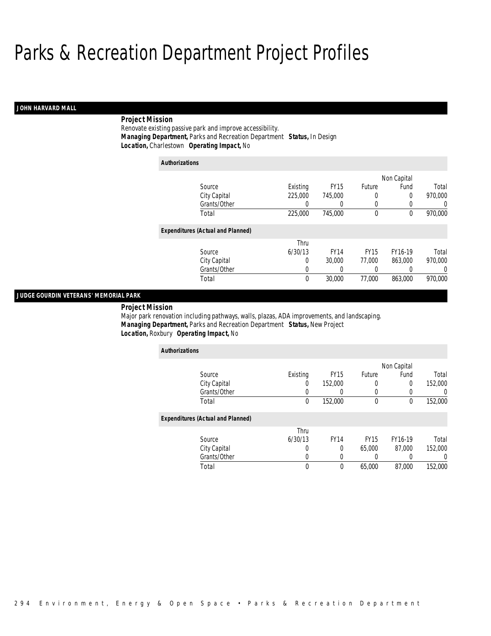#### *JOHN HARVARD MALL*

#### *Project Mission*

Renovate existing passive park and improve accessibility. *Managing Department,* Parks and Recreation Department *Status,* In Design*Location,* Charlestown *Operating Impact,* No

| <b>Authorizations</b> |                                          |          |             |             |             |                |
|-----------------------|------------------------------------------|----------|-------------|-------------|-------------|----------------|
|                       |                                          |          |             |             | Non Capital |                |
|                       | Source                                   | Existing | <b>FY15</b> | Future      | Fund        | Total          |
|                       | City Capital                             | 225,000  | 745,000     | 0           | 0           | 970,000        |
|                       | Grants/Other                             |          | 0           | 0           | 0           | $\theta$       |
|                       | Total                                    | 225,000  | 745,000     | 0           | 0           | 970,000        |
|                       | <b>Expenditures (Actual and Planned)</b> |          |             |             |             |                |
|                       |                                          | Thru     |             |             |             |                |
|                       | Source                                   | 6/30/13  | <b>FY14</b> | <b>FY15</b> | FY16-19     | Total          |
|                       | City Capital                             | 0        | 30,000      | 77.000      | 863,000     | 970,000        |
|                       | Grants/Other                             | 0        | 0           | 0           | 0           | $\overline{0}$ |
|                       | Total                                    | 0        | 30,000      | 77,000      | 863,000     | 970,000        |

#### *JUDGE GOURDIN VETERANS' MEMORIAL PARK*

*Project Mission* 

Major park renovation including pathways, walls, plazas, ADA improvements, and landscaping. *Managing Department,* Parks and Recreation Department *Status,* New Project*Location,* Roxbury *Operating Impact,* No

| <b>Authorizations</b>                    |          |             |             |         |         |  |  |
|------------------------------------------|----------|-------------|-------------|---------|---------|--|--|
|                                          |          |             | Non Capital |         |         |  |  |
| Source                                   | Existing | <b>FY15</b> | Future      | Fund    | Total   |  |  |
| City Capital                             | 0        | 152,000     | 0           | 0       | 152,000 |  |  |
| Grants/Other                             |          |             | 0           | 0       |         |  |  |
| Total                                    | 0        | 152,000     | 0           | 0       | 152,000 |  |  |
| <b>Expenditures (Actual and Planned)</b> |          |             |             |         |         |  |  |
|                                          | Thru     |             |             |         |         |  |  |
| Source                                   | 6/30/13  | <b>FY14</b> | <b>FY15</b> | FY16-19 | Total   |  |  |
| City Capital                             | O        | 0           | 65,000      | 87.000  | 152,000 |  |  |
| Grants/Other                             | 0        | 0           | 0           | 0       |         |  |  |
| Total                                    | $\theta$ | $\theta$    | 65,000      | 87.000  | 152,000 |  |  |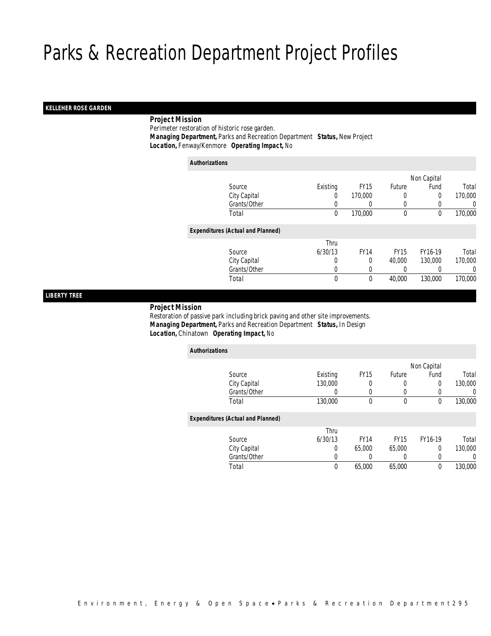#### *KELLEHER ROSE GARDEN*

### *Project Mission*

 Perimeter restoration of historic rose garden. *Managing Department,* Parks and Recreation Department *Status,* New Project*Location,* Fenway/Kenmore *Operating Impact,* No

| <b>Authorizations</b>                    |          |                  |             |             |         |  |
|------------------------------------------|----------|------------------|-------------|-------------|---------|--|
|                                          |          |                  |             | Non Capital |         |  |
| Source                                   | Existing | <b>FY15</b>      | Future      | Fund        | Total   |  |
| City Capital                             | 0        | 170,000          | 0           | 0           | 170,000 |  |
| Grants/Other                             | 0        | $\left( \right)$ | $\left($    | 0           | 0       |  |
| Total                                    | 0        | 170,000          | $\mathbf 0$ | 0           | 170,000 |  |
| <b>Expenditures (Actual and Planned)</b> |          |                  |             |             |         |  |
|                                          | Thru     |                  |             |             |         |  |
| Source                                   | 6/30/13  | <b>FY14</b>      | <b>FY15</b> | FY16-19     | Total   |  |
| City Capital                             | 0        | $\Omega$         | 40.000      | 130,000     | 170,000 |  |
| Grants/Other                             | 0        | 0                |             |             | 0       |  |
| Total                                    | 0        | $\mathbf 0$      | 40,000      | 130,000     | 170,000 |  |
|                                          |          |                  |             |             |         |  |

### *LIBERTY TREE*

#### *Project Mission*

 Restoration of passive park including brick paving and other site improvements. *Managing Department,* Parks and Recreation Department *Status,* In Design*Location,* Chinatown *Operating Impact,* No

| <b>Authorizations</b>                    |          |             |             |             |         |  |  |
|------------------------------------------|----------|-------------|-------------|-------------|---------|--|--|
|                                          |          |             |             | Non Capital |         |  |  |
| Source                                   | Existing | <b>FY15</b> | Future      | Fund        | Total   |  |  |
| City Capital                             | 130,000  | 0           | 0           | 0           | 130,000 |  |  |
| Grants/Other                             | 0        | 0           | 0           | 0           | 0       |  |  |
| Total                                    | 130,000  | 0           | 0           | 0           | 130,000 |  |  |
| <b>Expenditures (Actual and Planned)</b> |          |             |             |             |         |  |  |
|                                          | Thru     |             |             |             |         |  |  |
| Source                                   | 6/30/13  | <b>FY14</b> | <b>FY15</b> | FY16-19     | Total   |  |  |
| City Capital                             | 0        | 65,000      | 65,000      | 0           | 130,000 |  |  |
| Grants/Other                             | 0        | $\left($    | 0           | 0           | 0       |  |  |
| Total                                    | $\theta$ | 65,000      | 65,000      | 0           | 130,000 |  |  |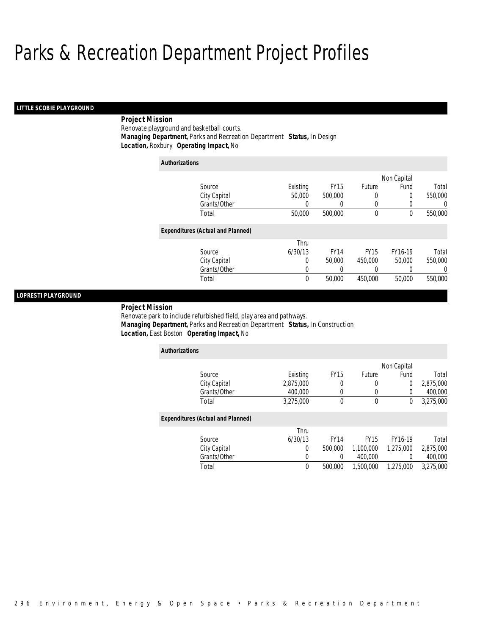### *LITTLE SCOBIE PLAYGROUND*

### *Project Mission*

Renovate playground and basketball courts.

*Managing Department,* Parks and Recreation Department *Status,* In Design

*Location,* Roxbury *Operating Impact,* No

| <b>Authorizations</b>                    |          |             |             |                  |          |  |  |
|------------------------------------------|----------|-------------|-------------|------------------|----------|--|--|
|                                          |          |             | Non Capital |                  |          |  |  |
| Source                                   | Existing | <b>FY15</b> | Future      | Fund             | Total    |  |  |
| City Capital                             | 50,000   | 500,000     | 0           | 0                | 550,000  |  |  |
| Grants/Other                             | 0        | 0           | 0           | 0                | 0        |  |  |
| Total                                    | 50,000   | 500,000     | 0           | 0                | 550,000  |  |  |
| <b>Expenditures (Actual and Planned)</b> |          |             |             |                  |          |  |  |
|                                          | Thru     |             |             |                  |          |  |  |
| Source                                   | 6/30/13  | <b>FY14</b> | <b>FY15</b> | FY16-19          | Total    |  |  |
| City Capital                             | 0        | 50,000      | 450,000     | 50,000           | 550,000  |  |  |
| Grants/Other                             | 0        | 0           | 0           | $\left( \right)$ | $\Omega$ |  |  |
| Total                                    | 0        | 50,000      | 450,000     | 50,000           | 550,000  |  |  |

### *LOPRESTI PLAYGROUND*

*Project Mission* 

Renovate park to include refurbished field, play area and pathways. *Managing Department,* Parks and Recreation Department *Status,* In Construction*Location,* East Boston *Operating Impact,* No

| <b>Authorizations</b>                    |           |             |               |                |           |  |  |
|------------------------------------------|-----------|-------------|---------------|----------------|-----------|--|--|
|                                          |           |             |               | Non Capital    |           |  |  |
| Source                                   | Existing  | <b>FY15</b> | <b>Future</b> | Fund           | Total     |  |  |
| City Capital                             | 2,875,000 |             | 0             | $\overline{0}$ | 2,875,000 |  |  |
| Grants/Other                             | 400,000   | 0           | 0             | 0              | 400,000   |  |  |
| Total                                    | 3,275,000 | $\theta$    | 0             | 0              | 3,275,000 |  |  |
| <b>Expenditures (Actual and Planned)</b> |           |             |               |                |           |  |  |
|                                          | Thru      |             |               |                |           |  |  |
| Source                                   | 6/30/13   | <b>FY14</b> | <b>FY15</b>   | FY16-19        | Total     |  |  |
| City Capital                             | 0         | 500,000     | 1,100,000     | 1.275.000      | 2,875,000 |  |  |
| Grants/Other                             | 0         | $\Omega$    | 400,000       | 0              | 400,000   |  |  |
| Total                                    | 0         | 500,000     | 1.500.000     | 1.275.000      | 3.275.000 |  |  |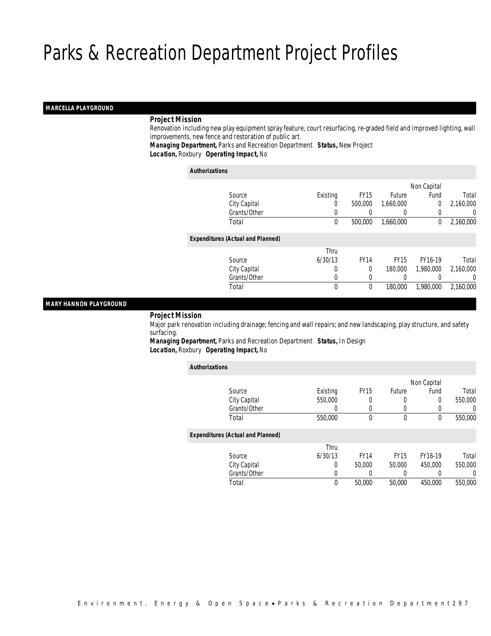#### *MARCELLA PLAYGROUND*

#### *Project Mission*

 Renovation including new play equipment spray feature, court resurfacing, re-graded field and improved lighting, wall improvements, new fence and restoration of public art.

*Managing Department,* Parks and Recreation Department *Status,* New Project*Location,* Roxbury *Operating Impact,* No

#### *Authorizations*

|                                          |              |             |                  | Non Capital |           |
|------------------------------------------|--------------|-------------|------------------|-------------|-----------|
| Source                                   | Existing     | <b>FY15</b> | Future           | Fund        | Total     |
| City Capital                             | 0            | 500,000     | 1,660,000        | $\Omega$    | 2,160,000 |
| Grants/Other                             | 0            |             | $\left( \right)$ |             | 0         |
| Total                                    | 0            | 500,000     | 1,660,000        | 0           | 2,160,000 |
| <b>Expenditures (Actual and Planned)</b> |              |             |                  |             |           |
|                                          | Thru         |             |                  |             |           |
| Source                                   | 6/30/13      | <b>FY14</b> | <b>FY15</b>      | FY16-19     | Total     |
| City Capital                             | 0            | $\theta$    | 180,000          | 1,980,000   | 2,160,000 |
| Grants/Other                             | 0            |             |                  |             | 0         |
| Total                                    | $\mathbf{0}$ | $\theta$    | 180,000          | 1,980,000   | 2,160,000 |
|                                          |              |             |                  |             |           |

#### *MARY HANNON PLAYGROUND*

*Project Mission*

 Major park renovation including drainage; fencing and wall repairs; and new landscaping, play structure, and safety surfacing.

*Managing Department,* Parks and Recreation Department *Status,* In Design*Location,* Roxbury *Operating Impact,* No

| <b>Authorizations</b>                    |          |             |             |             |         |
|------------------------------------------|----------|-------------|-------------|-------------|---------|
|                                          |          |             |             | Non Capital |         |
| Source                                   | Existing | <b>FY15</b> | Future      | Fund        | Total   |
| City Capital                             | 550,000  | 0           | 0           | $\Omega$    | 550,000 |
| Grants/Other                             | 0        | 0           | 0           |             |         |
| Total                                    | 550,000  | 0           | $\mathbf 0$ | $\theta$    | 550,000 |
| <b>Expenditures (Actual and Planned)</b> |          |             |             |             |         |
|                                          | Thru     |             |             |             |         |
| Source                                   | 6/30/13  | <b>FY14</b> | <b>FY15</b> | FY16-19     | Total   |
| City Capital                             | 0        | 50,000      | 50,000      | 450,000     | 550,000 |
| Grants/Other                             | 0        |             | 0           |             |         |
| Total                                    | 0        | 50,000      | 50,000      | 450,000     | 550,000 |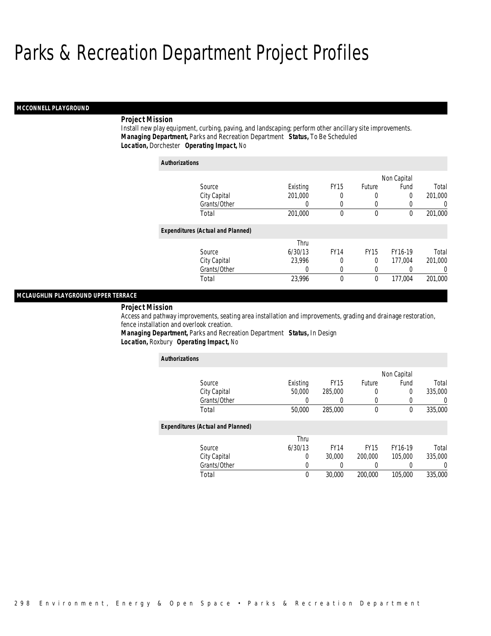#### *MCCONNELL PLAYGROUND*

#### *Project Mission*

Install new play equipment, curbing, paving, and landscaping; perform other ancillary site improvements. *Managing Department,* Parks and Recreation Department *Status,* To Be Scheduled*Location,* Dorchester *Operating Impact,* No

| <b>Authorizations</b>                    |          |             |                  |             |         |
|------------------------------------------|----------|-------------|------------------|-------------|---------|
|                                          |          |             |                  | Non Capital |         |
| Source                                   | Existing | <b>FY15</b> | Future           | Fund        | Total   |
| City Capital                             | 201.000  | 0           | 0                | 0           | 201,000 |
| Grants/Other                             | 0        | $\left($    | 0                | 0           | U       |
| Total                                    | 201,000  | 0           | 0                | 0           | 201,000 |
| <b>Expenditures (Actual and Planned)</b> |          |             |                  |             |         |
|                                          | Thru     |             |                  |             |         |
| Source                                   | 6/30/13  | <b>FY14</b> | <b>FY15</b>      | FY16-19     | Total   |
| City Capital                             | 23,996   | 0           | 0                | 177,004     | 201,000 |
| Grants/Other                             | 0        | $\left($    | $\left( \right)$ |             | 0       |
| Total                                    | 23,996   | 0           | $\mathbf 0$      | 177,004     | 201,000 |

### *MCLAUGHLIN PLAYGROUND UPPER TERRACE*

*Project Mission* 

Access and pathway improvements, seating area installation and improvements, grading and drainage restoration, fence installation and overlook creation.

*Managing Department,* Parks and Recreation Department *Status,* In Design*Location,* Roxbury *Operating Impact,* No

| <b>Authorizations</b>                    |          |             |             |             |                  |
|------------------------------------------|----------|-------------|-------------|-------------|------------------|
|                                          |          |             |             | Non Capital |                  |
| Source                                   | Existing | <b>FY15</b> | Future      | Fund        | Total            |
| City Capital                             | 50,000   | 285,000     |             | 0           | 335,000          |
| Grants/Other                             | 0        |             |             |             | $\left( \right)$ |
| Total                                    | 50,000   | 285,000     | $\theta$    | 0           | 335,000          |
| <b>Expenditures (Actual and Planned)</b> |          |             |             |             |                  |
|                                          | Thru     |             |             |             |                  |
| Source                                   | 6/30/13  | <b>FY14</b> | <b>FY15</b> | FY16-19     | Total            |
| City Capital                             | 0        | 30,000      | 200,000     | 105,000     | 335,000          |
| Grants/Other                             | 0        |             |             |             | $\left( \right)$ |
| Total                                    | 0        | 30,000      | 200,000     | 105,000     | 335,000          |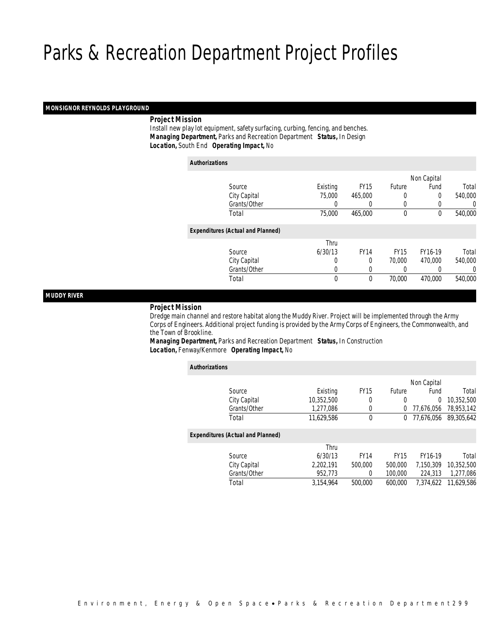#### *MONSIGNOR REYNOLDS PLAYGROUND*

#### *Project Mission*

 Install new play lot equipment, safety surfacing, curbing, fencing, and benches. *Managing Department,* Parks and Recreation Department *Status,* In Design*Location,* South End *Operating Impact,* No

| <b>Authorizations</b> |                                          |              |             |             |             |         |
|-----------------------|------------------------------------------|--------------|-------------|-------------|-------------|---------|
|                       |                                          |              |             |             | Non Capital |         |
|                       | Source                                   | Existing     | <b>FY15</b> | Future      | Fund        | Total   |
|                       | City Capital                             | 75,000       | 465,000     |             | 0           | 540,000 |
|                       | Grants/Other                             | 0            | 0           | 0           | 0           | 0       |
|                       | Total                                    | 75,000       | 465,000     | 0           | 0           | 540,000 |
|                       | <b>Expenditures (Actual and Planned)</b> |              |             |             |             |         |
|                       |                                          | Thru         |             |             |             |         |
|                       | Source                                   | 6/30/13      | <b>FY14</b> | <b>FY15</b> | FY16-19     | Total   |
|                       | City Capital                             | 0            | $\theta$    | 70,000      | 470.000     | 540,000 |
|                       | Grants/Other                             | 0            | 0           | 0           | 0           | 0       |
|                       | Total                                    | $\mathbf{0}$ | $\theta$    | 70,000      | 470,000     | 540,000 |

#### *MUDDY RIVER*

#### *Project Mission*

 Dredge main channel and restore habitat along the Muddy River. Project will be implemented through the Army Corps of Engineers. Additional project funding is provided by the Army Corps of Engineers, the Commonwealth, and the Town of Brookline.

*Managing Department,* Parks and Recreation Department *Status,* In Construction*Location,* Fenway/Kenmore *Operating Impact,* No

| <b>Authorizations</b>                    |            |             |             |             |            |
|------------------------------------------|------------|-------------|-------------|-------------|------------|
|                                          |            |             |             | Non Capital |            |
| Source                                   | Existing   | <b>FY15</b> | Future      | Fund        | Total      |
| City Capital                             | 10.352.500 | 0           | 0           | $\Omega$    | 10.352.500 |
| Grants/Other                             | 1.277.086  | 0           | $\left($    | 77.676.056  | 78.953.142 |
| Total                                    | 11.629.586 | $\theta$    | 0           | 77.676.056  | 89,305,642 |
| <b>Expenditures (Actual and Planned)</b> |            |             |             |             |            |
|                                          | Thru       |             |             |             |            |
| Source                                   | 6/30/13    | <b>FY14</b> | <b>FY15</b> | FY16-19     | Total      |
| City Capital                             | 2.202.191  | 500,000     | 500,000     | 7.150.309   | 10,352,500 |
| Grants/Other                             | 952,773    | 0           | 100,000     | 224,313     | 1,277,086  |
| Total                                    | 3.154.964  | 500,000     | 600.000     | 7.374.622   | 11.629.586 |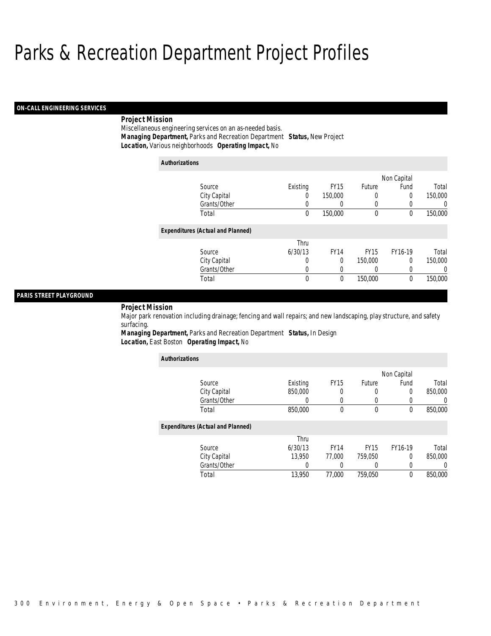#### *ON-CALL ENGINEERING SERVICES*

#### *Project Mission*

Miscellaneous engineering services on an as-needed basis. *Managing Department,* Parks and Recreation Department *Status,* New Project*Location,* Various neighborhoods *Operating Impact,* No

| <b>Authorizations</b>                    |          |             |             |              |          |
|------------------------------------------|----------|-------------|-------------|--------------|----------|
|                                          |          |             |             | Non Capital  |          |
| Source                                   | Existing | <b>FY15</b> | Future      | Fund         | Total    |
| City Capital                             | 0        | 150,000     | 0           | $\Omega$     | 150,000  |
| Grants/Other                             | 0        | $\left($    | 0           | 0            | 0        |
| Total                                    | 0        | 150,000     | 0           | 0            | 150,000  |
| <b>Expenditures (Actual and Planned)</b> |          |             |             |              |          |
|                                          | Thru     |             |             |              |          |
| Source                                   | 6/30/13  | <b>FY14</b> | <b>FY15</b> | FY16-19      | Total    |
| City Capital                             | 0        | 0           | 150,000     | 0            | 150,000  |
| Grants/Other                             | 0        | 0           | 0           | 0            | $\theta$ |
| Total                                    | $\theta$ | $\mathbf 0$ | 150,000     | $\mathbf{0}$ | 150,000  |

### *PARIS STREET PLAYGROUND*

*Project Mission* 

Major park renovation including drainage; fencing and wall repairs; and new landscaping, play structure, and safety surfacing.

*Managing Department,* Parks and Recreation Department *Status,* In Design*Location,* East Boston *Operating Impact,* No

| <b>Authorizations</b>                    |          |             |             |             |                  |
|------------------------------------------|----------|-------------|-------------|-------------|------------------|
|                                          |          |             |             | Non Capital |                  |
| Source                                   | Existing | <b>FY15</b> | Future      | Fund        | Total            |
| City Capital                             | 850,000  |             | 0           | 0           | 850,000          |
| Grants/Other                             | 0        |             |             |             | $\left( \right)$ |
| Total                                    | 850,000  | $\theta$    | $\theta$    | $\Omega$    | 850,000          |
| <b>Expenditures (Actual and Planned)</b> |          |             |             |             |                  |
|                                          | Thru     |             |             |             |                  |
| Source                                   | 6/30/13  | <b>FY14</b> | <b>FY15</b> | FY16-19     | Total            |
| City Capital                             | 13.950   | 77.000      | 759.050     | 0           | 850,000          |
| Grants/Other                             | 0        |             |             | 0           | $\left( \right)$ |
| Total                                    | 13,950   | 77.000      | 759,050     | 0           | 850,000          |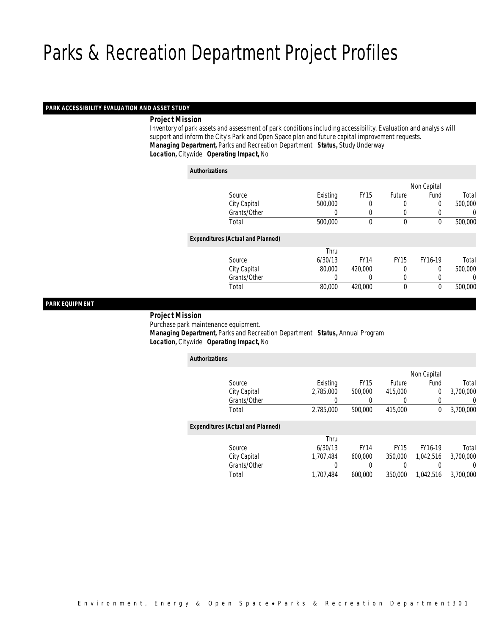#### *PARK ACCESSIBILITY EVALUATION AND ASSET STUDY*

*Project Mission*

 Inventory of park assets and assessment of park conditions including accessibility. Evaluation and analysis will support and inform the City's Park and Open Space plan and future capital improvement requests. *Managing Department,* Parks and Recreation Department *Status,* Study Underway*Location,* Citywide *Operating Impact,* No

### *Authorizations*

|                                          |          |             |               | Non Capital |         |
|------------------------------------------|----------|-------------|---------------|-------------|---------|
| Source                                   | Existing | <b>FY15</b> | <b>Future</b> | Fund        | Total   |
| City Capital                             | 500,000  |             |               | 0           | 500,000 |
| Grants/Other                             |          |             |               |             | 0       |
| Total                                    | 500,000  | 0           | $\theta$      | 0           | 500,000 |
| <b>Expenditures (Actual and Planned)</b> |          |             |               |             |         |
|                                          | Thru     |             |               |             |         |
| Source                                   | 6/30/13  | <b>FY14</b> | <b>FY15</b>   | FY16-19     | Total   |
| City Capital                             | 80,000   | 420,000     | 0             | 0           | 500,000 |
| Grants/Other                             | 0        |             | $\left($      |             | 0       |
| Total                                    | 80,000   | 420,000     | $\mathbf 0$   | 0           | 500,000 |

#### *PARK EQUIPMENT*

*Project Mission*

Purchase park maintenance equipment.

*Authorizations*

 *Managing Department,* Parks and Recreation Department *Status,* Annual Program*Location,* Citywide *Operating Impact,* No

| AUUNULLAUUNS                             |           |             |             |           |             |
|------------------------------------------|-----------|-------------|-------------|-----------|-------------|
|                                          |           |             |             |           |             |
| Source                                   | Existing  | <b>FY15</b> | Future      | Fund      | Total       |
| City Capital                             | 2,785,000 | 500,000     | 415,000     | 0         | 3.700.000   |
| Grants/Other                             |           |             |             |           | 0           |
| Total                                    | 2,785,000 | 500,000     | 415,000     | 0         | 3,700,000   |
| <b>Expenditures (Actual and Planned)</b> |           |             |             |           |             |
|                                          | Thru      |             |             |           |             |
| Source                                   | 6/30/13   | <b>FY14</b> | <b>FY15</b> | FY16-19   | Total       |
| City Capital                             | 1.707.484 | 600.000     | 350,000     | 1.042.516 | 3.700.000   |
| Grants/Other                             |           |             |             |           | 0           |
| Total                                    | 1,707,484 | 600.000     | 350,000     | 1.042.516 | 3.700.000   |
|                                          |           |             |             |           | Non Capital |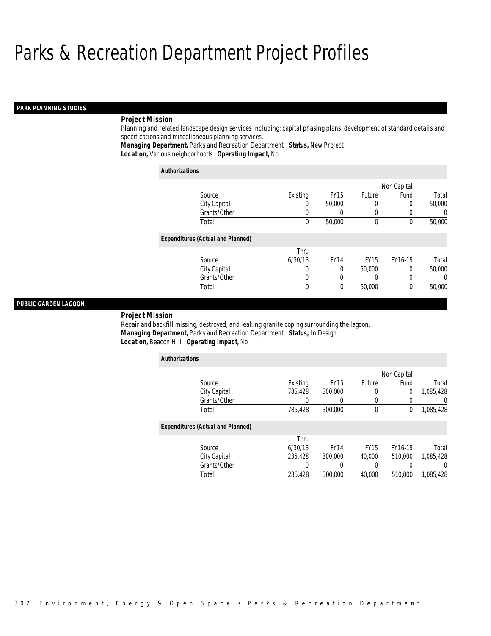#### *PARK PLANNING STUDIES*

#### *Project Mission*

*Authorizations*

Planning and related landscape design services including: capital phasing plans, development of standard details and specifications and miscellaneous planning services.

*Managing Department,* Parks and Recreation Department *Status,* New Project*Location,* Various neighborhoods *Operating Impact,* No

| Authorizations                           |          |                  |             |             |                  |
|------------------------------------------|----------|------------------|-------------|-------------|------------------|
|                                          |          |                  |             | Non Capital |                  |
| Source                                   | Existing | FY <sub>15</sub> | Future      | Fund        | Total            |
| City Capital                             |          | 50,000           |             | 0           | 50,000           |
| Grants/Other                             |          |                  | $\Omega$    | 0           | $\left( \right)$ |
| Total                                    | 0        | 50,000           | $\mathbf 0$ | 0           | 50,000           |
| <b>Expenditures (Actual and Planned)</b> |          |                  |             |             |                  |
|                                          | Thru     |                  |             |             |                  |
| Source                                   | 6/30/13  | <b>FY14</b>      | <b>FY15</b> | FY16-19     | Total            |
| City Capital                             | 0        | $\Omega$         | 50,000      | 0           | 50,000           |
| Grants/Other                             | 0        |                  |             |             |                  |
| Total                                    | 0        | $\mathbf{0}$     | 50,000      | 0           | 50,000           |

#### *PUBLIC GARDEN LAGOON*

#### *Project Mission*

Repair and backfill missing, destroyed, and leaking granite coping surrounding the lagoon. *Managing Department,* Parks and Recreation Department *Status,* In Design*Location,* Beacon Hill *Operating Impact,* No

| <b>Authorizations</b>                    |          |             |             |             |                  |
|------------------------------------------|----------|-------------|-------------|-------------|------------------|
|                                          |          |             |             | Non Capital |                  |
| Source                                   | Existing | <b>FY15</b> | Future      | Fund        | Total            |
| City Capital                             | 785.428  | 300,000     | 0           | 0           | 1,085,428        |
| Grants/Other                             |          |             | 0           | 0           | 0                |
| Total                                    | 785,428  | 300,000     | $\mathbf 0$ | 0           | 1,085,428        |
| <b>Expenditures (Actual and Planned)</b> |          |             |             |             |                  |
|                                          | Thru     |             |             |             |                  |
| Source                                   | 6/30/13  | <b>FY14</b> | <b>FY15</b> | FY16-19     | Total            |
| City Capital                             | 235,428  | 300,000     | 40,000      | 510,000     | 1,085,428        |
| Grants/Other                             | 0        |             |             |             | $\left( \right)$ |
| Total                                    | 235,428  | 300,000     | 40,000      | 510,000     | 1.085.428        |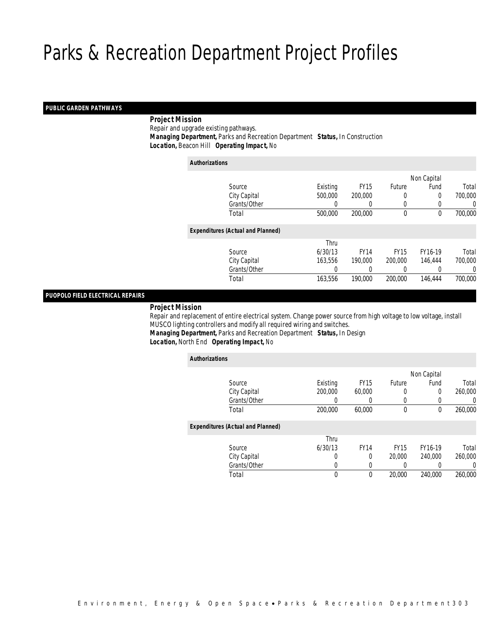#### *PUBLIC GARDEN PATHWAYS*

### *Project Mission*

Repair and upgrade existing pathways.

*Managing Department,* Parks and Recreation Department *Status,* In Construction

*Location,* Beacon Hill *Operating Impact,* No

| <b>Authorizations</b> |                                          |          |             |             |             |         |
|-----------------------|------------------------------------------|----------|-------------|-------------|-------------|---------|
|                       |                                          |          |             |             | Non Capital |         |
|                       | Source                                   | Existing | <b>FY15</b> | Future      | Fund        | Total   |
|                       | City Capital                             | 500,000  | 200,000     |             | 0           | 700,000 |
|                       | Grants/Other                             | 0        | 0           | $\left($    | 0           | 0       |
|                       | Total                                    | 500,000  | 200,000     | $\mathbf 0$ | 0           | 700,000 |
|                       | <b>Expenditures (Actual and Planned)</b> |          |             |             |             |         |
|                       |                                          | Thru     |             |             |             |         |
|                       | Source                                   | 6/30/13  | <b>FY14</b> | <b>FY15</b> | FY16-19     | Total   |
|                       | City Capital                             | 163,556  | 190,000     | 200,000     | 146.444     | 700,000 |
|                       | Grants/Other                             | 0        |             |             |             | 0       |
|                       | Total                                    | 163,556  | 190,000     | 200,000     | 146.444     | 700,000 |
|                       |                                          |          |             |             |             |         |

#### *PUOPOLO FIELD ELECTRICAL REPAIRS*

#### *Project Mission*

 Repair and replacement of entire electrical system. Change power source from high voltage to low voltage, install MUSCO lighting controllers and modify all required wiring and switches. *Managing Department,* Parks and Recreation Department *Status,* In Design

*Location,* North End *Operating Impact,* No

| <b>Authorizations</b> |                                          |          |             |             |             |         |
|-----------------------|------------------------------------------|----------|-------------|-------------|-------------|---------|
|                       |                                          |          |             |             | Non Capital |         |
|                       | Source                                   | Existing | <b>FY15</b> | Future      | Fund        | Total   |
|                       | City Capital                             | 200,000  | 60,000      | 0           | 0           | 260,000 |
|                       | Grants/Other                             | 0        |             |             |             | 0       |
|                       | Total                                    | 200,000  | 60,000      | 0           | $\theta$    | 260,000 |
|                       | <b>Expenditures (Actual and Planned)</b> |          |             |             |             |         |
|                       |                                          | Thru     |             |             |             |         |
|                       | Source                                   | 6/30/13  | <b>FY14</b> | <b>FY15</b> | FY16-19     | Total   |
|                       | City Capital                             | 0        | 0           | 20,000      | 240,000     | 260,000 |
|                       | Grants/Other                             | 0        | 0           | 0           |             | 0       |
|                       | Total                                    | 0        | $\theta$    | 20,000      | 240,000     | 260,000 |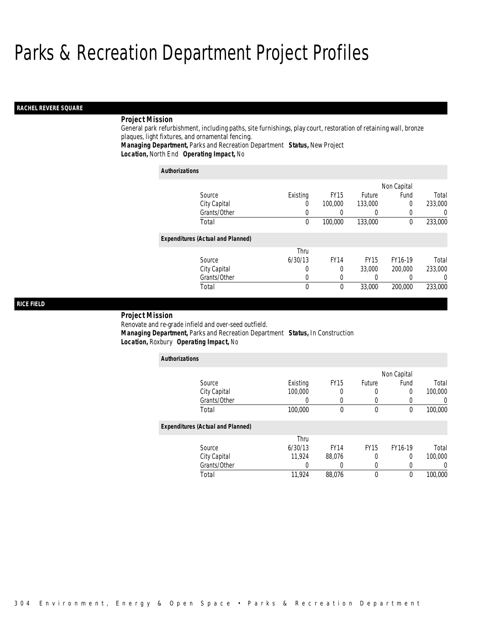#### *RACHEL REVERE SQUARE*

#### *Project Mission*

General park refurbishment, including paths, site furnishings, play court, restoration of retaining wall, bronze plaques, light fixtures, and ornamental fencing. *Managing Department,* Parks and Recreation Department *Status,* New Project

*Location,* North End *Operating Impact,* No

| <b>Authorizations</b>                    |          |             |             |             |         |
|------------------------------------------|----------|-------------|-------------|-------------|---------|
|                                          |          |             |             | Non Capital |         |
| Source                                   | Existing | <b>FY15</b> | Future      | Fund        | Total   |
| City Capital                             | 0        | 100,000     | 133,000     | 0           | 233,000 |
| Grants/Other                             |          |             |             | 0           | 0       |
| Total                                    | 0        | 100,000     | 133,000     | $\theta$    | 233,000 |
| <b>Expenditures (Actual and Planned)</b> |          |             |             |             |         |
|                                          | Thru     |             |             |             |         |
| Source                                   | 6/30/13  | <b>FY14</b> | <b>FY15</b> | FY16-19     | Total   |
| City Capital                             | 0        | $\Omega$    | 33,000      | 200,000     | 233,000 |
| Grants/Other                             | 0        | 0           |             | 0           | 0       |
| Total                                    | 0        | 0           | 33,000      | 200,000     | 233,000 |

#### *RICE FIELD*

#### *Project Mission*

Renovate and re-grade infield and over-seed outfield. *Managing Department,* Parks and Recreation Department *Status,* In Construction*Location,* Roxbury *Operating Impact,* No

| <b>Authorizations</b>                    |          |                  |             |             |         |
|------------------------------------------|----------|------------------|-------------|-------------|---------|
|                                          |          |                  |             | Non Capital |         |
| Source                                   | Existing | FY <sub>15</sub> | Future      | Fund        | Total   |
| City Capital                             | 100,000  |                  | 0           | 0           | 100,000 |
| Grants/Other                             | 0        | 0                | 0           | 0           | 0       |
| Total                                    | 100,000  | $\Omega$         | $\mathbf 0$ | 0           | 100,000 |
| <b>Expenditures (Actual and Planned)</b> |          |                  |             |             |         |
|                                          | Thru     |                  |             |             |         |
| Source                                   | 6/30/13  | <b>FY14</b>      | <b>FY15</b> | FY16-19     | Total   |
| City Capital                             | 11.924   | 88.076           | 0           | 0           | 100,000 |
| Grants/Other                             | 0        |                  | 0           | 0           |         |
| Total                                    | 11.924   | 88.076           | $\mathbf 0$ | 0           | 100,000 |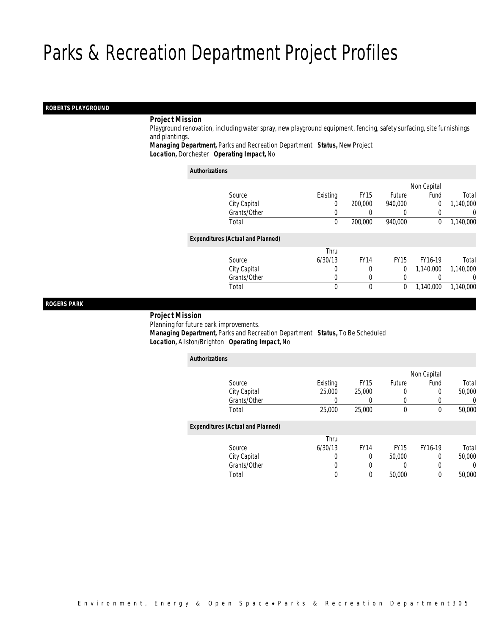#### *ROBERTS PLAYGROUND*

#### *Project Mission*

 Playground renovation, including water spray, new playground equipment, fencing, safety surfacing, site furnishings and plantings.

*Managing Department,* Parks and Recreation Department *Status,* New Project*Location,* Dorchester *Operating Impact,* No

### *Authorizations*

|                                          |          |             |                  | Non Capital    |           |
|------------------------------------------|----------|-------------|------------------|----------------|-----------|
| Source                                   | Existing | <b>FY15</b> | Future           | Fund           | Total     |
| City Capital                             | 0        | 200,000     | 940,000          | $\overline{0}$ | 1,140,000 |
| Grants/Other                             | 0        |             | $\left( \right)$ |                | 0         |
| Total                                    | 0        | 200,000     | 940,000          | 0              | 1,140,000 |
| <b>Expenditures (Actual and Planned)</b> |          |             |                  |                |           |
|                                          | Thru     |             |                  |                |           |
| Source                                   | 6/30/13  | <b>FY14</b> | <b>FY15</b>      | FY16-19        | Total     |
| City Capital                             | 0        | 0           | 0                | 1,140,000      | 1,140,000 |
| Grants/Other                             | 0        | 0           | 0                |                | 0         |
| Total                                    | 0        | $\theta$    | 0                | 1,140,000      | 1,140,000 |
|                                          |          |             |                  |                |           |

#### *ROGERS PARK*

#### *Project Mission*

Planning for future park improvements.

 *Managing Department,* Parks and Recreation Department *Status,* To Be Scheduled*Location,* Allston/Brighton *Operating Impact,* No

| <b>Authorizations</b> |                                          |                  |             |              |             |        |
|-----------------------|------------------------------------------|------------------|-------------|--------------|-------------|--------|
|                       |                                          |                  |             |              | Non Capital |        |
|                       | Source                                   | Existing         | <b>FY15</b> | Future       | Fund        | Total  |
|                       | City Capital                             | 25,000           | 25,000      |              | 0           | 50,000 |
|                       | Grants/Other                             | $\left( \right)$ |             |              |             | 0      |
|                       | Total                                    | 25,000           | 25,000      | $\mathbf{0}$ | 0           | 50,000 |
|                       | <b>Expenditures (Actual and Planned)</b> |                  |             |              |             |        |
|                       |                                          | Thru             |             |              |             |        |
|                       | Source                                   | 6/30/13          | <b>FY14</b> | <b>FY15</b>  | FY16-19     | Total  |
|                       | City Capital                             | 0                | 0           | 50,000       | 0           | 50,000 |
|                       | Grants/Other                             | 0                |             |              | 0           | 0      |
|                       | Total                                    | 0                | $\theta$    | 50,000       | $\theta$    | 50,000 |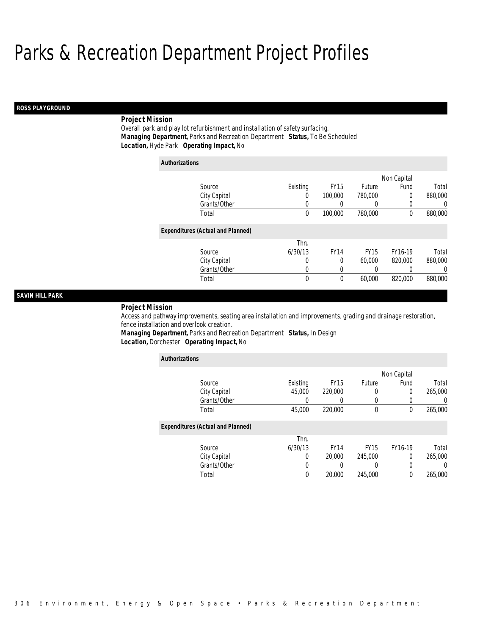#### *ROSS PLAYGROUND*

### *Project Mission*

Overall park and play lot refurbishment and installation of safety surfacing. *Managing Department,* Parks and Recreation Department *Status,* To Be Scheduled*Location,* Hyde Park *Operating Impact,* No

| <b>Authorizations</b>                    |          |             |             |             |         |
|------------------------------------------|----------|-------------|-------------|-------------|---------|
|                                          |          |             |             | Non Capital |         |
| Source                                   | Existing | <b>FY15</b> | Future      | Fund        | Total   |
| City Capital                             | 0        | 100,000     | 780,000     | 0           | 880,000 |
| Grants/Other                             | 0        | $\left($    | 0           | 0           | 0       |
| Total                                    | 0        | 100,000     | 780,000     | 0           | 880,000 |
| <b>Expenditures (Actual and Planned)</b> |          |             |             |             |         |
|                                          | Thru     |             |             |             |         |
| Source                                   | 6/30/13  | <b>FY14</b> | <b>FY15</b> | FY16-19     | Total   |
| City Capital                             | 0        | $\Omega$    | 60.000      | 820,000     | 880,000 |
| Grants/Other                             | 0        | 0           | 0           | 0           | 0       |
| Total                                    | 0        | $\theta$    | 60,000      | 820,000     | 880,000 |

### *SAVIN HILL PARK*

#### *Project Mission*

Access and pathway improvements, seating area installation and improvements, grading and drainage restoration, fence installation and overlook creation.

*Managing Department,* Parks and Recreation Department *Status,* In Design*Location,* Dorchester *Operating Impact,* No

| <b>Authorizations</b>                    |          |             |             |             |                  |
|------------------------------------------|----------|-------------|-------------|-------------|------------------|
|                                          |          |             |             | Non Capital |                  |
| Source                                   | Existing | <b>FY15</b> | Future      | Fund        | Total            |
| City Capital                             | 45,000   | 220,000     |             | 0           | 265,000          |
| Grants/Other                             | 0        |             |             |             | $\left( \right)$ |
| Total                                    | 45,000   | 220,000     | $\theta$    | 0           | 265,000          |
| <b>Expenditures (Actual and Planned)</b> |          |             |             |             |                  |
|                                          | Thru     |             |             |             |                  |
| Source                                   | 6/30/13  | <b>FY14</b> | <b>FY15</b> | FY16-19     | Total            |
| City Capital                             | 0        | 20,000      | 245,000     | 0           | 265,000          |
| Grants/Other                             | 0        |             |             | 0           | $\left( \right)$ |
| Total                                    | 0        | 20,000      | 245,000     | $\theta$    | 265,000          |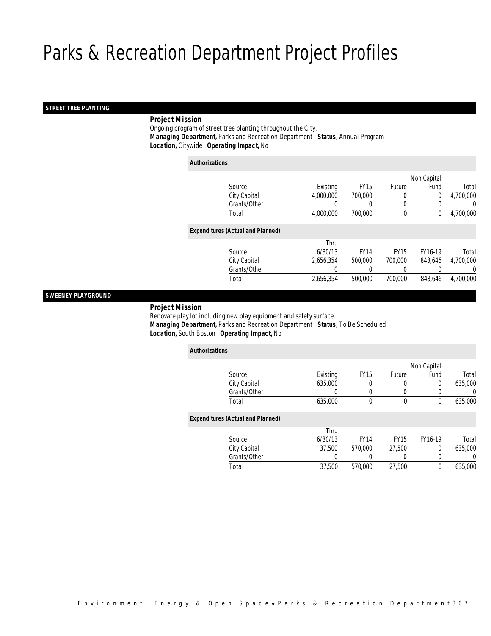#### *STREET TREE PLANTING*

### *Project Mission*

 Ongoing program of street tree planting throughout the City. *Managing Department,* Parks and Recreation Department *Status,* Annual Program*Location,* Citywide *Operating Impact,* No

| <b>Authorizations</b> |                                          |           |             |             |             |           |
|-----------------------|------------------------------------------|-----------|-------------|-------------|-------------|-----------|
|                       |                                          |           |             |             | Non Capital |           |
|                       | Source                                   | Existing  | <b>FY15</b> | Future      | Fund        | Total     |
|                       | City Capital                             | 4,000,000 | 700,000     | 0           | 0           | 4,700,000 |
|                       | Grants/Other                             | 0         | $\Omega$    | 0           | 0           | 0         |
|                       | Total                                    | 4,000,000 | 700,000     | 0           | 0           | 4,700,000 |
|                       | <b>Expenditures (Actual and Planned)</b> |           |             |             |             |           |
|                       |                                          | Thru      |             |             |             |           |
|                       | Source                                   | 6/30/13   | <b>FY14</b> | <b>FY15</b> | FY16-19     | Total     |
|                       | City Capital                             | 2.656.354 | 500,000     | 700.000     | 843.646     | 4,700,000 |
|                       | Grants/Other                             | $\left($  | 0           |             |             | 0         |
|                       | Total                                    | 2,656,354 | 500,000     | 700,000     | 843.646     | 4.700.000 |

### *SWEENEY PLAYGROUND*

#### *Project Mission*

 Renovate play lot including new play equipment and safety surface. *Managing Department,* Parks and Recreation Department *Status,* To Be Scheduled*Location,* South Boston *Operating Impact,* No

| <b>Authorizations</b>                    |          |             |             |             |          |
|------------------------------------------|----------|-------------|-------------|-------------|----------|
|                                          |          |             |             | Non Capital |          |
| Source                                   | Existing | <b>FY15</b> | Future      | Fund        | Total    |
| City Capital                             | 635,000  | 0           | 0           | 0           | 635,000  |
| Grants/Other                             | 0        | 0           | $\left($    |             | $\Omega$ |
| Total                                    | 635,000  | 0           | $\mathbf 0$ | 0           | 635,000  |
| <b>Expenditures (Actual and Planned)</b> |          |             |             |             |          |
|                                          | Thru     |             |             |             |          |
| Source                                   | 6/30/13  | <b>FY14</b> | <b>FY15</b> | FY16-19     | Total    |
| City Capital                             | 37.500   | 570,000     | 27,500      | 0           | 635,000  |
| Grants/Other                             | 0        | 0           | 0           | 0           | $\Omega$ |
| Total                                    | 37,500   | 570,000     | 27,500      | $\theta$    | 635,000  |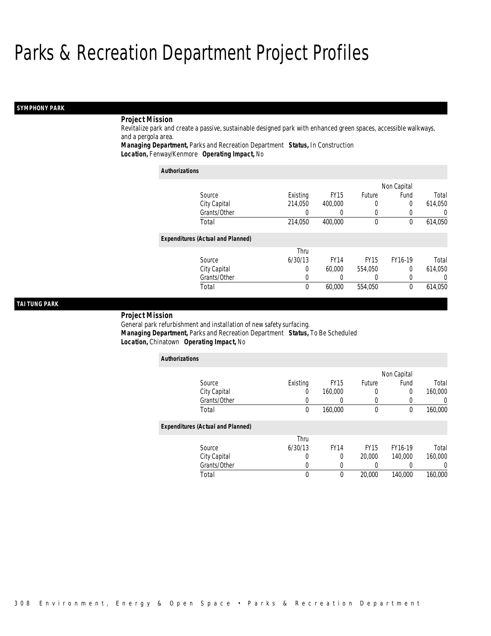#### *SYMPHONY PARK*

### *Project Mission*

Revitalize park and create a passive, sustainable designed park with enhanced green spaces, accessible walkways, and a pergola area.

*Managing Department,* Parks and Recreation Department *Status,* In Construction*Location,* Fenway/Kenmore *Operating Impact,* No

| <b>Authorizations</b>                    |          |                  |             |             |          |
|------------------------------------------|----------|------------------|-------------|-------------|----------|
|                                          |          |                  |             | Non Capital |          |
| Source                                   | Existing | <b>FY15</b>      | Future      | Fund        | Total    |
| City Capital                             | 214.050  | 400,000          | 0           | 0           | 614,050  |
| Grants/Other                             |          | $\left( \right)$ |             |             | U        |
| Total                                    | 214,050  | 400.000          | $\mathbf 0$ | 0           | 614,050  |
| <b>Expenditures (Actual and Planned)</b> |          |                  |             |             |          |
|                                          | Thru     |                  |             |             |          |
| Source                                   | 6/30/13  | <b>FY14</b>      | <b>FY15</b> | FY16-19     | Total    |
| City Capital                             | 0        | 60,000           | 554.050     | 0           | 614.050  |
| Grants/Other                             | 0        | 0                | 0           | $\Omega$    | $\left($ |
| Total                                    | 0        | 60,000           | 554.050     | $\theta$    | 614.050  |

#### *TAI TUNG PARK*

#### *Project Mission*

General park refurbishment and installation of new safety surfacing. *Managing Department,* Parks and Recreation Department *Status,* To Be Scheduled*Location,* Chinatown *Operating Impact,* No

| <b>Authorizations</b>                    |                  |             |             |             |         |
|------------------------------------------|------------------|-------------|-------------|-------------|---------|
|                                          |                  |             |             | Non Capital |         |
| Source                                   | Existing         | <b>FY15</b> | Future      | Fund        | Total   |
| City Capital                             | 0                | 160,000     |             | 0           | 160,000 |
| Grants/Other                             | 0                | 0           | 0           | 0           | 0       |
| Total                                    | 0                | 160,000     | 0           | 0           | 160,000 |
| <b>Expenditures (Actual and Planned)</b> |                  |             |             |             |         |
|                                          | Thru             |             |             |             |         |
| Source                                   | 6/30/13          | <b>FY14</b> | <b>FY15</b> | FY16-19     | Total   |
| City Capital                             | $\left( \right)$ | 0           | 20,000      | 140,000     | 160,000 |
| Grants/Other                             | 0                | 0           |             |             |         |
| Total                                    | 0                | $\theta$    | 20,000      | 140,000     | 160,000 |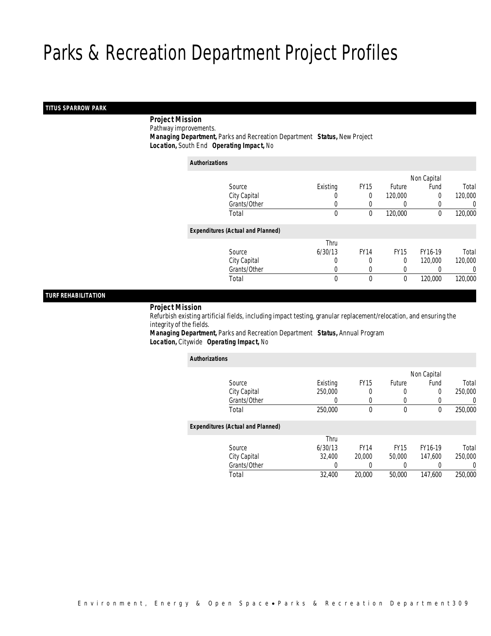### *TITUS SPARROW PARK*

*Project Mission*

Pathway improvements.

 *Managing Department,* Parks and Recreation Department *Status,* New Project*Location,* South End *Operating Impact,* No

| cation, south $\mathbf{E}$ for $\mathbf{E}$ $\mathbf{E}$ and $\mathbf{E}$ $\mathbf{E}$ and $\mathbf{E}$ $\mathbf{E}$ and $\mathbf{E}$ $\mathbf{E}$ and $\mathbf{E}$ and $\mathbf{E}$ and $\mathbf{E}$ and $\mathbf{E}$ and $\mathbf{E}$ and $\mathbf{E}$ and $\mathbf{E}$ and $\mathbf{E}$ and $\$ |
|----------------------------------------------------------------------------------------------------------------------------------------------------------------------------------------------------------------------------------------------------------------------------------------------------|
|                                                                                                                                                                                                                                                                                                    |

| <b>Authorizations</b>                    |          |             |             |             |         |
|------------------------------------------|----------|-------------|-------------|-------------|---------|
|                                          |          |             |             | Non Capital |         |
| Source                                   | Existing | <b>FY15</b> | Future      | Fund        | Total   |
| City Capital                             | 0        | 0           | 120,000     | $\Omega$    | 120,000 |
| Grants/Other                             | 0        | 0           | $\left($    | 0           | 0       |
| Total                                    | 0        | $\mathbf 0$ | 120,000     | 0           | 120,000 |
| <b>Expenditures (Actual and Planned)</b> |          |             |             |             |         |
|                                          | Thru     |             |             |             |         |
| Source                                   | 6/30/13  | <b>FY14</b> | <b>FY15</b> | FY16-19     | Total   |
| City Capital                             | 0        | 0           | $\Omega$    | 120,000     | 120,000 |
| Grants/Other                             | 0        | 0           | $\left($    | 0           | 0       |
| Total                                    | 0        | $\mathbf 0$ | $\mathbf 0$ | 120,000     | 120,000 |

#### *TURF REHABILITATION*

#### *Project Mission*

*Authorizations*

 Refurbish existing artificial fields, including impact testing, granular replacement/relocation, and ensuring the integrity of the fields.

*Managing Department,* Parks and Recreation Department *Status,* Annual Program*Location,* Citywide *Operating Impact,* No

| AUUNULLAUUNS                             |          |             |             |             |         |
|------------------------------------------|----------|-------------|-------------|-------------|---------|
|                                          |          |             |             | Non Capital |         |
| Source                                   | Existing | <b>FY15</b> | Future      | Fund        | Total   |
| City Capital                             | 250,000  | 0           | 0           | 0           | 250,000 |
| Grants/Other                             | 0        | 0           | 0           |             | 0       |
| Total                                    | 250,000  | 0           | $\mathbf 0$ | 0           | 250,000 |
| <b>Expenditures (Actual and Planned)</b> |          |             |             |             |         |
|                                          | Thru     |             |             |             |         |
| Source                                   | 6/30/13  | <b>FY14</b> | <b>FY15</b> | FY16-19     | Total   |
| City Capital                             | 32,400   | 20,000      | 50,000      | 147.600     | 250,000 |
| Grants/Other                             | 0        |             |             |             | 0       |
| Total                                    | 32,400   | 20,000      | 50,000      | 147.600     | 250,000 |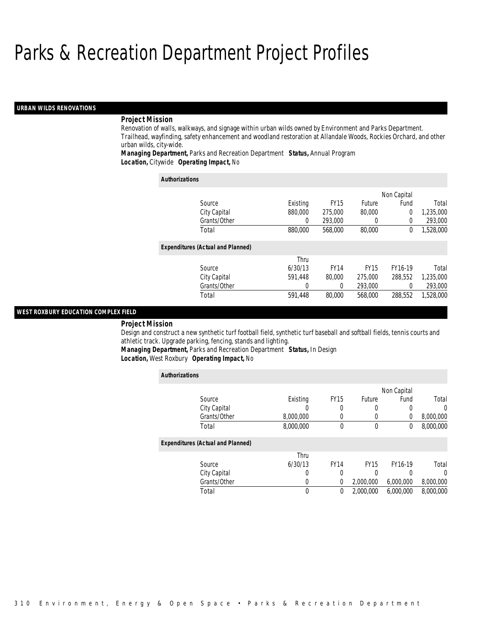#### *URBAN WILDS RENOVATIONS*

#### *Project Mission*

Renovation of walls, walkways, and signage within urban wilds owned by Environment and Parks Department. Trailhead, wayfinding, safety enhancement and woodland restoration at Allandale Woods, Rockies Orchard, and other urban wilds, city-wide.

#### *Managing Department,* Parks and Recreation Department *Status,* Annual Program*Location,* Citywide *Operating Impact,* No

| <b>Authorizations</b>                    |             |             |             |         |           |
|------------------------------------------|-------------|-------------|-------------|---------|-----------|
|                                          | Non Capital |             |             |         |           |
| Source                                   | Existing    | <b>FY15</b> | Future      | Fund    | Total     |
| City Capital                             | 880,000     | 275,000     | 80,000      | 0       | 1,235,000 |
| Grants/Other                             | 0           | 293,000     | 0           | 0       | 293,000   |
| Total                                    | 880,000     | 568,000     | 80,000      | 0       | 1,528,000 |
| <b>Expenditures (Actual and Planned)</b> |             |             |             |         |           |
|                                          | Thru        |             |             |         |           |
| Source                                   | 6/30/13     | <b>FY14</b> | <b>FY15</b> | FY16-19 | Total     |
| City Capital                             | 591.448     | 80,000      | 275,000     | 288.552 | 1,235,000 |
| Grants/Other                             | 0           | $\Omega$    | 293,000     | 0       | 293,000   |
| Total                                    | 591.448     | 80,000      | 568,000     | 288,552 | 1,528,000 |

#### *WEST ROXBURY EDUCATION COMPLEX FIELD*

*Project Mission* 

Design and construct a new synthetic turf football field, synthetic turf baseball and softball fields, tennis courts and athletic track. Upgrade parking, fencing, stands and lighting.

*Managing Department,* Parks and Recreation Department *Status,* In Design

*Location,* West Roxbury *Operating Impact,* No

| <b>Authorizations</b>                    |           |             |             |             |           |
|------------------------------------------|-----------|-------------|-------------|-------------|-----------|
|                                          |           |             |             | Non Capital |           |
| Source                                   | Existing  | <b>FY15</b> | Future      | Fund        | Total     |
| City Capital                             |           | 0           | 0           |             | $\Omega$  |
| Grants/Other                             | 8,000,000 | 0           | 0           | 0           | 8,000,000 |
| Total                                    | 8,000,000 | 0           | 0           | 0           | 8,000,000 |
| <b>Expenditures (Actual and Planned)</b> |           |             |             |             |           |
|                                          | Thru      |             |             |             |           |
| Source                                   | 6/30/13   | <b>FY14</b> | <b>FY15</b> | FY16-19     | Total     |
| City Capital                             | 0         | 0           | 0           |             | 0         |
| Grants/Other                             | 0         | 0           | 2,000,000   | 6,000,000   | 8,000,000 |
| Total                                    | 0         | 0           | 2.000.000   | 6.000.000   | 8,000,000 |